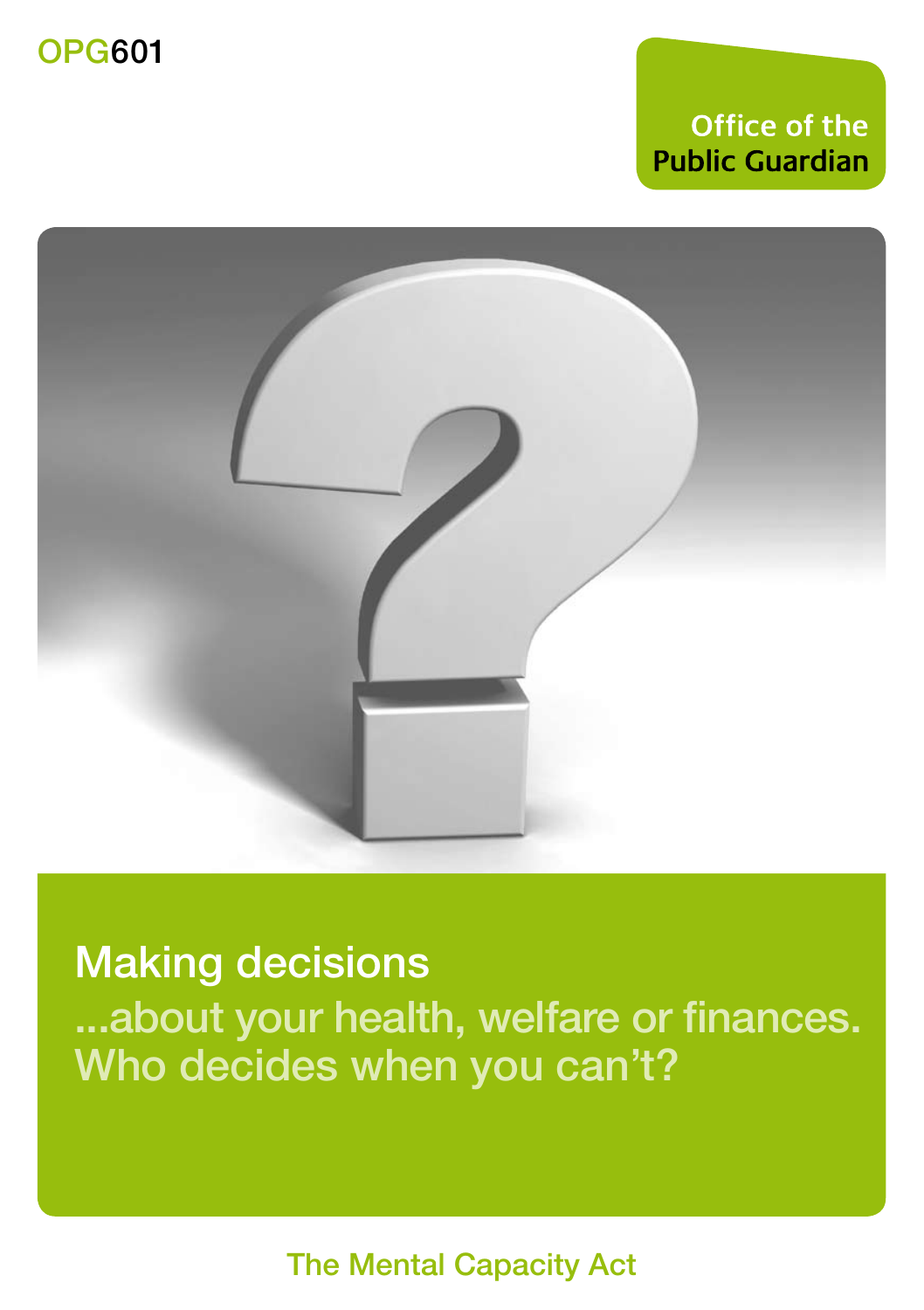## **Office of the Public Guardian**



Making decisions ...about your health, welfare or finances. Who decides when you can't?

The Mental Capacity Act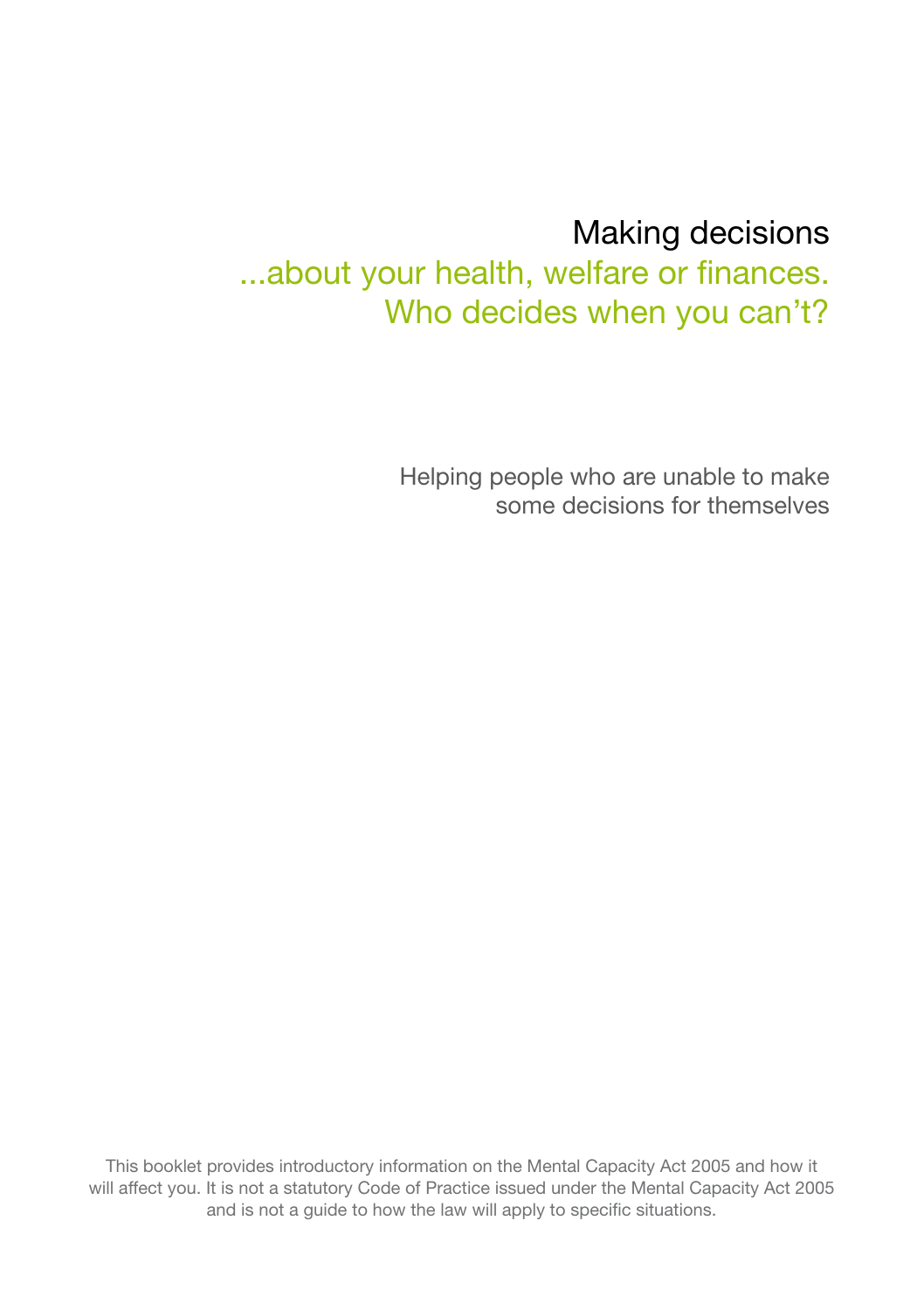# Making decisions

...about your health, welfare or finances. Who decides when you can't?

> Helping people who are unable to make .<br>some decisions for themselves

This booklet provides introductory information on the Mental Capacity Act 2005 and how it will affect you. It is not a statutory Code of Practice issued under the Mental Capacity Act 2005 and is not a guide to how the law will apply to specific situations.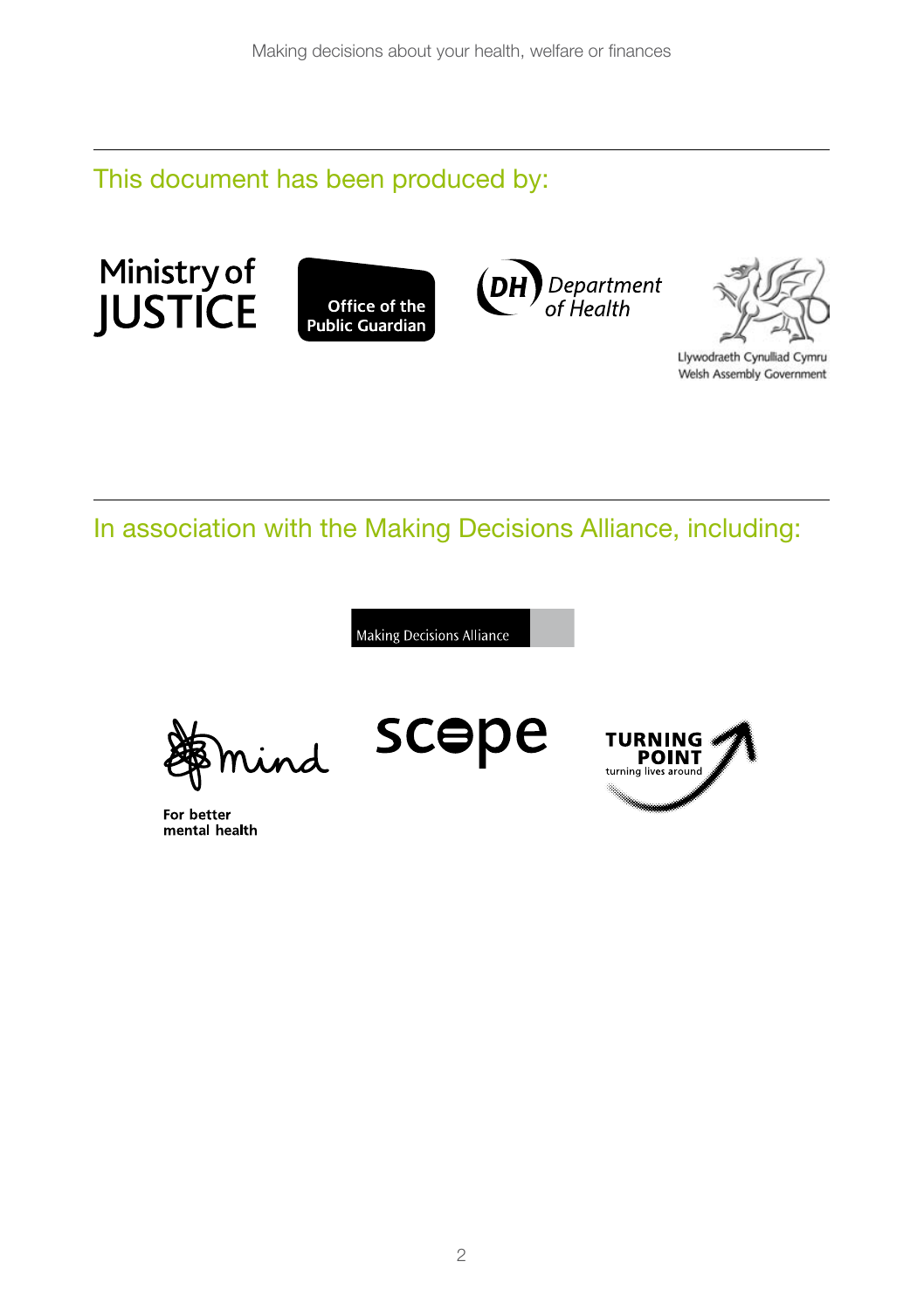This document has been produced by:







Llywodraeth Cynulliad Cymru Welsh Assembly Government

In association with the Making Decisions Alliance, including:

**Making Decisions Alliance** 

nd

For better mental health

scepe

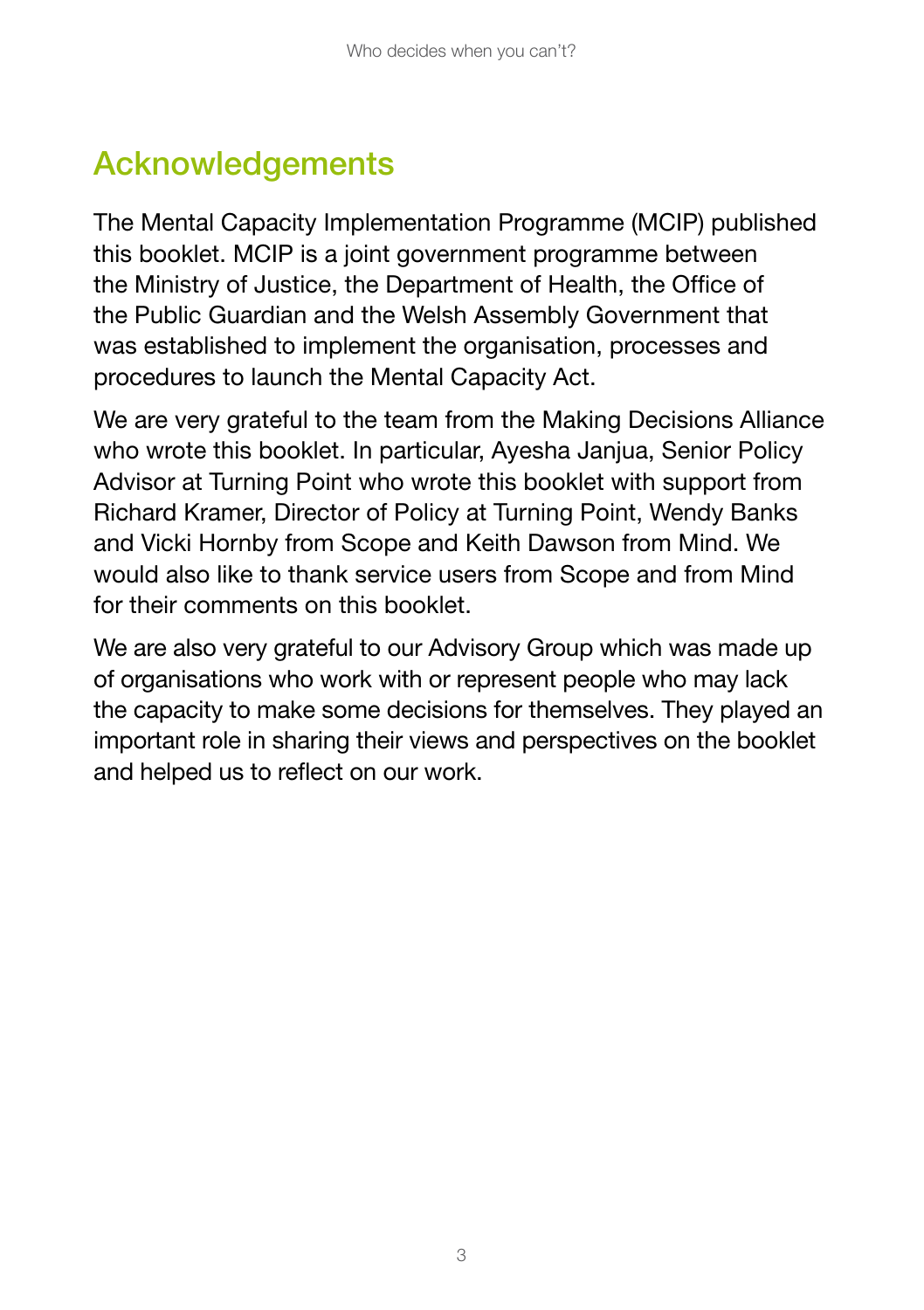## **Acknowledgements**

The Mental Capacity Implementation Programme (MCIP) published this booklet. MCIP is a joint government programme between the Ministry of Justice, the Department of Health, the Office of the Public Guardian and the Welsh Assembly Government that was established to implement the organisation, processes and procedures to launch the Mental Capacity Act.

We are very grateful to the team from the Making Decisions Alliance who wrote this booklet. In particular, Avesha Janjua, Senior Policy Advisor at Turning Point who wrote this booklet with support from Richard Kramer, Director of Policy at Turning Point, Wendy Banks and Vicki Hornby from Scope and Keith Dawson from Mind. We would also like to thank service users from Scope and from Mind for their comments on this booklet.

We are also very grateful to our Advisory Group which was made up of organisations who work with or represent people who may lack the capacity to make some decisions for themselves. They played an important role in sharing their views and perspectives on the booklet and helped us to reflect on our work.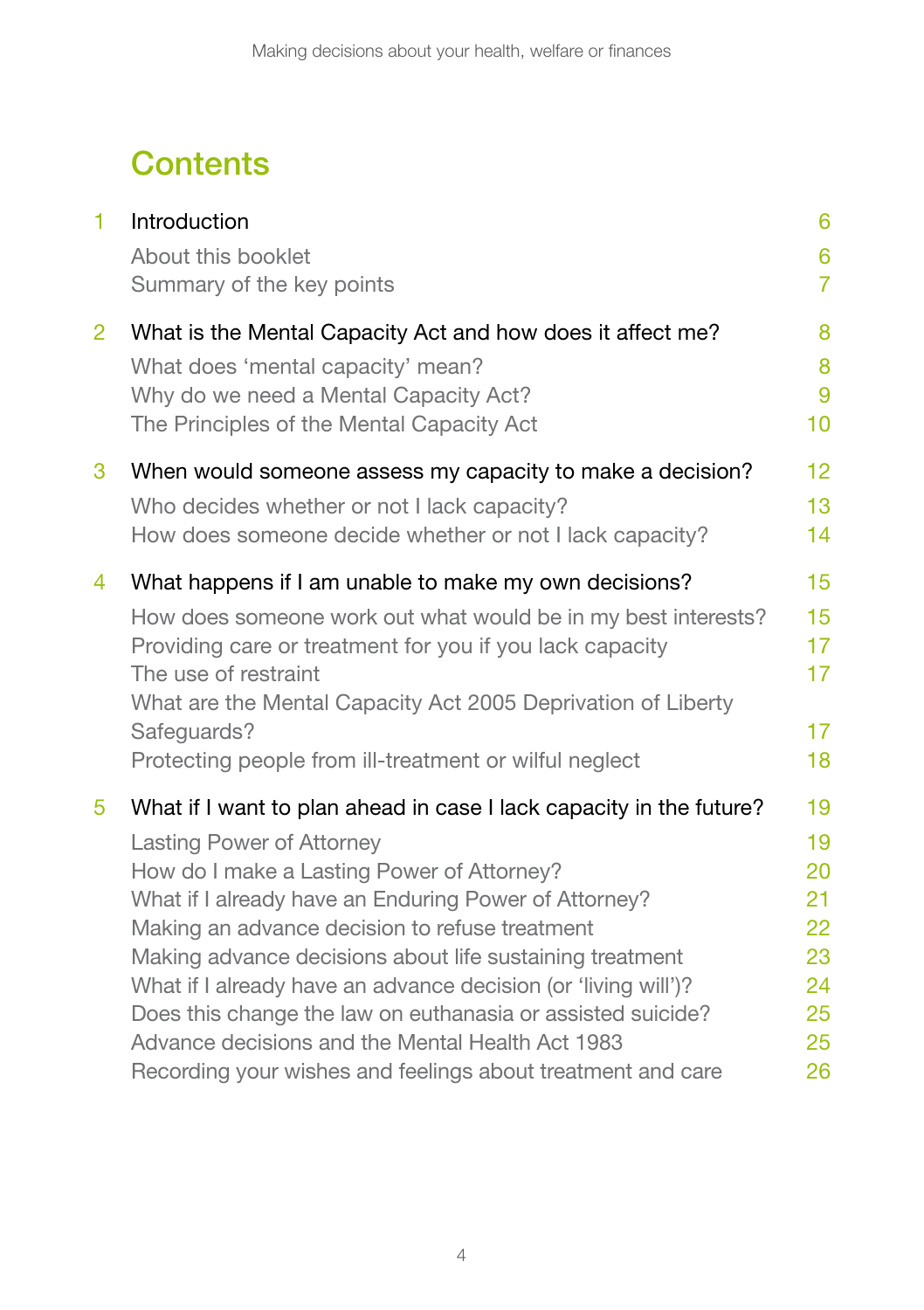## **Contents**

| $\blacksquare$ | Introduction                                                        | 6                                 |
|----------------|---------------------------------------------------------------------|-----------------------------------|
|                | About this booklet<br>Summary of the key points                     | $6\phantom{1}6$<br>$\overline{7}$ |
| $\overline{2}$ | What is the Mental Capacity Act and how does it affect me?          | 8                                 |
|                | What does 'mental capacity' mean?                                   | 8                                 |
|                | Why do we need a Mental Capacity Act?                               | 9                                 |
|                | The Principles of the Mental Capacity Act                           | 10                                |
| 3              | When would someone assess my capacity to make a decision?           | 12                                |
|                | Who decides whether or not I lack capacity?                         | 13                                |
|                | How does someone decide whether or not I lack capacity?             | 14                                |
| 4              | What happens if I am unable to make my own decisions?               | 15                                |
|                | How does someone work out what would be in my best interests?       | 15                                |
|                | Providing care or treatment for you if you lack capacity            | 17                                |
|                | The use of restraint                                                | 17                                |
|                | What are the Mental Capacity Act 2005 Deprivation of Liberty        |                                   |
|                | Safeguards?                                                         | 17                                |
|                | Protecting people from ill-treatment or wilful neglect              | 18                                |
| 5              | What if I want to plan ahead in case I lack capacity in the future? | 19                                |
|                | <b>Lasting Power of Attorney</b>                                    | 19                                |
|                | How do I make a Lasting Power of Attorney?                          | 20                                |
|                | What if I already have an Enduring Power of Attorney?               | 21                                |
|                | Making an advance decision to refuse treatment                      | 22                                |
|                | Making advance decisions about life sustaining treatment            | 23                                |
|                | What if I already have an advance decision (or 'living will')?      | 24                                |
|                | Does this change the law on euthanasia or assisted suicide?         | 25                                |
|                | Advance decisions and the Mental Health Act 1983                    | 25                                |
|                | Recording your wishes and feelings about treatment and care         | 26                                |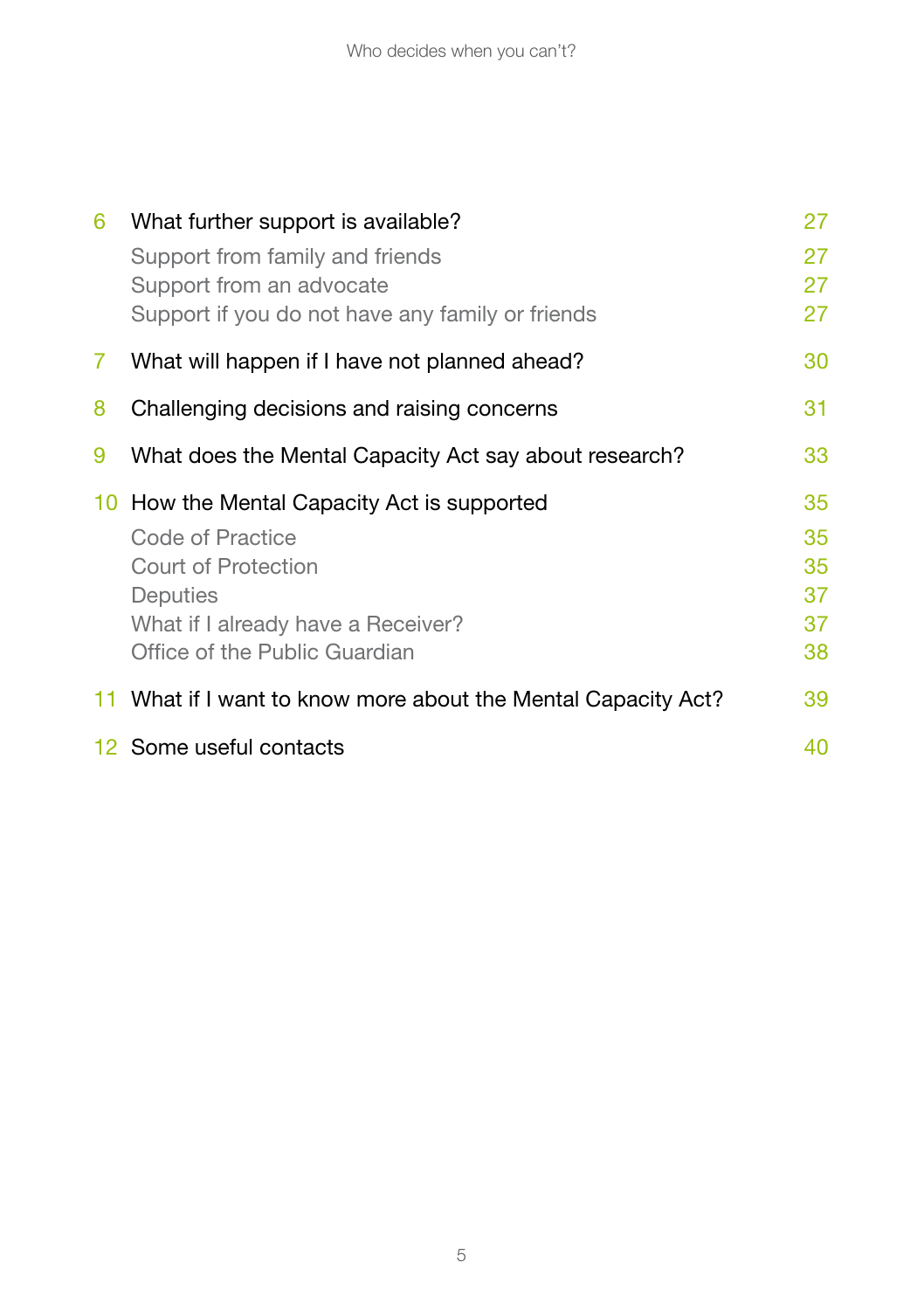| 6  | What further support is available?                            | 27 |
|----|---------------------------------------------------------------|----|
|    | Support from family and friends                               | 27 |
|    | Support from an advocate                                      | 27 |
|    | Support if you do not have any family or friends              | 27 |
| 7. | What will happen if I have not planned ahead?                 | 30 |
| 8  | Challenging decisions and raising concerns                    | 31 |
| 9  | What does the Mental Capacity Act say about research?         | 33 |
|    |                                                               |    |
|    | 10 How the Mental Capacity Act is supported                   | 35 |
|    | Code of Practice                                              | 35 |
|    | Court of Protection                                           | 35 |
|    | Deputies                                                      | 37 |
|    | What if I already have a Receiver?                            | 37 |
|    | Office of the Public Guardian                                 | 38 |
|    | 11 What if I want to know more about the Mental Capacity Act? | 39 |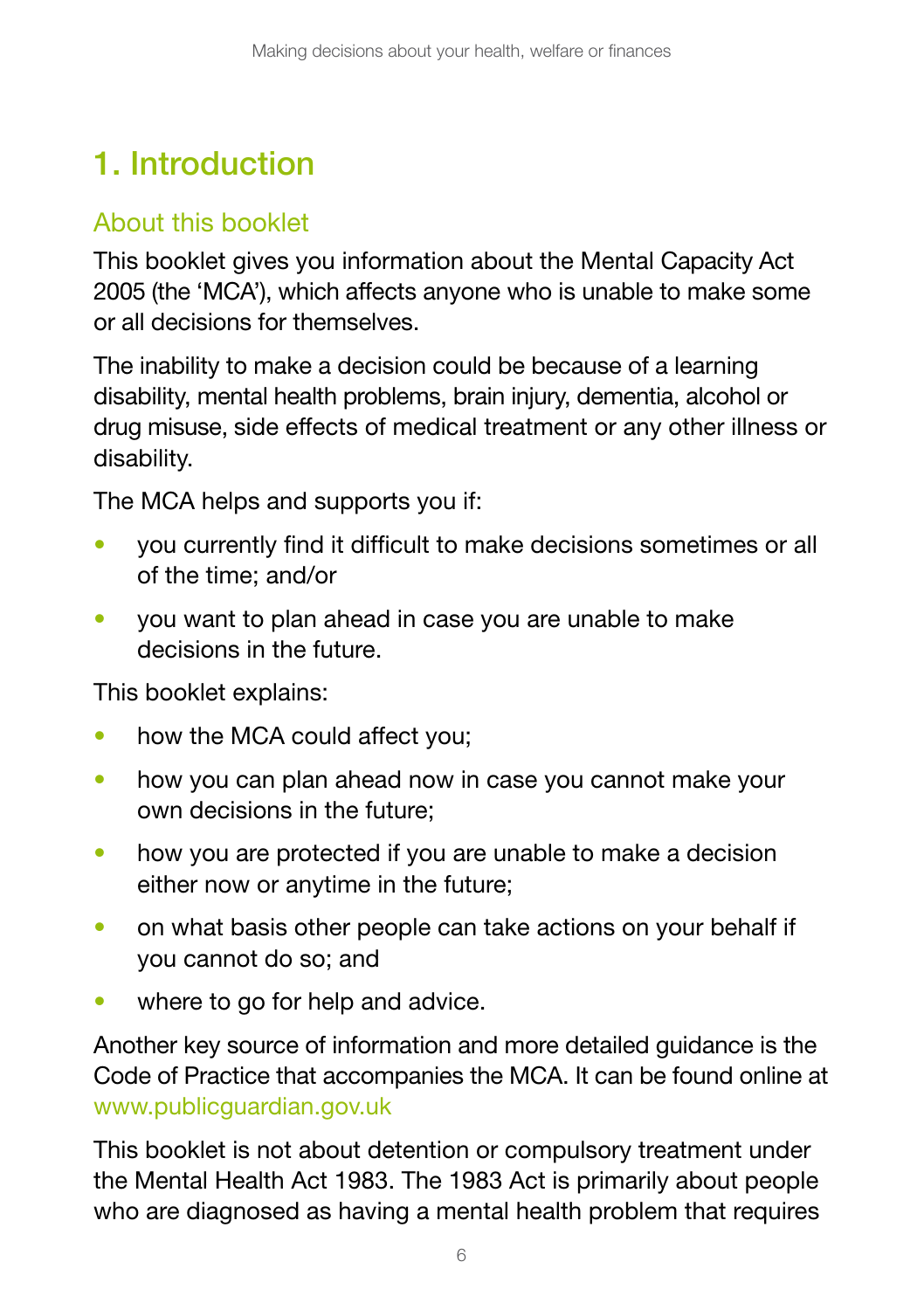## 1. Introduction

### About this booklet

This booklet gives you information about the Mental Capacity Act 2005 (the 'MCA'), which affects anyone who is unable to make some or all decisions for themselves.

The inability to make a decision could be because of a learning disability, mental health problems, brain injury, dementia, alcohol or drug misuse, side effects of medical treatment or any other illness or disability.

The MCA helps and supports you if:

- you currently find it difficult to make decisions sometimes or all of the time; and/or
- you want to plan ahead in case you are unable to make decisions in the future.

This booklet explains:

- how the MCA could affect you;
- how you can plan ahead now in case you cannot make your own decisions in the future;
- how you are protected if you are unable to make a decision either now or anytime in the future;
- on what basis other people can take actions on your behalf if you cannot do so; and
- where to go for help and advice.

Another key source of information and more detailed guidance is the Code of Practice that accompanies the MCA. It can be found online at [www.publicguardian.gov.uk](http://www.publicguardian.gov.uk)

This booklet is not about detention or compulsory treatment under the Mental Health Act 1983. The 1983 Act is primarily about people who are diagnosed as having a mental health problem that requires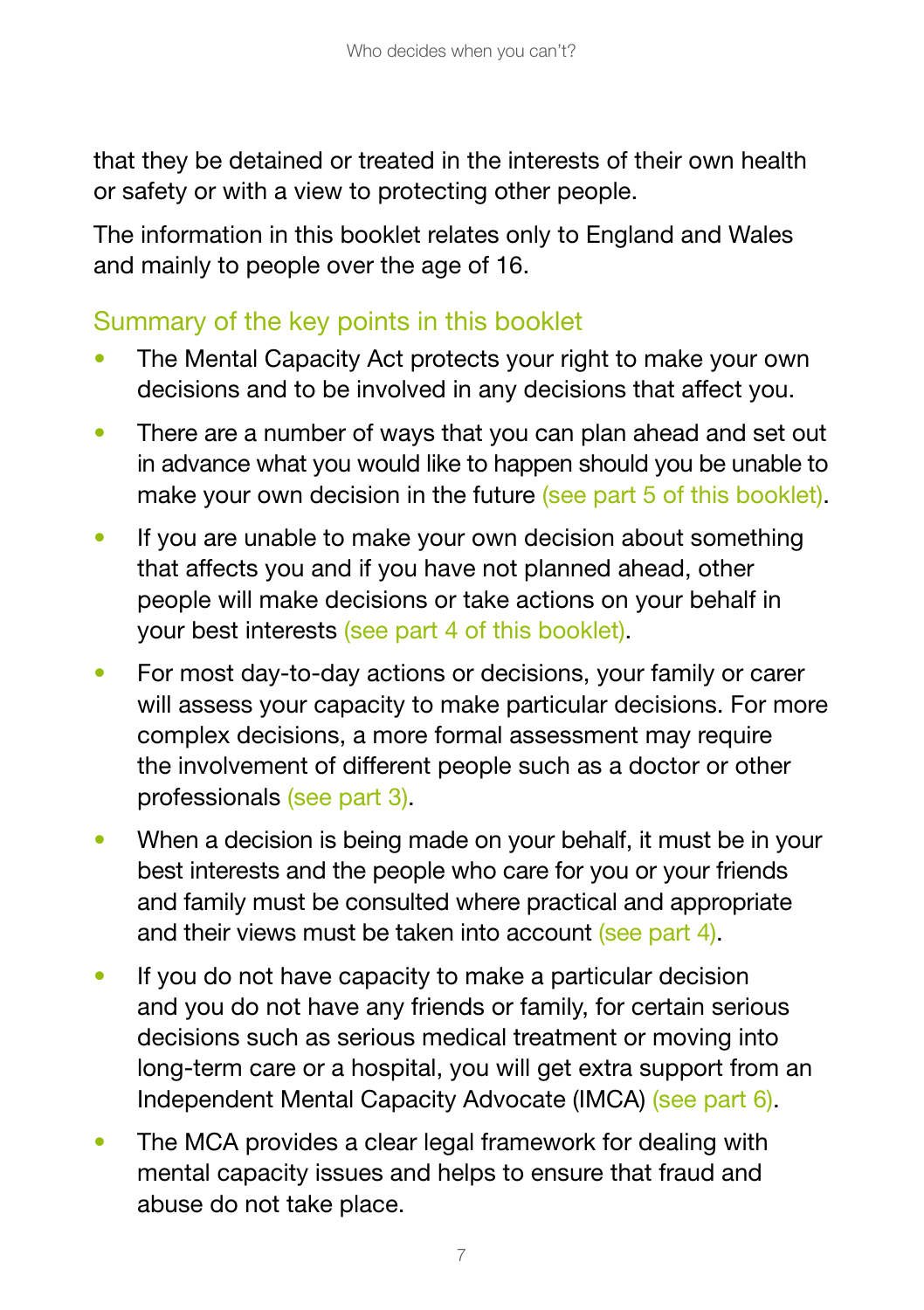that they be detained or treated in the interests of their own health or safety or with a view to protecting other people.

The information in this booklet relates only to England and Wales and mainly to people over the age of 16.

### Summary of the key points in this booklet

- The Mental Capacity Act protects your right to make your own decisions and to be involved in any decisions that affect you.
- There are a number of ways that you can plan ahead and set out in advance what you would like to happen should you be unable to make your own decision in the future (see part 5 of this booklet).
- If you are unable to make your own decision about something that affects you and if you have not planned ahead, other people will make decisions or take actions on your behalf in your best interests (see part 4 of this booklet).
- For most day-to-day actions or decisions, your family or carer will assess your capacity to make particular decisions. For more complex decisions, a more formal assessment may require the involvement of different people such as a doctor or other professionals (see part 3).
- When a decision is being made on your behalf, it must be in your best interests and the people who care for you or your friends and family must be consulted where practical and appropriate and their views must be taken into account (see part 4).
- If you do not have capacity to make a particular decision and you do not have any friends or family, for certain serious decisions such as serious medical treatment or moving into long-term care or a hospital, you will get extra support from an Independent Mental Capacity Advocate (IMCA) (see part 6).
- The MCA provides a clear legal framework for dealing with mental capacity issues and helps to ensure that fraud and abuse do not take place.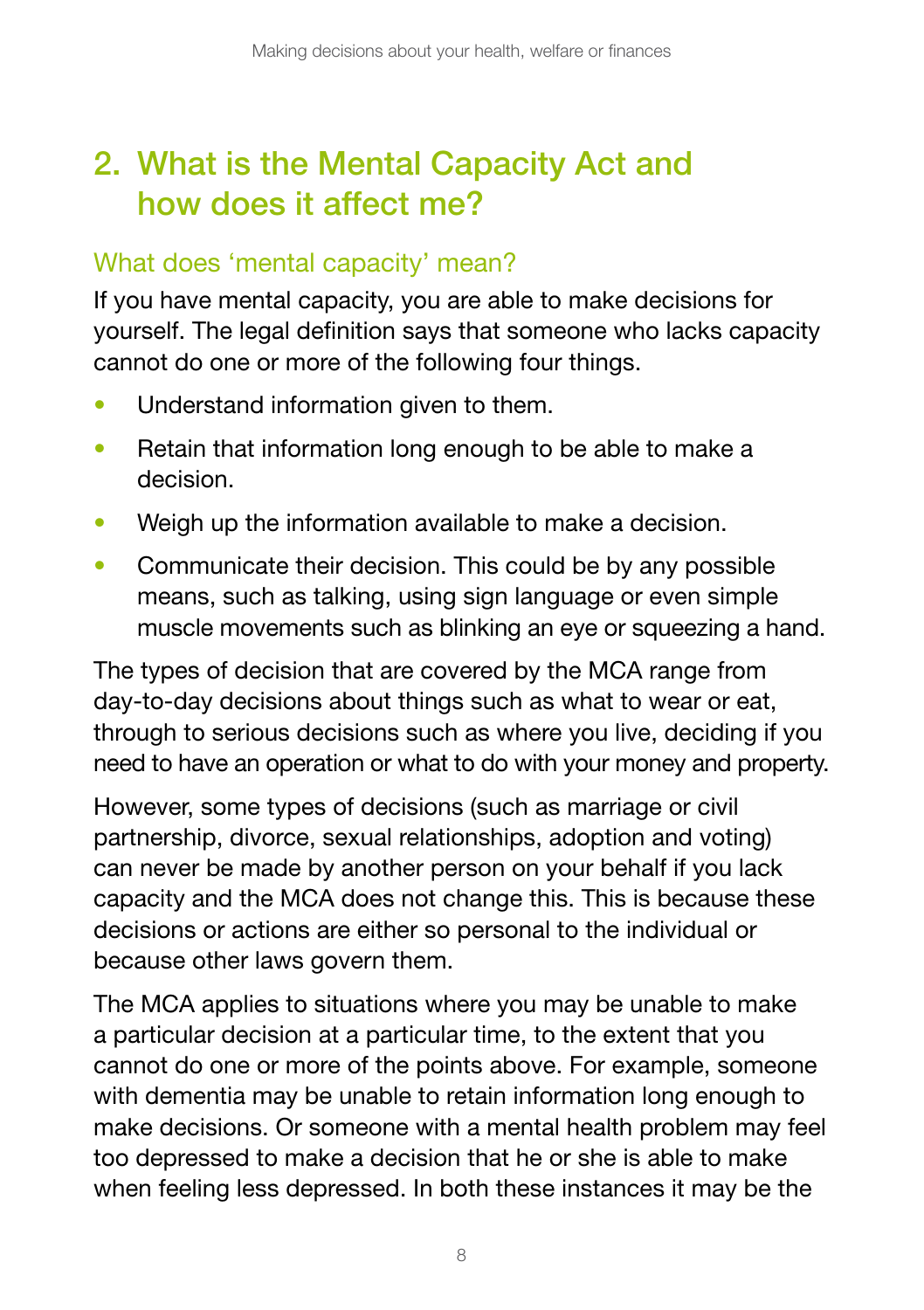## 2. What is the Mental Capacity Act and how does it affect me?

### What does 'mental capacity' mean?

If you have mental capacity, you are able to make decisions for yourself. The legal definition says that someone who lacks capacity cannot do one or more of the following four things.

- Understand information given to them.
- Retain that information long enough to be able to make a decision.
- Weigh up the information available to make a decision.
- Communicate their decision. This could be by any possible means, such as talking, using sign language or even simple muscle movements such as blinking an eye or squeezing a hand.

The types of decision that are covered by the MCA range from day-to-day decisions about things such as what to wear or eat, through to serious decisions such as where you live, deciding if you need to have an operation or what to do with your money and property.

However, some types of decisions (such as marriage or civil partnership, divorce, sexual relationships, adoption and voting) can never be made by another person on your behalf if you lack capacity and the MCA does not change this. This is because these decisions or actions are either so personal to the individual or because other laws govern them.

The MCA applies to situations where you may be unable to make a particular decision at a particular time, to the extent that you cannot do one or more of the points above. For example, someone with dementia may be unable to retain information long enough to make decisions. Or someone with a mental health problem may feel too depressed to make a decision that he or she is able to make when feeling less depressed. In both these instances it may be the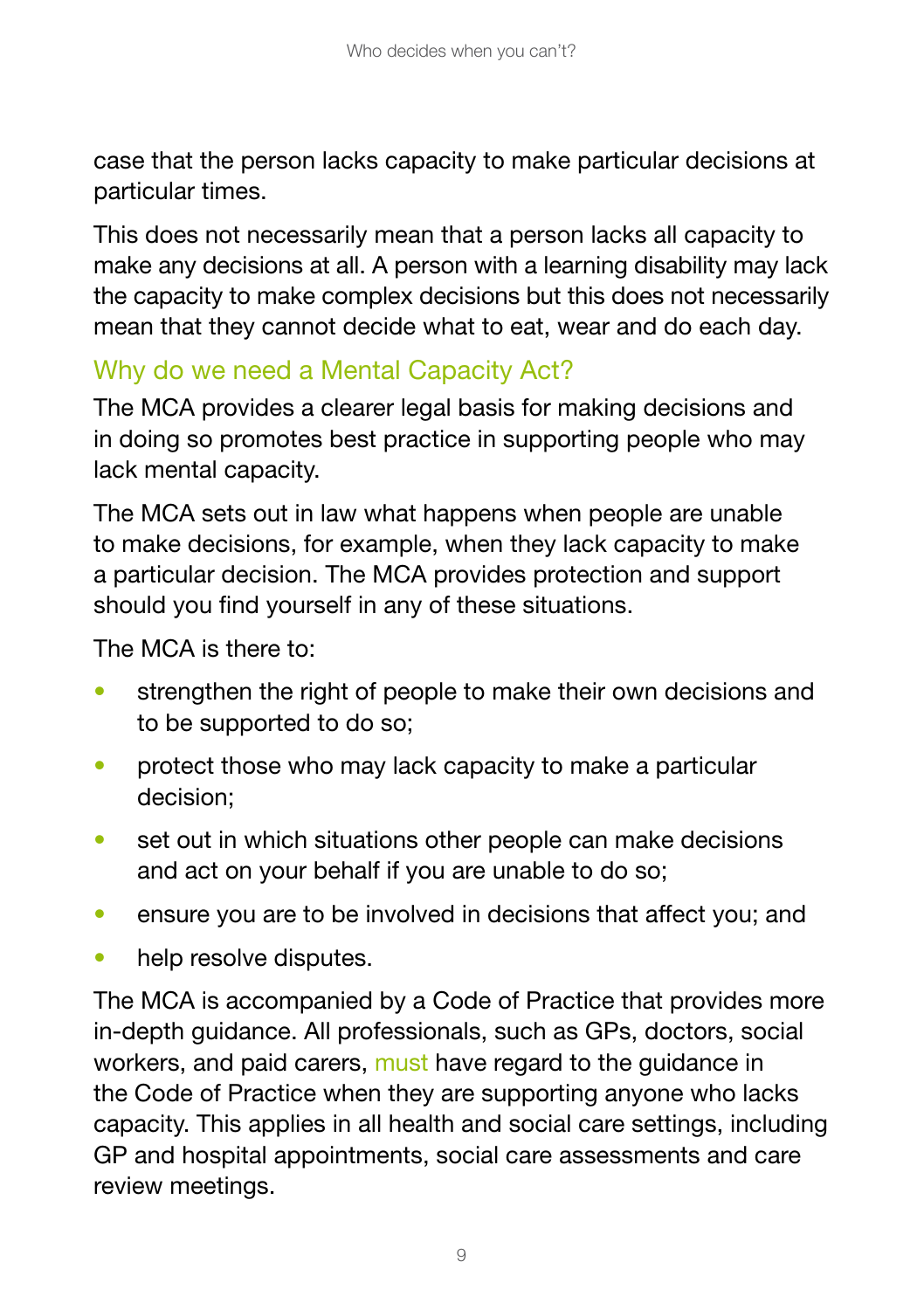case that the person lacks capacity to make particular decisions at particular times.

This does not necessarily mean that a person lacks all capacity to make any decisions at all. A person with a learning disability may lack the capacity to make complex decisions but this does not necessarily mean that they cannot decide what to eat, wear and do each day.

### Why do we need a Mental Capacity Act?

The MCA provides a clearer legal basis for making decisions and in doing so promotes best practice in supporting people who may lack mental capacity.

The MCA sets out in law what happens when people are unable to make decisions, for example, when they lack capacity to make a particular decision. The MCA provides protection and support should you find yourself in any of these situations.

The MCA is there to:

- strengthen the right of people to make their own decisions and to be supported to do so;
- protect those who may lack capacity to make a particular decision;
- set out in which situations other people can make decisions and act on your behalf if you are unable to do so;
- ensure you are to be involved in decisions that affect you; and
- help resolve disputes.

The MCA is accompanied by a Code of Practice that provides more in-depth guidance. All professionals, such as GPs, doctors, social workers, and paid carers, must have regard to the guidance in the Code of Practice when they are supporting anyone who lacks capacity. This applies in all health and social care settings, including GP and hospital appointments, social care assessments and care review meetings.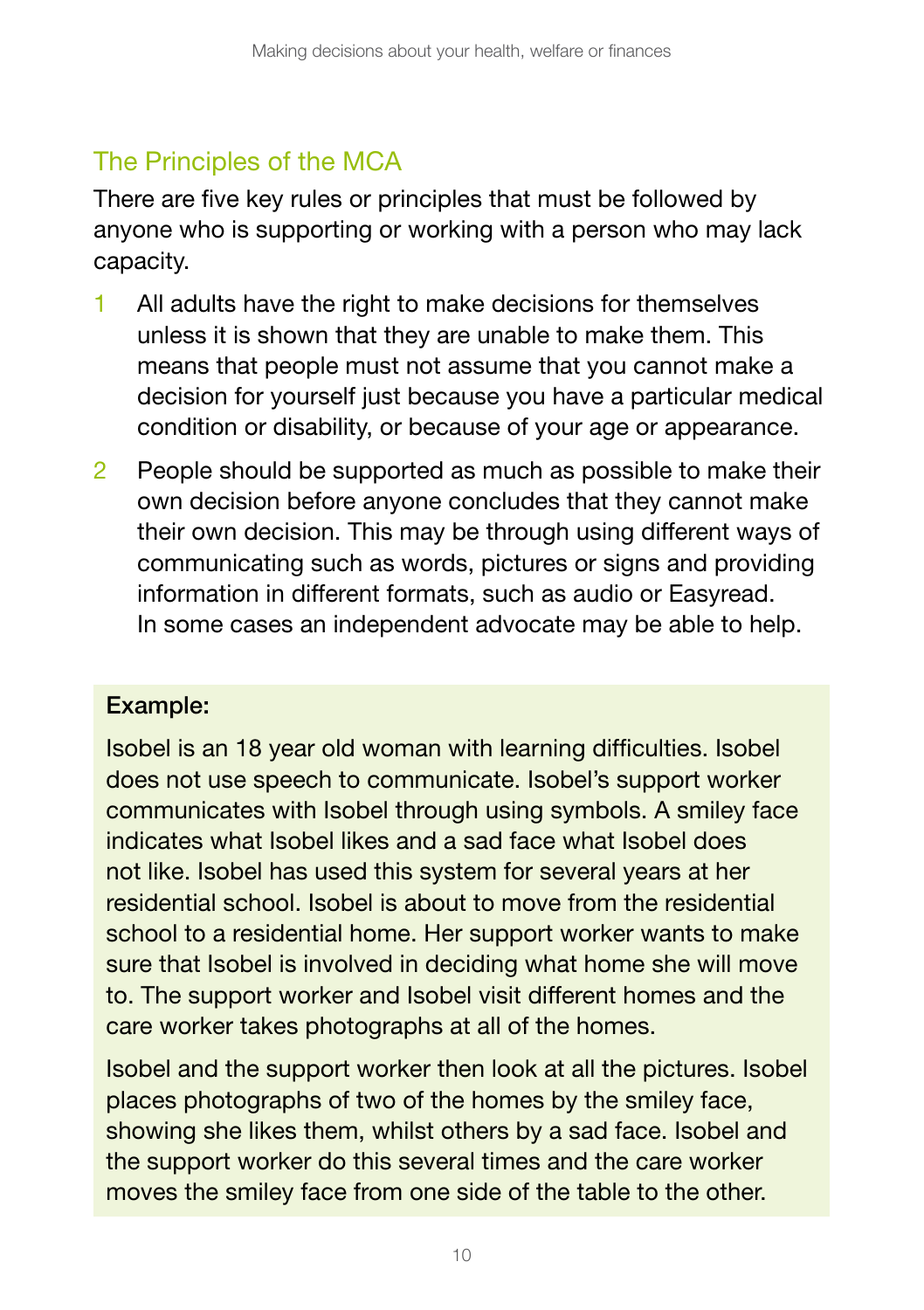### The Principles of the MCA

There are five key rules or principles that must be followed by anyone who is supporting or working with a person who may lack capacity.

- 1 All adults have the right to make decisions for themselves unless it is shown that they are unable to make them. This means that people must not assume that you cannot make a decision for yourself just because you have a particular medical condition or disability, or because of your age or appearance.
- 2 People should be supported as much as possible to make their own decision before anyone concludes that they cannot make their own decision. This may be through using different ways of communicating such as words, pictures or signs and providing information in different formats, such as audio or Easyread. In some cases an independent advocate may be able to help.

#### Example:

Isobel is an 18 year old woman with learning difficulties. Isobel does not use speech to communicate. Isobel's support worker communicates with Isobel through using symbols. A smiley face indicates what Isobel likes and a sad face what Isobel does not like. Isobel has used this system for several years at her residential school. Isobel is about to move from the residential school to a residential home. Her support worker wants to make sure that Isobel is involved in deciding what home she will move to. The support worker and Isobel visit different homes and the care worker takes photographs at all of the homes.

Isobel and the support worker then look at all the pictures. Isobel places photographs of two of the homes by the smiley face, showing she likes them, whilst others by a sad face. Isobel and the support worker do this several times and the care worker moves the smiley face from one side of the table to the other.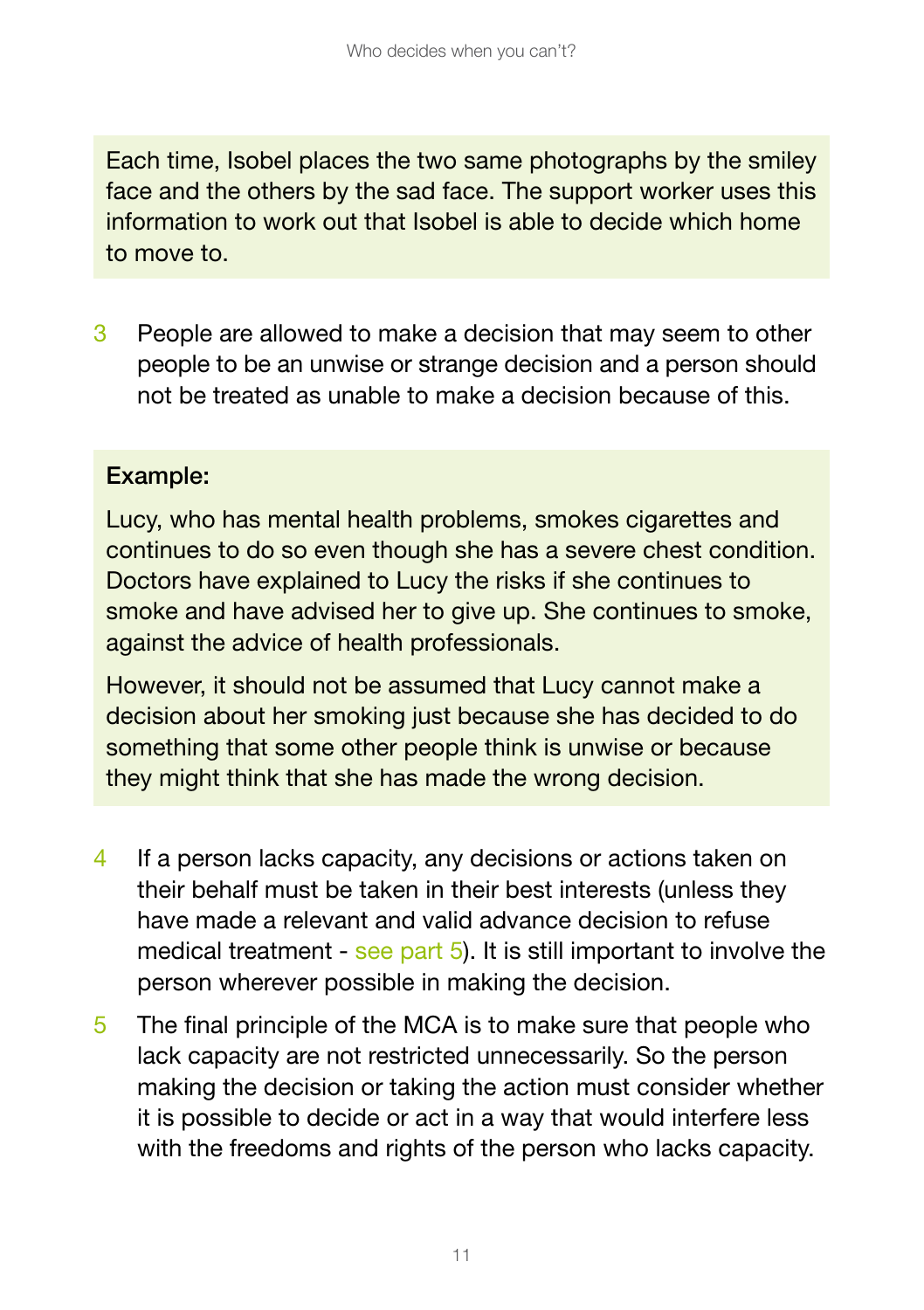Each time, Isobel places the two same photographs by the smiley face and the others by the sad face. The support worker uses this information to work out that Isobel is able to decide which home to move to.

3 People are allowed to make a decision that may seem to other people to be an unwise or strange decision and a person should not be treated as unable to make a decision because of this.

#### Example:

Lucy, who has mental health problems, smokes cigarettes and continues to do so even though she has a severe chest condition. Doctors have explained to Lucy the risks if she continues to smoke and have advised her to give up. She continues to smoke, against the advice of health professionals.

However, it should not be assumed that Lucy cannot make a decision about her smoking just because she has decided to do something that some other people think is unwise or because they might think that she has made the wrong decision.

- 4 If a person lacks capacity, any decisions or actions taken on their behalf must be taken in their best interests (unless they have made a relevant and valid advance decision to refuse medical treatment - see part 5). It is still important to involve the person wherever possible in making the decision.
- 5 The final principle of the MCA is to make sure that people who lack capacity are not restricted unnecessarily. So the person making the decision or taking the action must consider whether it is possible to decide or act in a way that would interfere less with the freedoms and rights of the person who lacks capacity.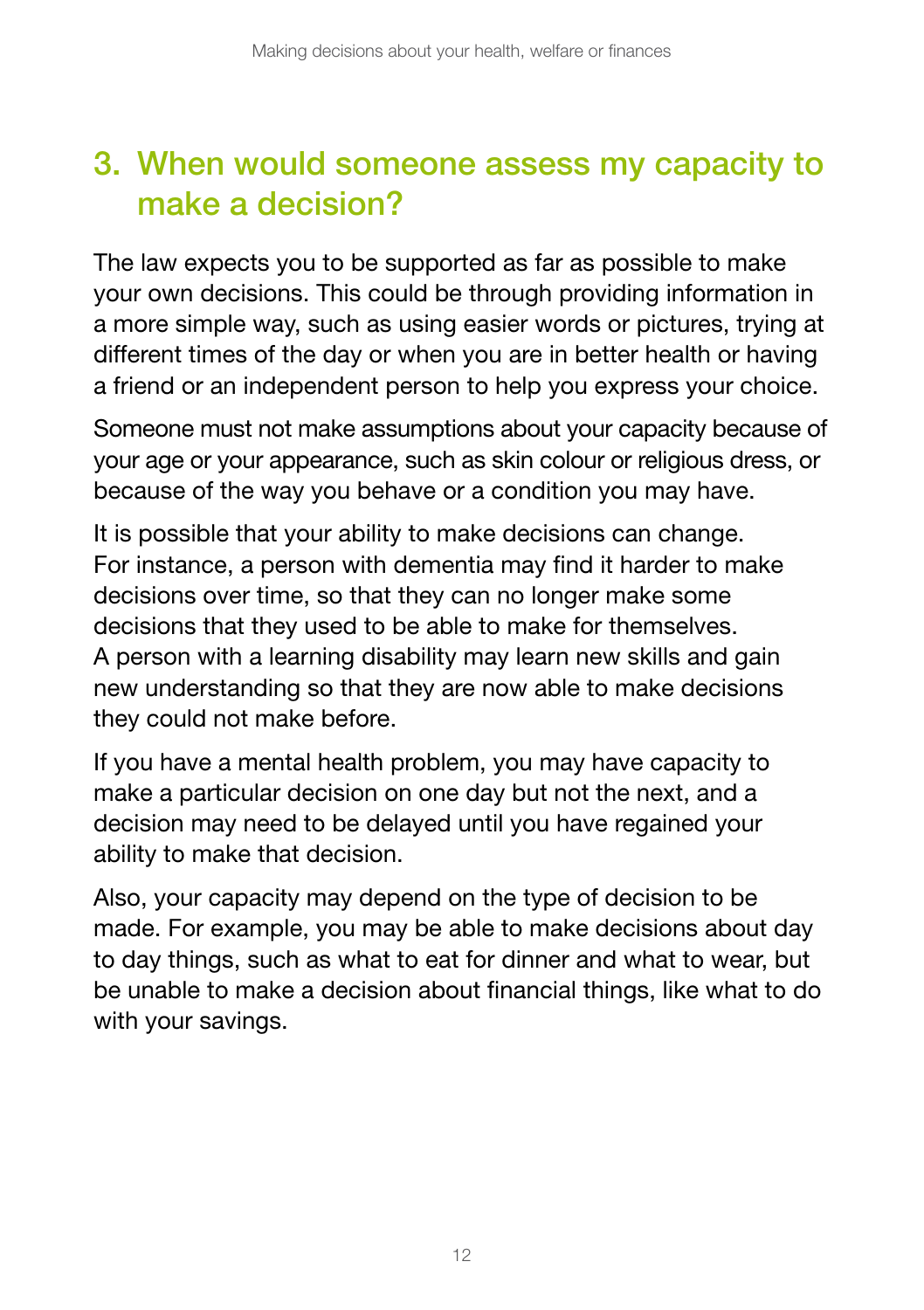## 3. When would someone assess my capacity to make a decision?

The law expects you to be supported as far as possible to make your own decisions. This could be through providing information in a more simple way, such as using easier words or pictures, trying at different times of the day or when you are in better health or having a friend or an independent person to help you express your choice.

Someone must not make assumptions about your capacity because of your age or your appearance, such as skin colour or religious dress, or because of the way you behave or a condition you may have.

It is possible that your ability to make decisions can change. For instance, a person with dementia may find it harder to make decisions over time, so that they can no longer make some decisions that they used to be able to make for themselves. A person with a learning disability may learn new skills and gain new understanding so that they are now able to make decisions they could not make before.

If you have a mental health problem, you may have capacity to make a particular decision on one day but not the next, and a decision may need to be delayed until you have regained your ability to make that decision.

Also, your capacity may depend on the type of decision to be made. For example, you may be able to make decisions about day to day things, such as what to eat for dinner and what to wear, but be unable to make a decision about financial things, like what to do with your savings.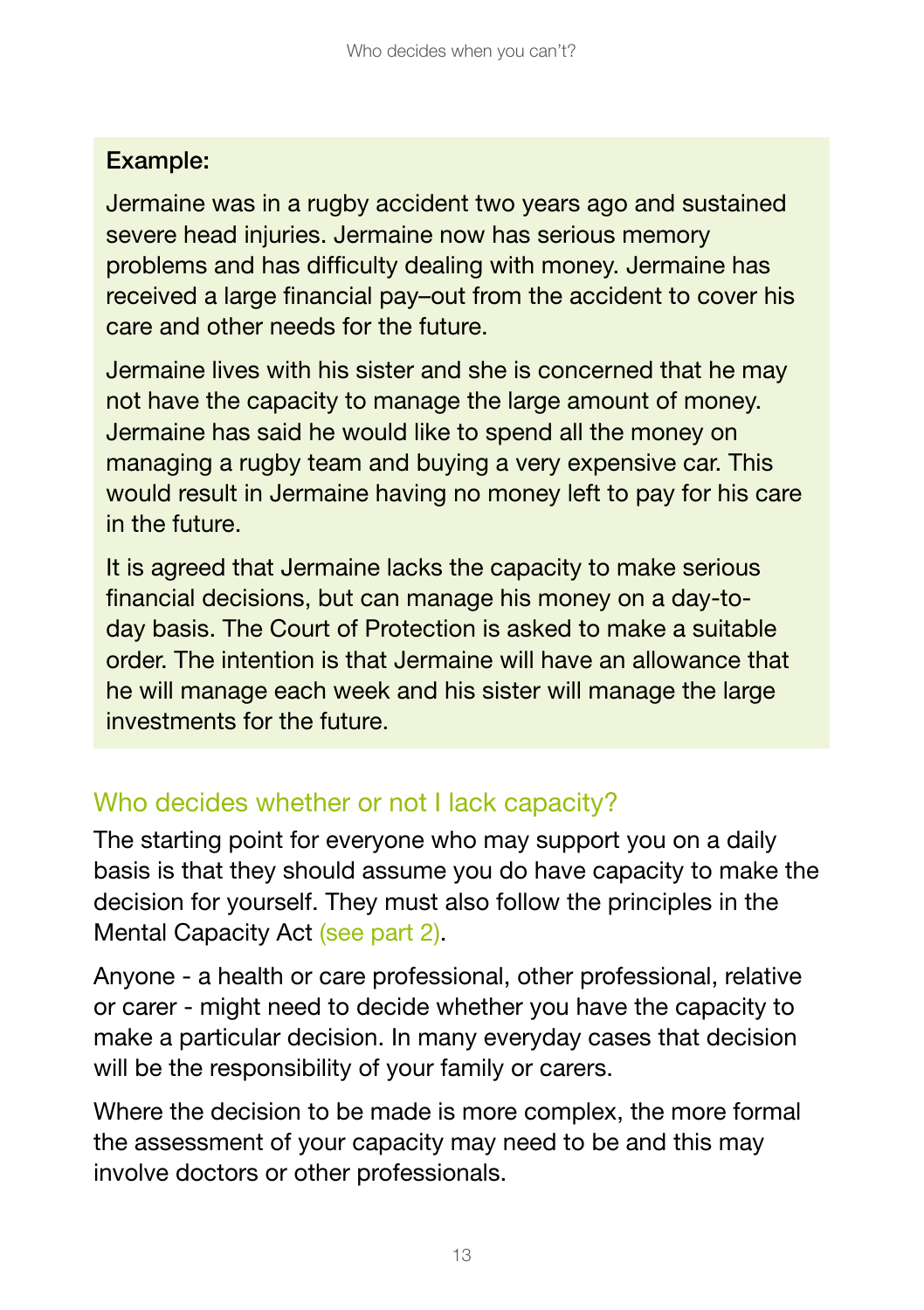#### Example:

Jermaine was in a rugby accident two years ago and sustained severe head injuries. Jermaine now has serious memory problems and has difficulty dealing with money. Jermaine has received a large financial pay–out from the accident to cover his care and other needs for the future.

Jermaine lives with his sister and she is concerned that he may not have the capacity to manage the large amount of money. Jermaine has said he would like to spend all the money on managing a rugby team and buying a very expensive car. This would result in Jermaine having no money left to pay for his care in the future.

It is agreed that Jermaine lacks the capacity to make serious financial decisions, but can manage his money on a day-today basis. The Court of Protection is asked to make a suitable order. The intention is that Jermaine will have an allowance that he will manage each week and his sister will manage the large investments for the future.

### Who decides whether or not I lack capacity?

The starting point for everyone who may support you on a daily basis is that they should assume you do have capacity to make the decision for yourself. They must also follow the principles in the Mental Capacity Act (see part 2).

Anyone - a health or care professional, other professional, relative or carer - might need to decide whether you have the capacity to make a particular decision. In many everyday cases that decision will be the responsibility of your family or carers.

Where the decision to be made is more complex, the more formal the assessment of your capacity may need to be and this may involve doctors or other professionals.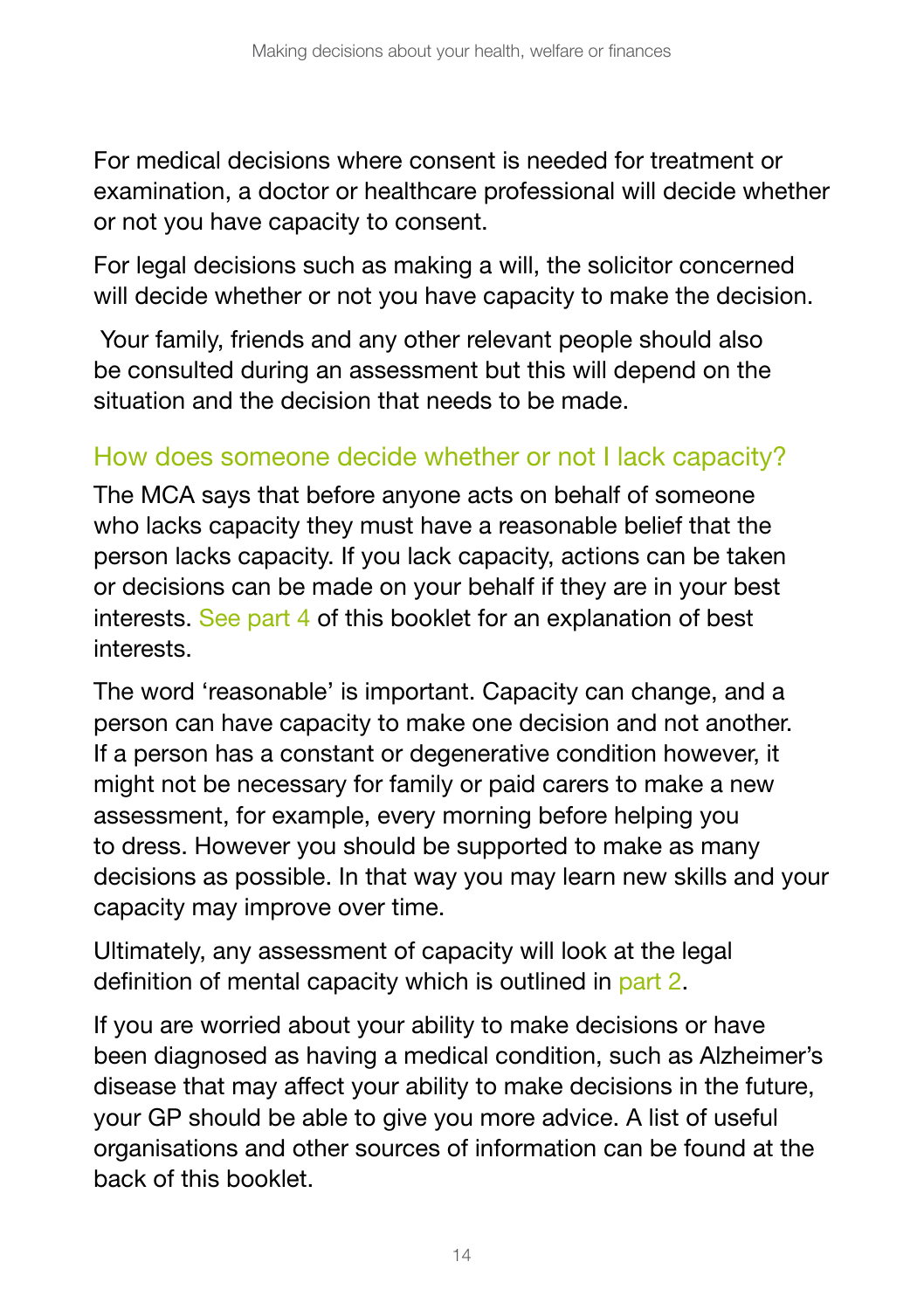For medical decisions where consent is needed for treatment or examination, a doctor or healthcare professional will decide whether or not you have capacity to consent.

For legal decisions such as making a will, the solicitor concerned will decide whether or not you have capacity to make the decision.

 Your family, friends and any other relevant people should also be consulted during an assessment but this will depend on the situation and the decision that needs to be made.

#### How does someone decide whether or not I lack capacity?

The MCA says that before anyone acts on behalf of someone who lacks capacity they must have a reasonable belief that the person lacks capacity. If you lack capacity, actions can be taken or decisions can be made on your behalf if they are in your best interests. See part 4 of this booklet for an explanation of best interests.

The word 'reasonable' is important. Capacity can change, and a person can have capacity to make one decision and not another. If a person has a constant or degenerative condition however, it might not be necessary for family or paid carers to make a new assessment, for example, every morning before helping you to dress. However you should be supported to make as many decisions as possible. In that way you may learn new skills and your capacity may improve over time.

Ultimately, any assessment of capacity will look at the legal definition of mental capacity which is outlined in part 2.

If you are worried about your ability to make decisions or have been diagnosed as having a medical condition, such as Alzheimer's disease that may affect your ability to make decisions in the future, your GP should be able to give you more advice. A list of useful organisations and other sources of information can be found at the back of this booklet.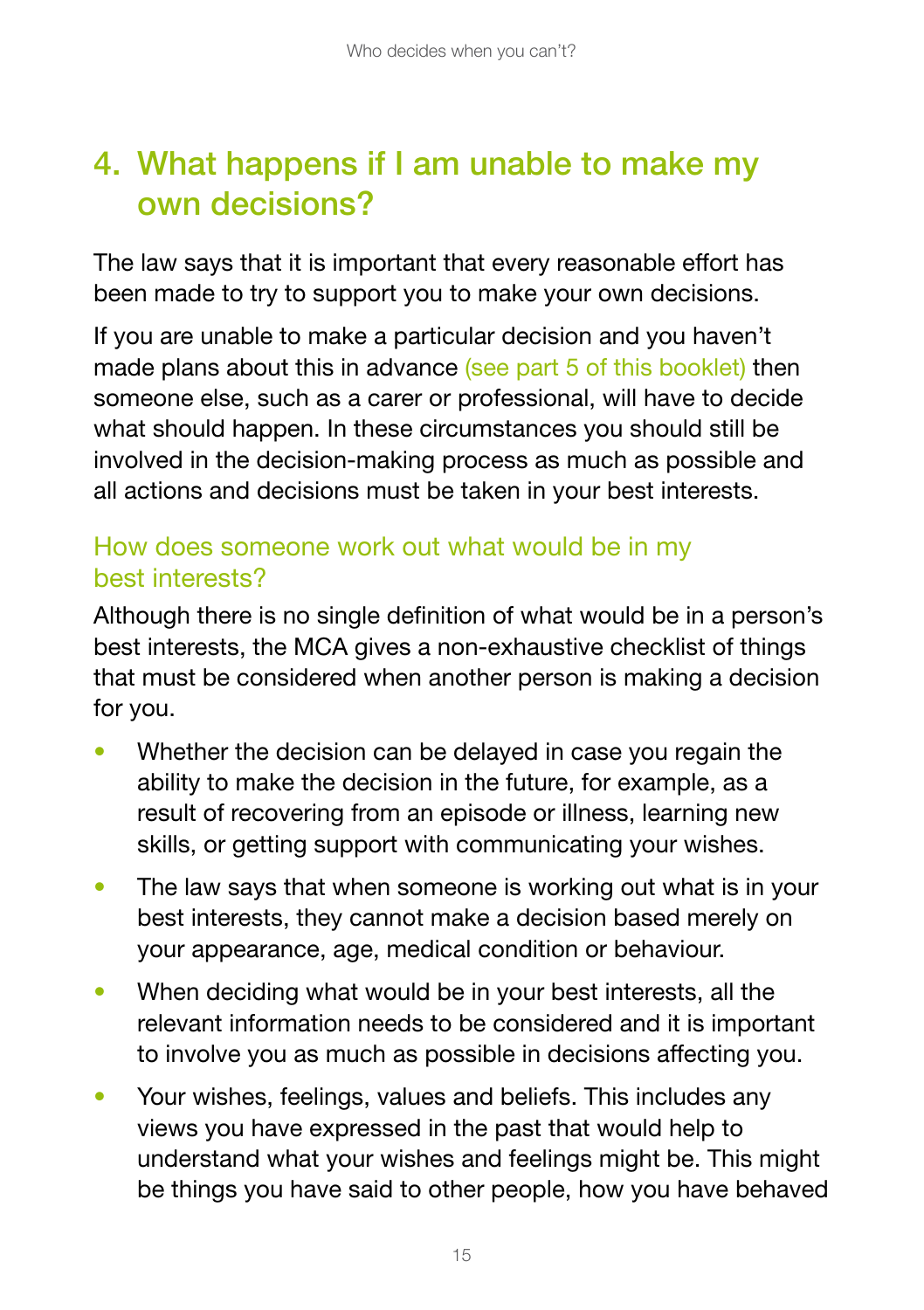## 4. What happens if I am unable to make my own decisions?

The law says that it is important that every reasonable effort has been made to try to support you to make your own decisions.

If you are unable to make a particular decision and you haven't made plans about this in advance (see part 5 of this booklet) then someone else, such as a carer or professional, will have to decide what should happen. In these circumstances you should still be involved in the decision-making process as much as possible and all actions and decisions must be taken in your best interests.

### How does someone work out what would be in my best interests?

Although there is no single definition of what would be in a person's best interests, the MCA gives a non-exhaustive checklist of things that must be considered when another person is making a decision for you.

- Whether the decision can be delayed in case you regain the ability to make the decision in the future, for example, as a result of recovering from an episode or illness, learning new skills, or getting support with communicating your wishes.
- The law says that when someone is working out what is in your best interests, they cannot make a decision based merely on your appearance, age, medical condition or behaviour.
- When deciding what would be in your best interests, all the relevant information needs to be considered and it is important to involve you as much as possible in decisions affecting you.
- Your wishes, feelings, values and beliefs. This includes any views you have expressed in the past that would help to understand what your wishes and feelings might be. This might be things you have said to other people, how you have behaved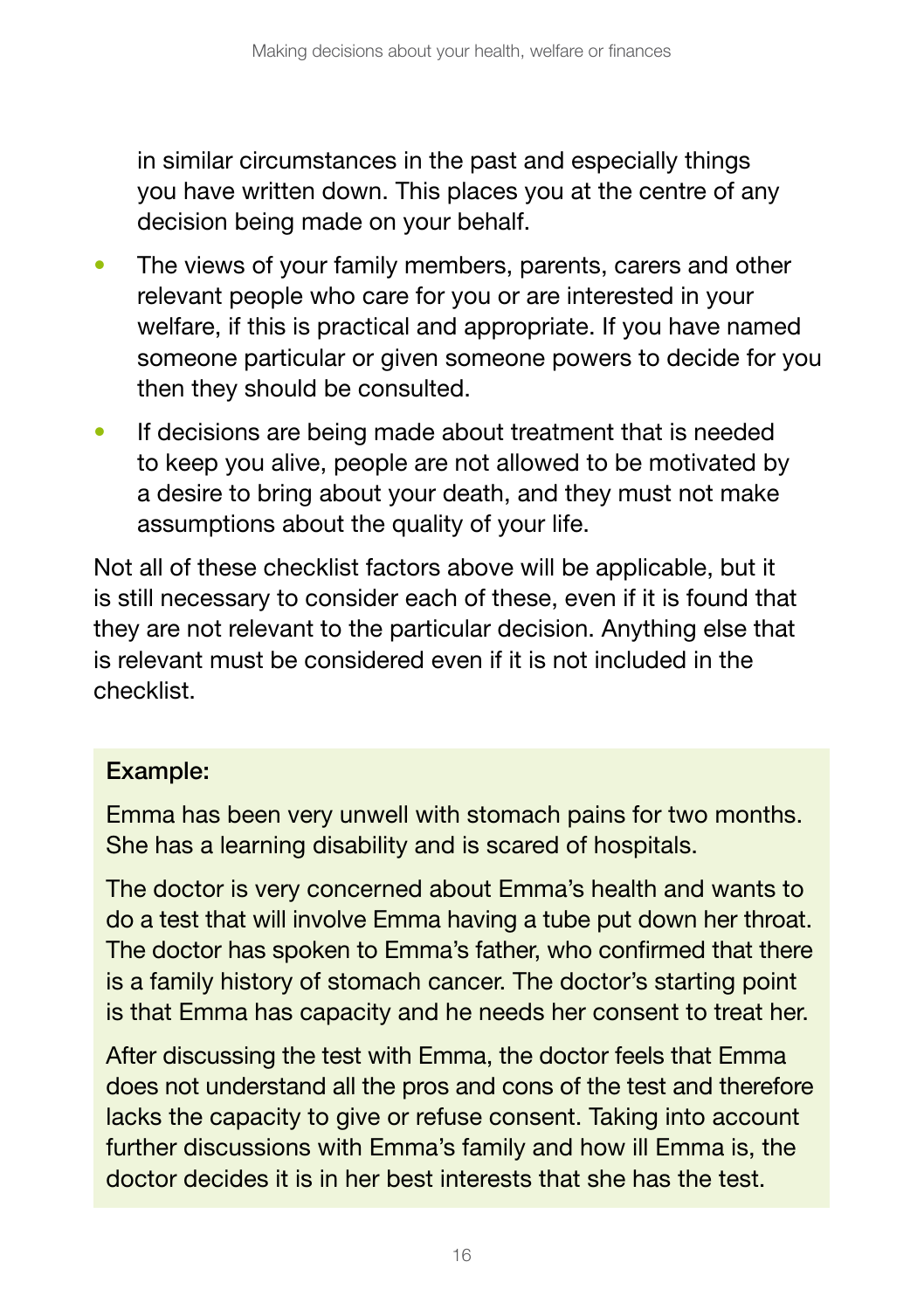in similar circumstances in the past and especially things you have written down. This places you at the centre of any decision being made on your behalf.

- The views of your family members, parents, carers and other relevant people who care for you or are interested in your welfare, if this is practical and appropriate. If you have named someone particular or given someone powers to decide for you then they should be consulted.
- If decisions are being made about treatment that is needed to keep you alive, people are not allowed to be motivated by a desire to bring about your death, and they must not make assumptions about the quality of your life.

Not all of these checklist factors above will be applicable, but it is still necessary to consider each of these, even if it is found that they are not relevant to the particular decision. Anything else that is relevant must be considered even if it is not included in the checklist.

#### Example:

Emma has been very unwell with stomach pains for two months. She has a learning disability and is scared of hospitals.

The doctor is very concerned about Emma's health and wants to do a test that will involve Emma having a tube put down her throat. The doctor has spoken to Emma's father, who confirmed that there is a family history of stomach cancer. The doctor's starting point is that Emma has capacity and he needs her consent to treat her.

After discussing the test with Emma, the doctor feels that Emma does not understand all the pros and cons of the test and therefore lacks the capacity to give or refuse consent. Taking into account further discussions with Emma's family and how ill Emma is, the doctor decides it is in her best interests that she has the test.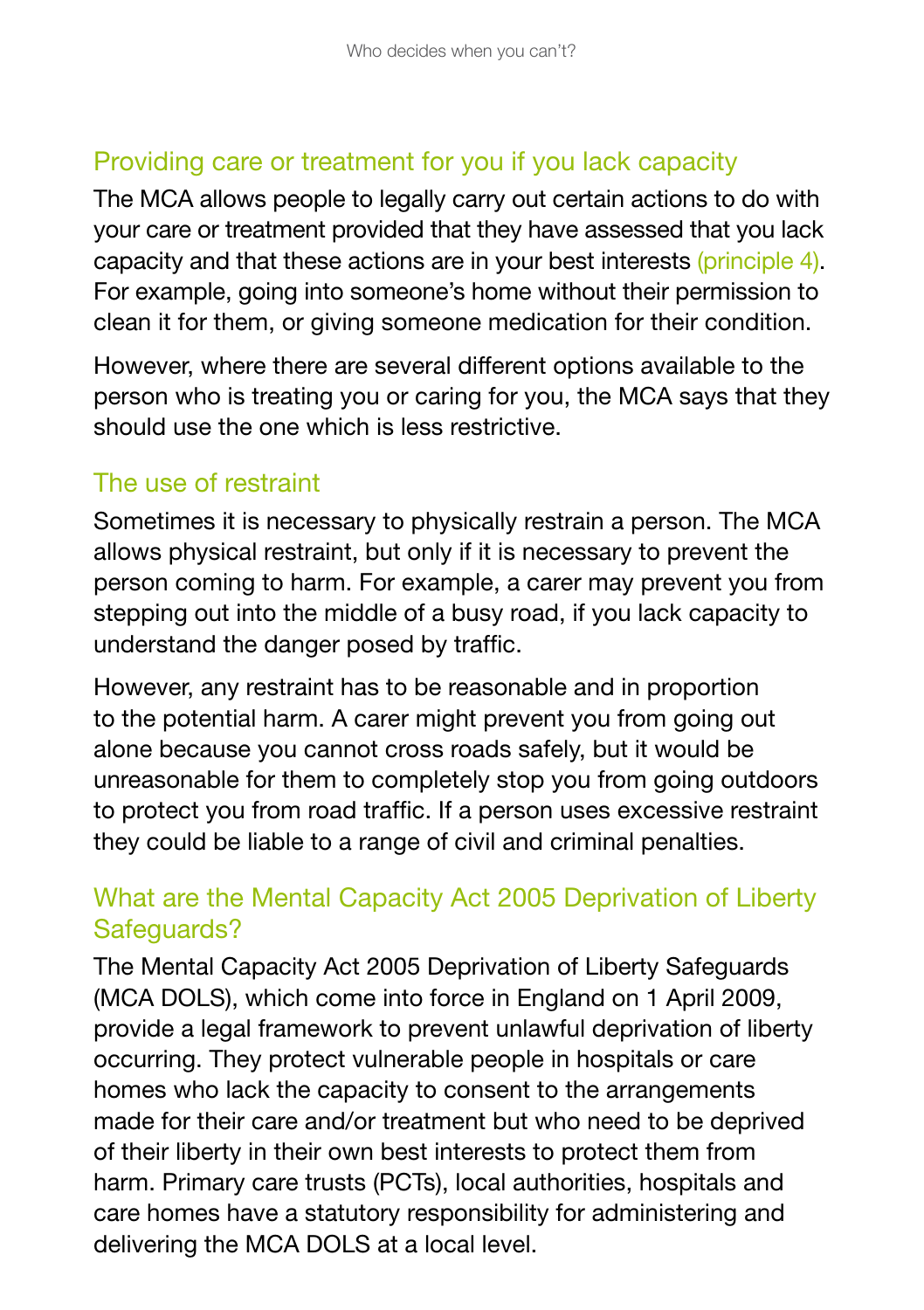### Providing care or treatment for you if you lack capacity

The MCA allows people to legally carry out certain actions to do with your care or treatment provided that they have assessed that you lack capacity and that these actions are in your best interests (principle 4). For example, going into someone's home without their permission to clean it for them, or giving someone medication for their condition.

However, where there are several different options available to the person who is treating you or caring for you, the MCA says that they should use the one which is less restrictive.

#### The use of restraint

Sometimes it is necessary to physically restrain a person. The MCA allows physical restraint, but only if it is necessary to prevent the person coming to harm. For example, a carer may prevent you from stepping out into the middle of a busy road, if you lack capacity to understand the danger posed by traffic.

However, any restraint has to be reasonable and in proportion to the potential harm. A carer might prevent you from going out alone because you cannot cross roads safely, but it would be unreasonable for them to completely stop you from going outdoors to protect you from road traffic. If a person uses excessive restraint they could be liable to a range of civil and criminal penalties.

### What are the Mental Capacity Act 2005 Deprivation of Liberty Safeguards?

17 delivering the MCA DOLS at a local level.The Mental Capacity Act 2005 Deprivation of Liberty Safeguards (MCA DOLS), which come into force in England on 1 April 2009, provide a legal framework to prevent unlawful deprivation of liberty occurring. They protect vulnerable people in hospitals or care homes who lack the capacity to consent to the arrangements made for their care and/or treatment but who need to be deprived of their liberty in their own best interests to protect them from harm. Primary care trusts (PCTs), local authorities, hospitals and care homes have a statutory responsibility for administering and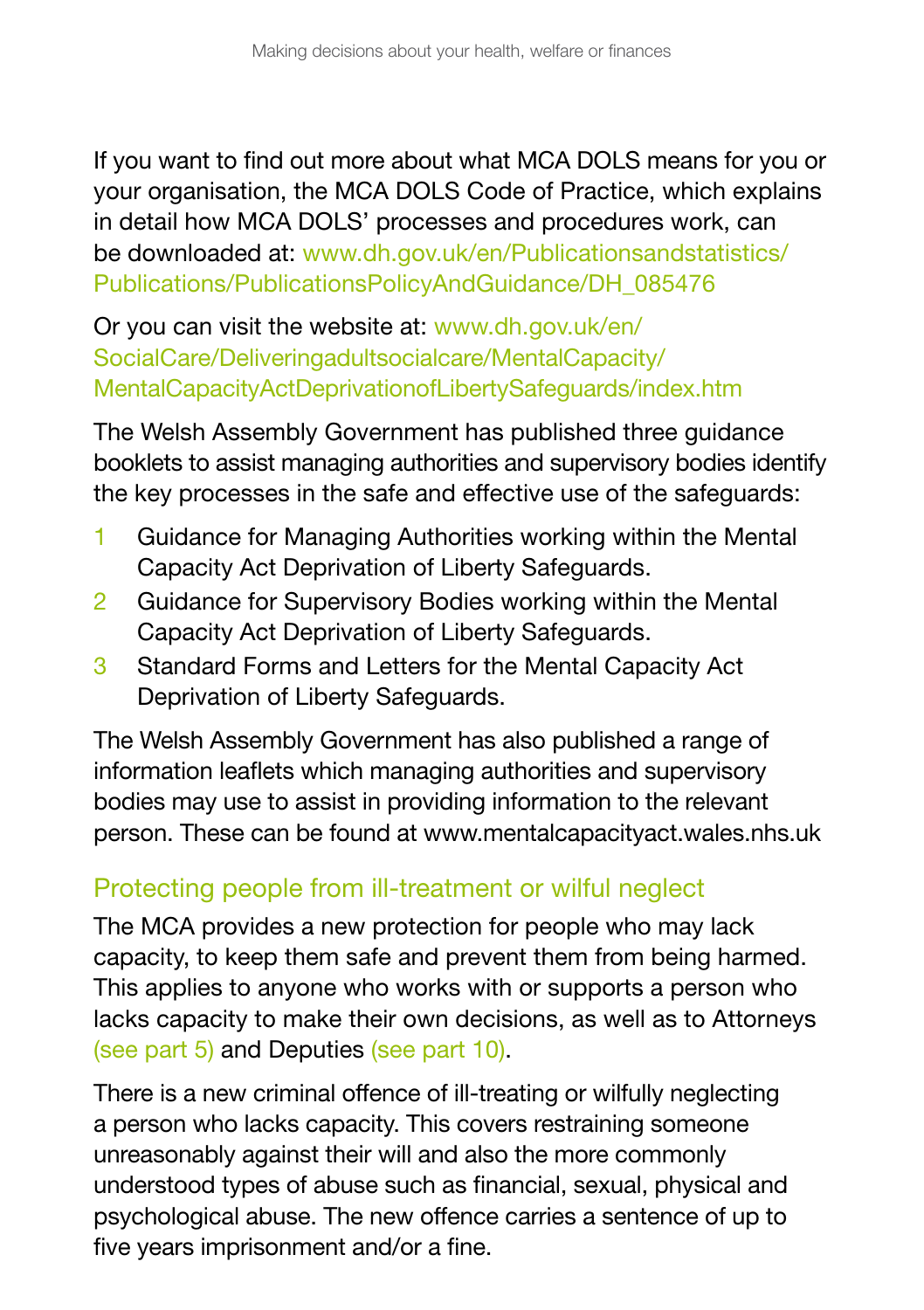If you want to find out more about what MCA DOLS means for you or your organisation, the MCA DOLS Code of Practice, which explains in detail how MCA DOLS' processes and procedures work, can be downloaded at: [www.dh.gov.uk/en/Publicationsandstatistics/](http://www.dh.gov.uk/en/Publicationsandstatistics/Publications/PublicationsPolicyAndGuidance/DH_085476) [Publications/PublicationsPolicyAndGuidance/DH\\_085476](http://www.dh.gov.uk/en/Publicationsandstatistics/Publications/PublicationsPolicyAndGuidance/DH_085476)

Or you can visit the website at: [www.dh.gov.uk/en/](http://www.dh.gov.uk/en/SocialCare/Deliveringadultsocialcare/MentalCapacity/MentalCapacityActDeprivationofLibertySafeguards/index.htm) [SocialCare/Deliveringadultsocialcare/MentalCapacity/](http://www.dh.gov.uk/en/SocialCare/Deliveringadultsocialcare/MentalCapacity/MentalCapacityActDeprivationofLibertySafeguards/index.htm) [MentalCapacityActDeprivationofLibertySafeguards/index.htm](http://www.dh.gov.uk/en/SocialCare/Deliveringadultsocialcare/MentalCapacity/MentalCapacityActDeprivationofLibertySafeguards/index.htm)

The Welsh Assembly Government has published three guidance booklets to assist managing authorities and supervisory bodies identify the key processes in the safe and effective use of the safeguards:

- 1 Guidance for Managing Authorities working within the Mental Capacity Act Deprivation of Liberty Safeguards.
- 2 Guidance for Supervisory Bodies working within the Mental Capacity Act Deprivation of Liberty Safeguards.
- 3 Standard Forms and Letters for the Mental Capacity Act Deprivation of Liberty Safeguards.

The Welsh Assembly Government has also published a range of information leaflets which managing authorities and supervisory bodies may use to assist in providing information to the relevant person. These can be found at [www.mentalcapacityact.wales.nhs.uk](http://www.mentalcapacityact.wales.nhs.uk) 

### Protecting people from ill-treatment or wilful neglect

The MCA provides a new protection for people who may lack capacity, to keep them safe and prevent them from being harmed. This applies to anyone who works with or supports a person who lacks capacity to make their own decisions, as well as to Attorneys (see part 5) and Deputies (see part 10).

five years imprisonment and/or a fine. There is a new criminal offence of ill-treating or wilfully neglecting a person who lacks capacity. This covers restraining someone unreasonably against their will and also the more commonly understood types of abuse such as financial, sexual, physical and psychological abuse. The new offence carries a sentence of up to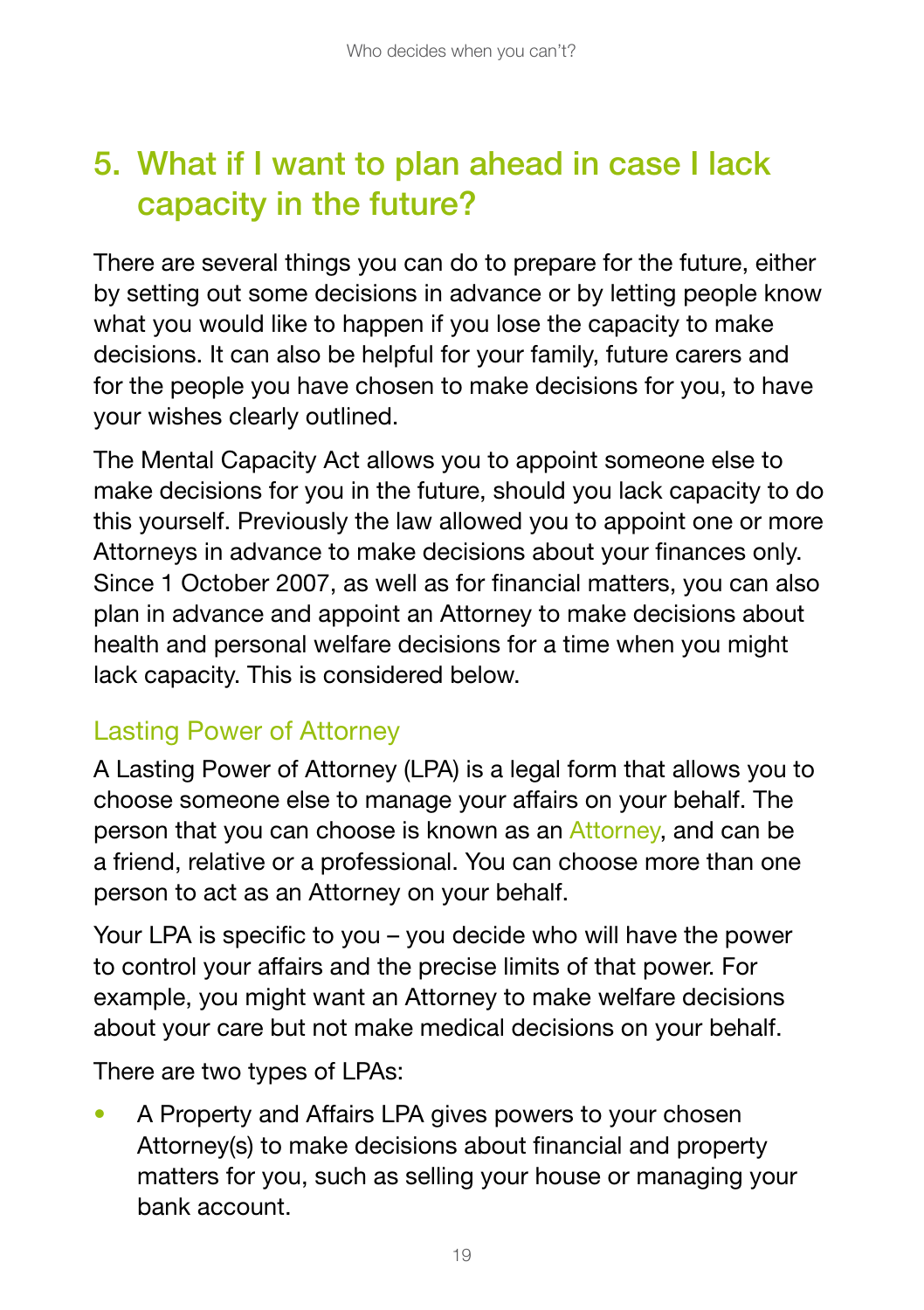## 5. What if I want to plan ahead in case I lack capacity in the future?

There are several things you can do to prepare for the future, either by setting out some decisions in advance or by letting people know what you would like to happen if you lose the capacity to make decisions. It can also be helpful for your family, future carers and for the people you have chosen to make decisions for you, to have your wishes clearly outlined.

The Mental Capacity Act allows you to appoint someone else to make decisions for you in the future, should you lack capacity to do this yourself. Previously the law allowed you to appoint one or more Attorneys in advance to make decisions about your finances only. Since 1 October 2007, as well as for financial matters, you can also plan in advance and appoint an Attorney to make decisions about health and personal welfare decisions for a time when you might lack capacity. This is considered below.

### Lasting Power of Attorney

A Lasting Power of Attorney (LPA) is a legal form that allows you to choose someone else to manage your affairs on your behalf. The person that you can choose is known as an Attorney, and can be a friend, relative or a professional. You can choose more than one person to act as an Attorney on your behalf.

Your LPA is specific to you – you decide who will have the power to control your affairs and the precise limits of that power. For example, you might want an Attorney to make welfare decisions about your care but not make medical decisions on your behalf.

There are two types of LPAs:

• A Property and Affairs LPA gives powers to your chosen Attorney(s) to make decisions about financial and property matters for you, such as selling your house or managing your bank account.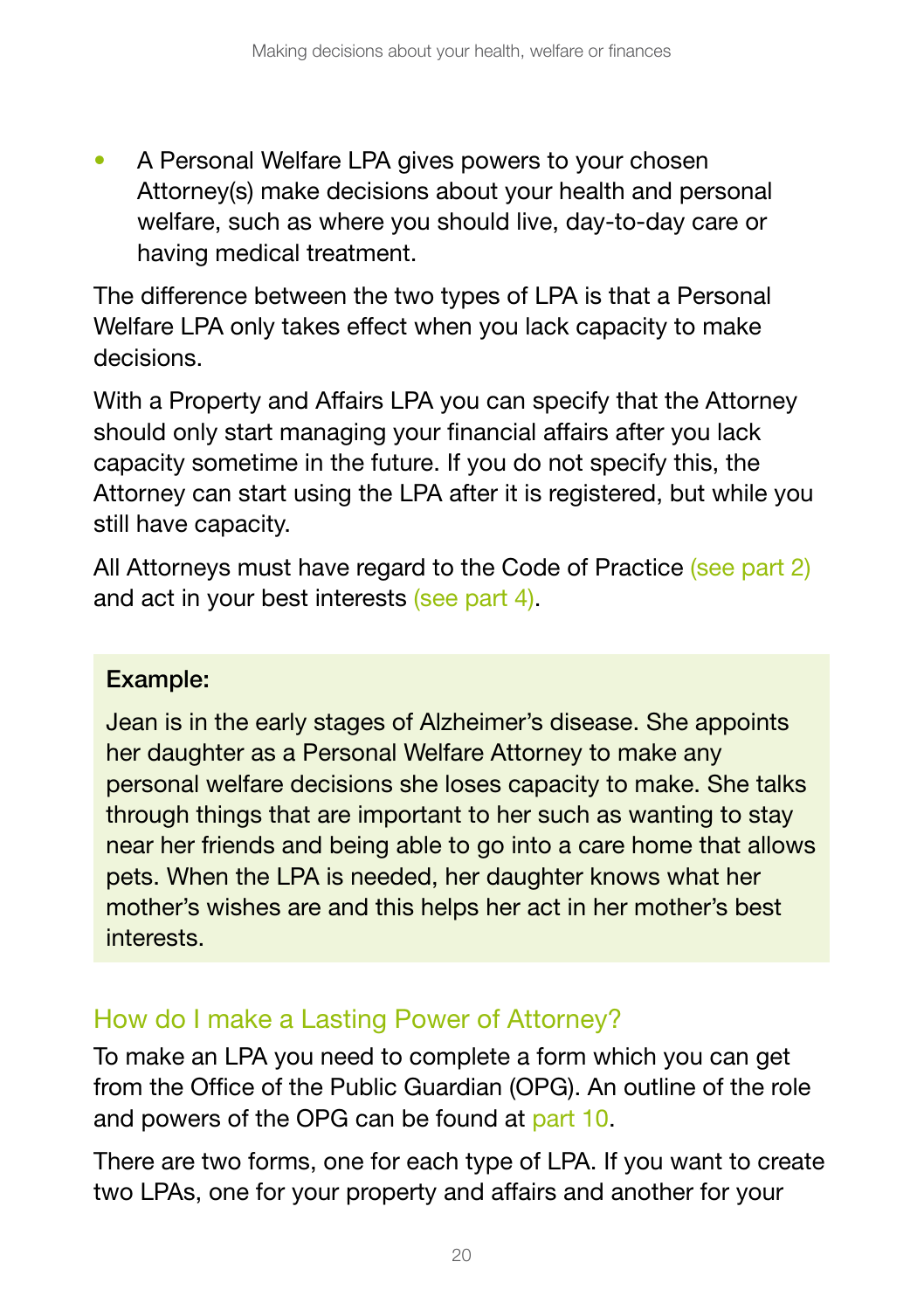• A Personal Welfare LPA gives powers to your chosen Attorney(s) make decisions about your health and personal welfare, such as where you should live, day-to-day care or having medical treatment.

The difference between the two types of LPA is that a Personal Welfare LPA only takes effect when you lack capacity to make decisions.

With a Property and Affairs LPA you can specify that the Attorney should only start managing your financial affairs after you lack capacity sometime in the future. If you do not specify this, the Attorney can start using the LPA after it is registered, but while you still have capacity.

All Attorneys must have regard to the Code of Practice (see part 2) and act in your best interests (see part 4).

#### Example:

Jean is in the early stages of Alzheimer's disease. She appoints her daughter as a Personal Welfare Attorney to make any personal welfare decisions she loses capacity to make. She talks through things that are important to her such as wanting to stay near her friends and being able to go into a care home that allows pets. When the LPA is needed, her daughter knows what her mother's wishes are and this helps her act in her mother's best interests.

### How do I make a Lasting Power of Attorney?

To make an LPA you need to complete a form which you can get from the Office of the Public Guardian (OPG). An outline of the role and powers of the OPG can be found at part 10.

There are two forms, one for each type of LPA. If you want to create two LPAs, one for your property and affairs and another for your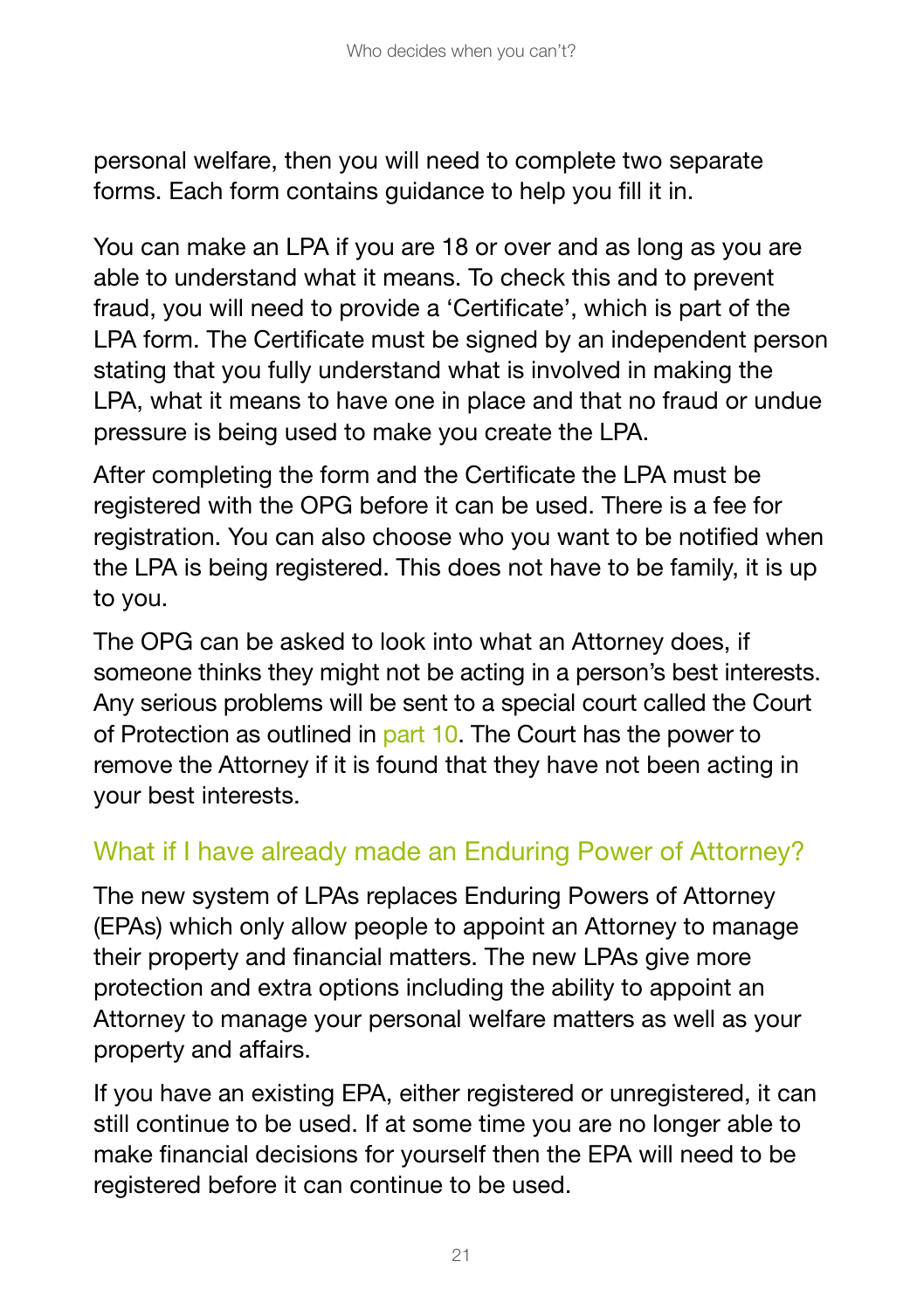personal welfare, then you will need to complete two separate forms. Each form contains guidance to help you fill it in.

You can make an LPA if you are 18 or over and as long as you are able to understand what it means. To check this and to prevent fraud, you will need to provide a 'Certificate', which is part of the LPA form. The Certificate must be signed by an independent person stating that you fully understand what is involved in making the LPA, what it means to have one in place and that no fraud or undue pressure is being used to make you create the LPA.

After completing the form and the Certificate the LPA must be registered with the OPG before it can be used. There is a fee for registration. You can also choose who you want to be notified when the LPA is being registered. This does not have to be family, it is up to you.

The OPG can be asked to look into what an Attorney does, if someone thinks they might not be acting in a person's best interests. Any serious problems will be sent to a special court called the Court of Protection as outlined in part 10. The Court has the power to remove the Attorney if it is found that they have not been acting in your best interests.

### What if I have already made an Enduring Power of Attorney?

The new system of LPAs replaces Enduring Powers of Attorney (EPAs) which only allow people to appoint an Attorney to manage their property and financial matters. The new LPAs give more protection and extra options including the ability to appoint an Attorney to manage your personal welfare matters as well as your property and affairs.

If you have an existing EPA, either registered or unregistered, it can still continue to be used. If at some time you are no longer able to make financial decisions for yourself then the EPA will need to be registered before it can continue to be used.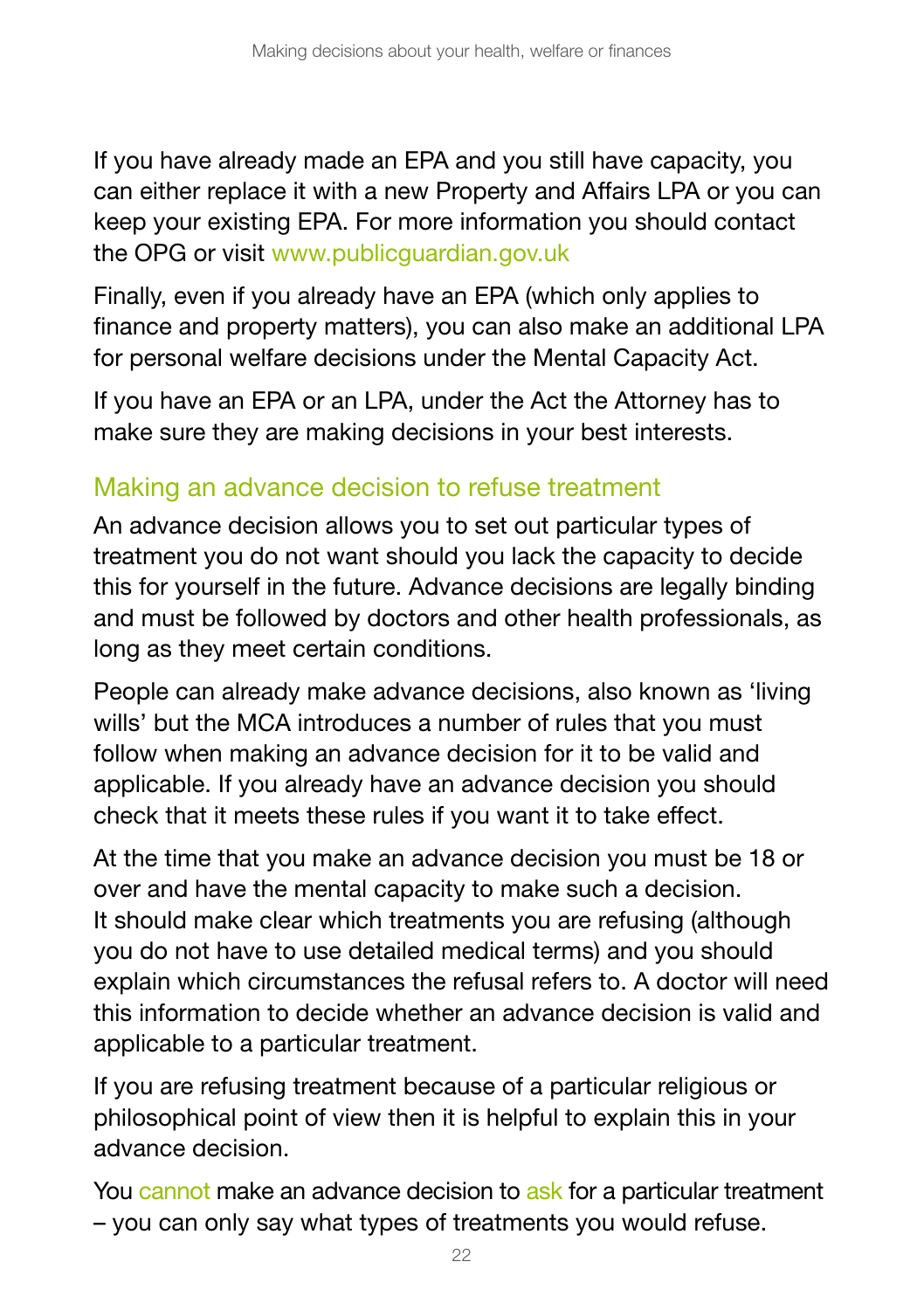If you have already made an EPA and you still have capacity, you can either replace it with a new Property and Affairs LPA or you can keep your existing EPA. For more information you should contact the OPG or visit [www.publicguardian.gov.uk](http://www.publicguardian.gov.uk) 

Finally, even if you already have an EPA (which only applies to finance and property matters), you can also make an additional LPA for personal welfare decisions under the Mental Capacity Act.

If you have an EPA or an LPA, under the Act the Attorney has to make sure they are making decisions in your best interests.

#### Making an advance decision to refuse treatment

An advance decision allows you to set out particular types of treatment you do not want should you lack the capacity to decide this for yourself in the future. Advance decisions are legally binding and must be followed by doctors and other health professionals, as long as they meet certain conditions.

People can already make advance decisions, also known as 'living wills' but the MCA introduces a number of rules that you must follow when making an advance decision for it to be valid and applicable. If you already have an advance decision you should check that it meets these rules if you want it to take effect.

At the time that you make an advance decision you must be 18 or over and have the mental capacity to make such a decision. It should make clear which treatments you are refusing (although you do not have to use detailed medical terms) and you should explain which circumstances the refusal refers to. A doctor will need this information to decide whether an advance decision is valid and applicable to a particular treatment.

If you are refusing treatment because of a particular religious or philosophical point of view then it is helpful to explain this in your advance decision.

You cannot make an advance decision to ask for a particular treatment – you can only say what types of treatments you would refuse.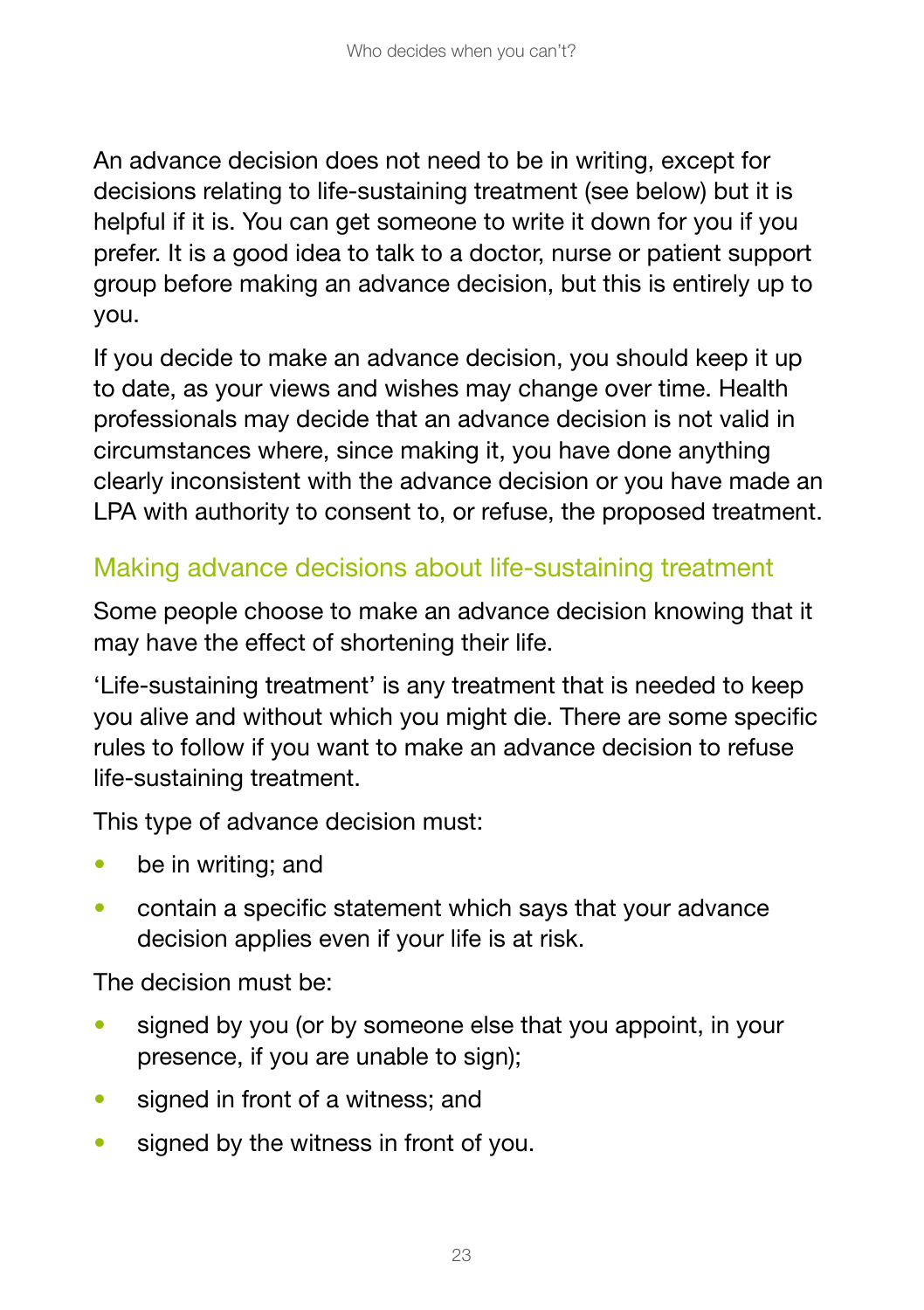An advance decision does not need to be in writing, except for decisions relating to life-sustaining treatment (see below) but it is helpful if it is. You can get someone to write it down for you if you prefer. It is a good idea to talk to a doctor, nurse or patient support group before making an advance decision, but this is entirely up to you.

If you decide to make an advance decision, you should keep it up to date, as your views and wishes may change over time. Health professionals may decide that an advance decision is not valid in circumstances where, since making it, you have done anything clearly inconsistent with the advance decision or you have made an LPA with authority to consent to, or refuse, the proposed treatment.

### Making advance decisions about life-sustaining treatment

Some people choose to make an advance decision knowing that it may have the effect of shortening their life.

'Life-sustaining treatment' is any treatment that is needed to keep you alive and without which you might die. There are some specific rules to follow if you want to make an advance decision to refuse life-sustaining treatment.

This type of advance decision must:

- be in writing; and
- contain a specific statement which says that your advance decision applies even if your life is at risk.

The decision must be:

- signed by you (or by someone else that you appoint, in your presence, if you are unable to sign);
- signed in front of a witness; and
- signed by the witness in front of you.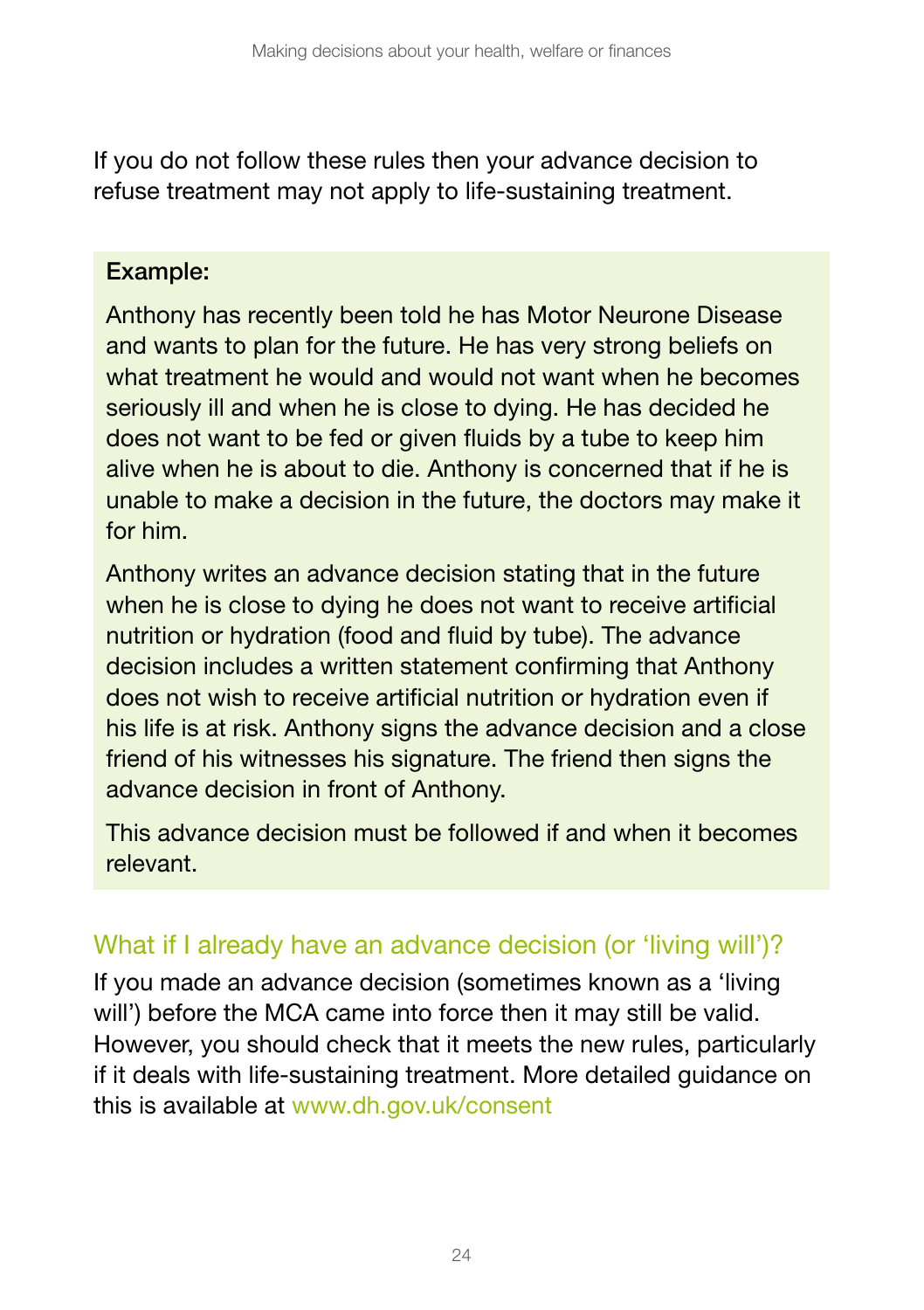If you do not follow these rules then your advance decision to refuse treatment may not apply to life-sustaining treatment.

#### Example:

Anthony has recently been told he has Motor Neurone Disease and wants to plan for the future. He has very strong beliefs on what treatment he would and would not want when he becomes seriously ill and when he is close to dying. He has decided he does not want to be fed or given fluids by a tube to keep him alive when he is about to die. Anthony is concerned that if he is unable to make a decision in the future, the doctors may make it for him.

Anthony writes an advance decision stating that in the future when he is close to dying he does not want to receive artificial nutrition or hydration (food and fluid by tube). The advance decision includes a written statement confirming that Anthony does not wish to receive artificial nutrition or hydration even if his life is at risk. Anthony signs the advance decision and a close friend of his witnesses his signature. The friend then signs the advance decision in front of Anthony.

This advance decision must be followed if and when it becomes relevant.

#### What if I already have an advance decision (or 'living will')?

If you made an advance decision (sometimes known as a 'living will') before the MCA came into force then it may still be valid. However, you should check that it meets the new rules, particularly if it deals with life-sustaining treatment. More detailed guidance on this is available at www.dh.gov.uk/consent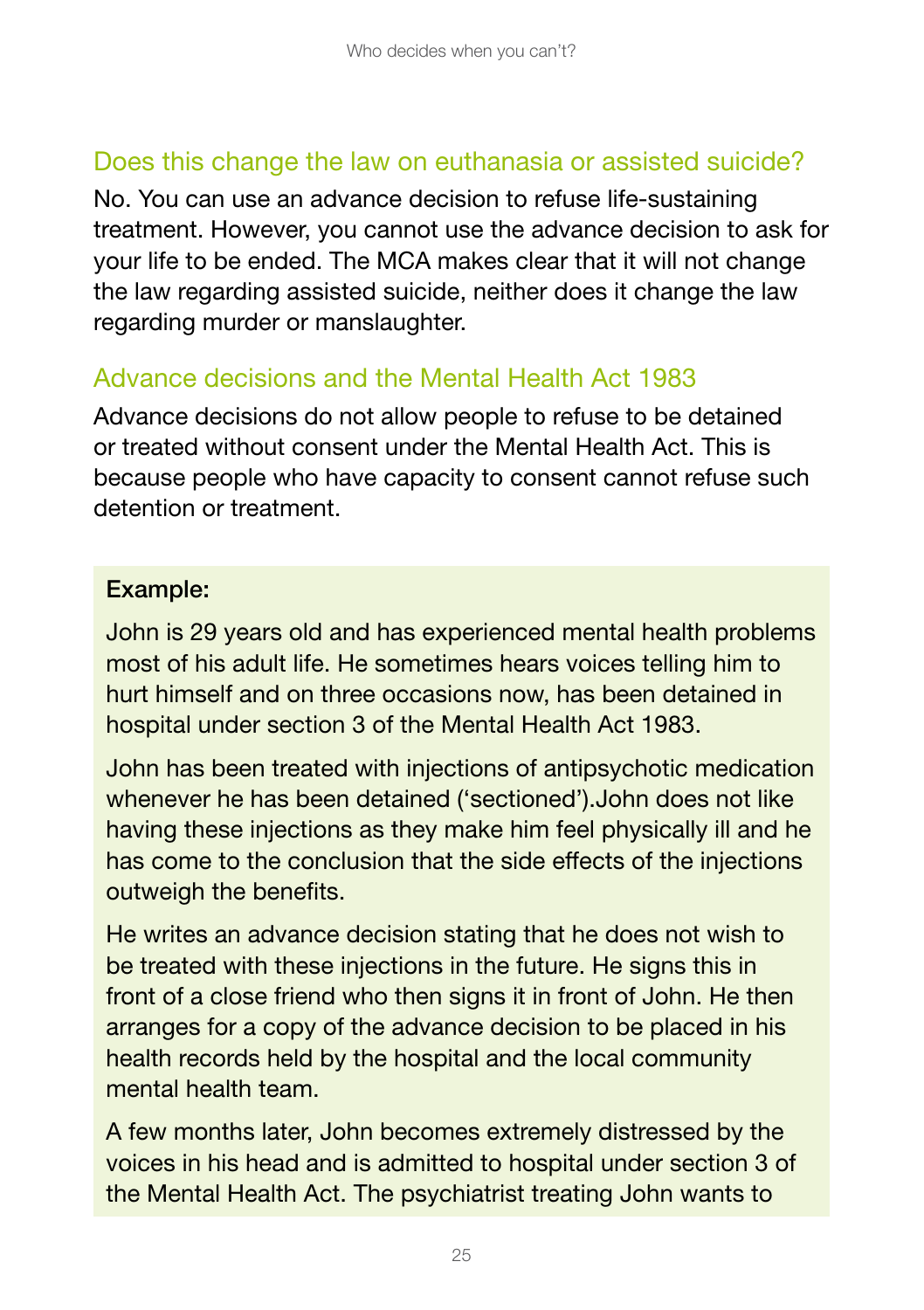#### Does this change the law on euthanasia or assisted suicide?

No. You can use an advance decision to refuse life-sustaining treatment. However, you cannot use the advance decision to ask for your life to be ended. The MCA makes clear that it will not change the law regarding assisted suicide, neither does it change the law regarding murder or manslaughter.

#### Advance decisions and the Mental Health Act 1983

Advance decisions do not allow people to refuse to be detained or treated without consent under the Mental Health Act. This is because people who have capacity to consent cannot refuse such detention or treatment.

#### Example:

John is 29 years old and has experienced mental health problems most of his adult life. He sometimes hears voices telling him to hurt himself and on three occasions now, has been detained in hospital under section 3 of the Mental Health Act 1983.

John has been treated with injections of antipsychotic medication whenever he has been detained ('sectioned').John does not like having these injections as they make him feel physically ill and he has come to the conclusion that the side effects of the injections outweigh the benefits.

He writes an advance decision stating that he does not wish to be treated with these injections in the future. He signs this in front of a close friend who then signs it in front of John. He then arranges for a copy of the advance decision to be placed in his health records held by the hospital and the local community mental health team.

A few months later, John becomes extremely distressed by the voices in his head and is admitted to hospital under section 3 of the Mental Health Act. The psychiatrist treating John wants to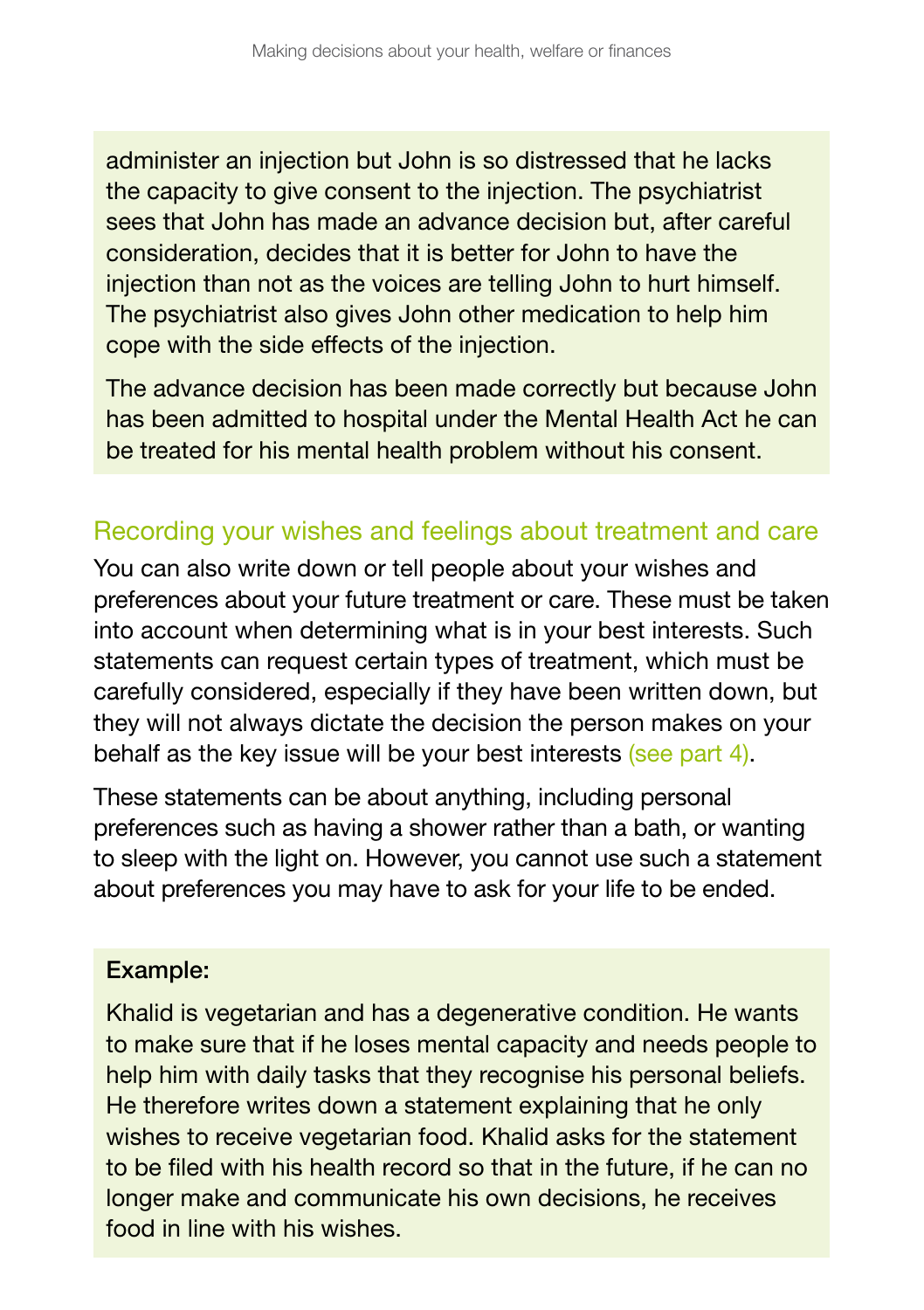administer an injection but John is so distressed that he lacks the capacity to give consent to the injection. The psychiatrist sees that John has made an advance decision but, after careful consideration, decides that it is better for John to have the injection than not as the voices are telling John to hurt himself. The psychiatrist also gives John other medication to help him cope with the side effects of the injection.

The advance decision has been made correctly but because John has been admitted to hospital under the Mental Health Act he can be treated for his mental health problem without his consent.

#### Recording your wishes and feelings about treatment and care

You can also write down or tell people about your wishes and preferences about your future treatment or care. These must be taken into account when determining what is in your best interests. Such statements can request certain types of treatment, which must be carefully considered, especially if they have been written down, but they will not always dictate the decision the person makes on your behalf as the key issue will be your best interests (see part 4).

These statements can be about anything, including personal preferences such as having a shower rather than a bath, or wanting to sleep with the light on. However, you cannot use such a statement about preferences you may have to ask for your life to be ended.

#### Example:

Khalid is vegetarian and has a degenerative condition. He wants to make sure that if he loses mental capacity and needs people to help him with daily tasks that they recognise his personal beliefs. He therefore writes down a statement explaining that he only wishes to receive vegetarian food. Khalid asks for the statement to be filed with his health record so that in the future, if he can no longer make and communicate his own decisions, he receives food in line with his wishes.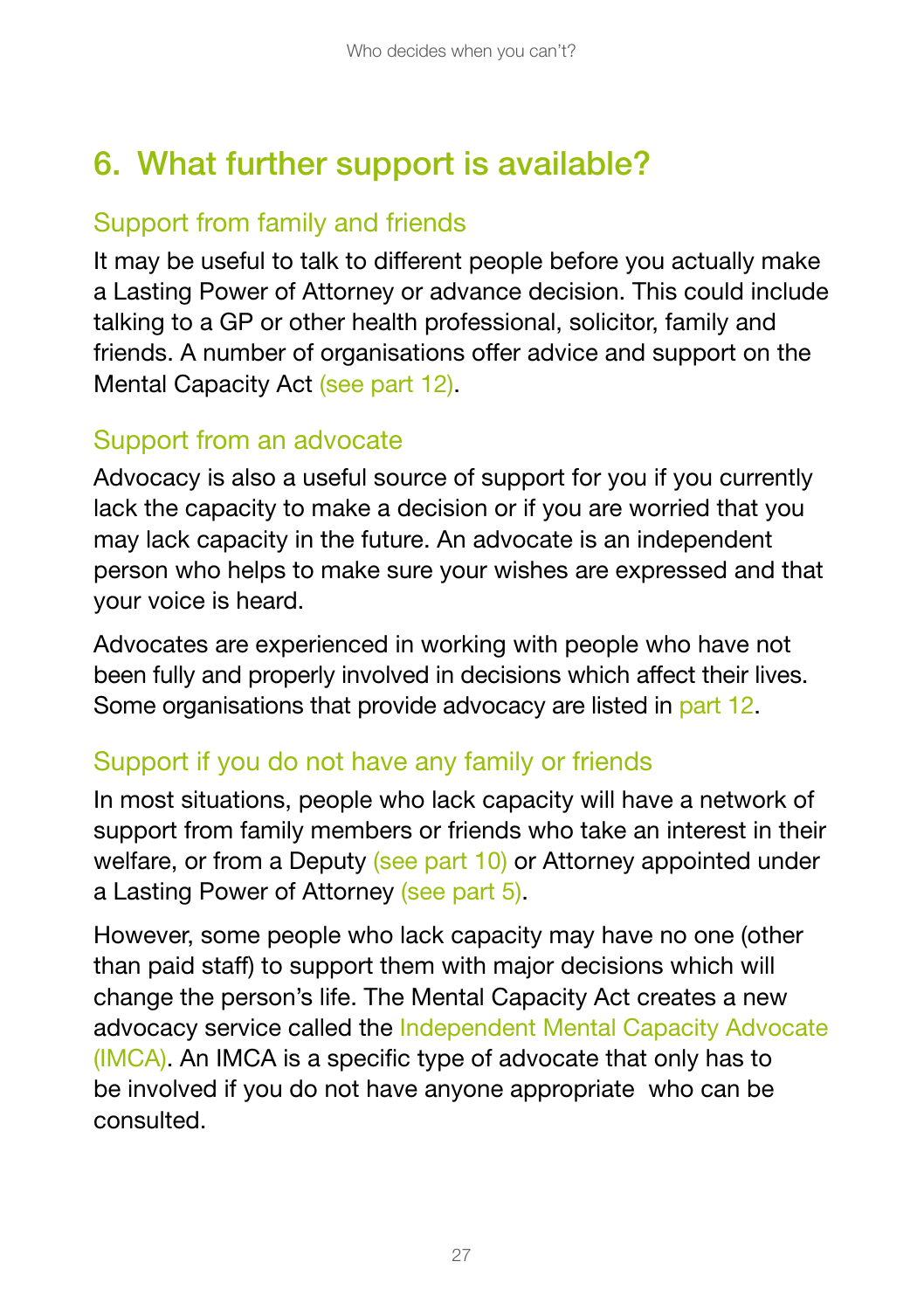## 6. What further support is available?

### Support from family and friends

It may be useful to talk to different people before you actually make a Lasting Power of Attorney or advance decision. This could include talking to a GP or other health professional, solicitor, family and friends. A number of organisations offer advice and support on the Mental Capacity Act (see part 12).

#### Support from an advocate

Advocacy is also a useful source of support for you if you currently lack the capacity to make a decision or if you are worried that you may lack capacity in the future. An advocate is an independent person who helps to make sure your wishes are expressed and that your voice is heard.

Advocates are experienced in working with people who have not been fully and properly involved in decisions which affect their lives. Some organisations that provide advocacy are listed in part 12.

### Support if you do not have any family or friends

In most situations, people who lack capacity will have a network of support from family members or friends who take an interest in their welfare, or from a Deputy (see part 10) or Attorney appointed under a Lasting Power of Attorney (see part 5).

However, some people who lack capacity may have no one (other than paid staff) to support them with major decisions which will change the person's life. The Mental Capacity Act creates a new advocacy service called the Independent Mental Capacity Advocate (IMCA). An IMCA is a specific type of advocate that only has to be involved if you do not have anyone appropriate who can be consulted.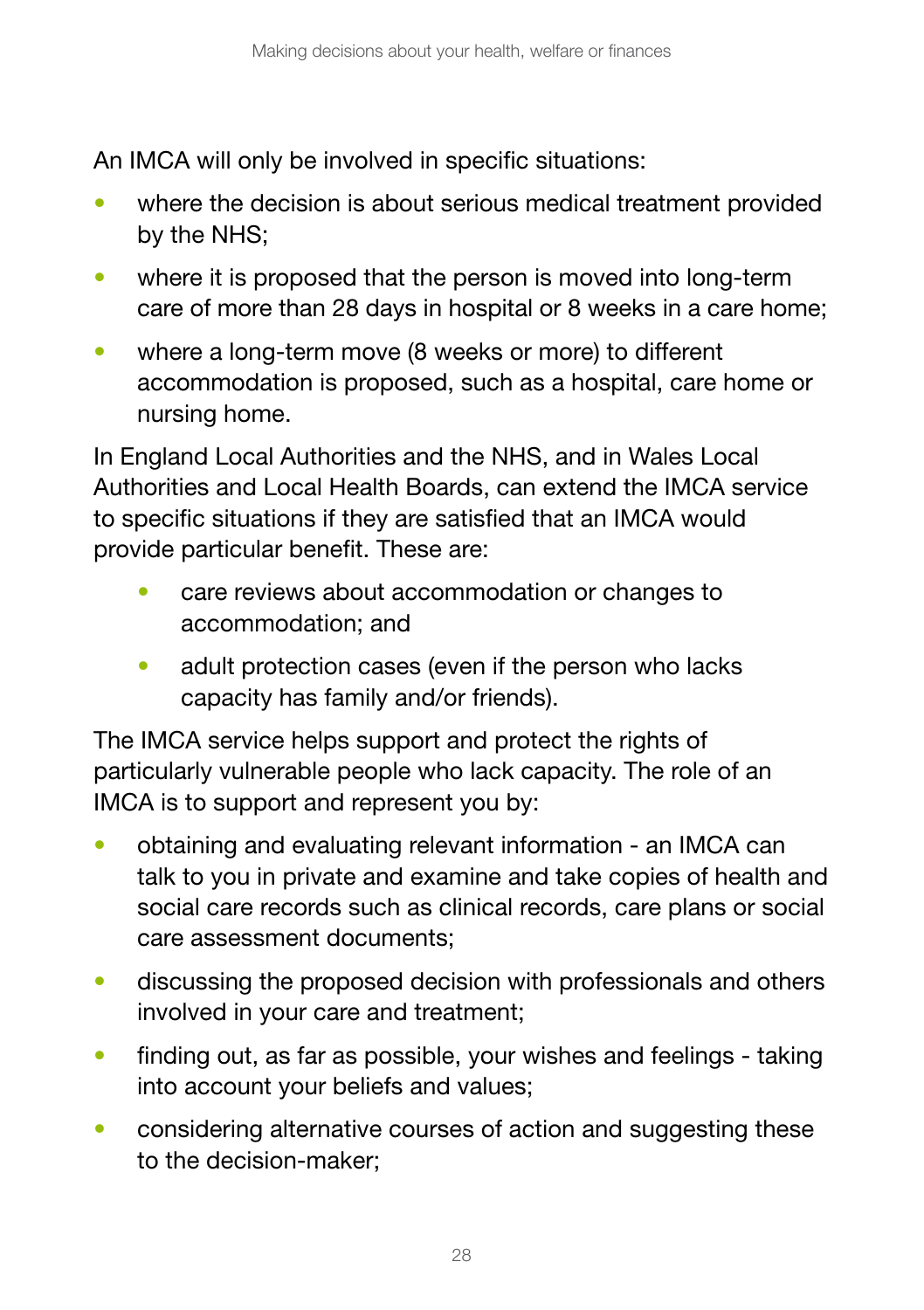An IMCA will only be involved in specific situations:

- where the decision is about serious medical treatment provided by the NHS;
- where it is proposed that the person is moved into long-term care of more than 28 days in hospital or 8 weeks in a care home;
- where a long-term move (8 weeks or more) to different accommodation is proposed, such as a hospital, care home or nursing home.

In England Local Authorities and the NHS, and in Wales Local Authorities and Local Health Boards, can extend the IMCA service to specific situations if they are satisfied that an IMCA would provide particular benefit. These are:

- care reviews about accommodation or changes to accommodation; and
- adult protection cases (even if the person who lacks capacity has family and/or friends).

The IMCA service helps support and protect the rights of particularly vulnerable people who lack capacity. The role of an IMCA is to support and represent you by:

- obtaining and evaluating relevant information an IMCA can talk to you in private and examine and take copies of health and social care records such as clinical records, care plans or social care assessment documents;
- discussing the proposed decision with professionals and others involved in your care and treatment;
- finding out, as far as possible, your wishes and feelings taking into account your beliefs and values;
- considering alternative courses of action and suggesting these to the decision-maker;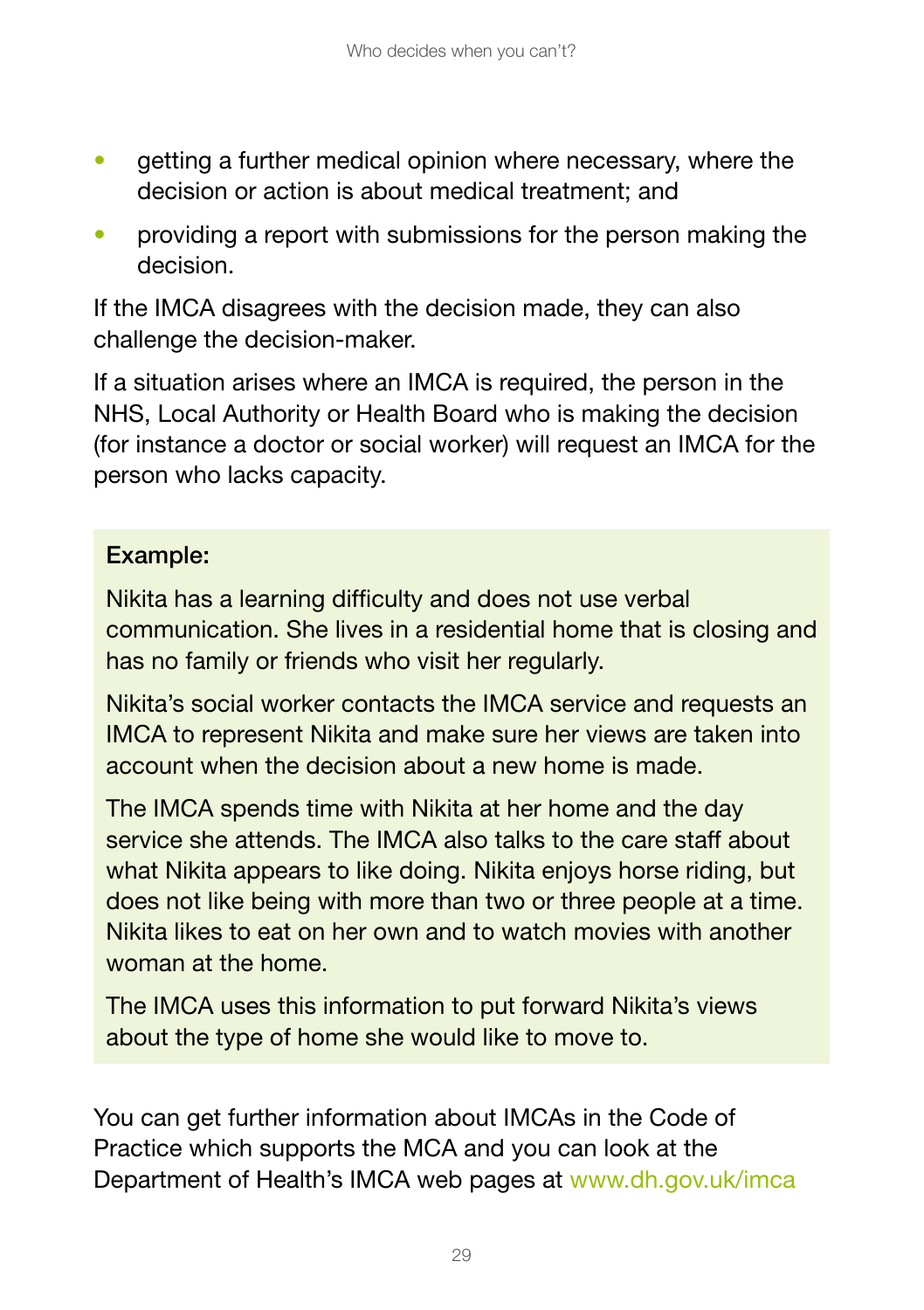- getting a further medical opinion where necessary, where the decision or action is about medical treatment; and
- providing a report with submissions for the person making the decision.

If the IMCA disagrees with the decision made, they can also challenge the decision-maker.

If a situation arises where an IMCA is required, the person in the NHS, Local Authority or Health Board who is making the decision (for instance a doctor or social worker) will request an IMCA for the person who lacks capacity.

#### Example:

Nikita has a learning difficulty and does not use verbal communication. She lives in a residential home that is closing and has no family or friends who visit her regularly.

Nikita's social worker contacts the IMCA service and requests an IMCA to represent Nikita and make sure her views are taken into account when the decision about a new home is made.

The IMCA spends time with Nikita at her home and the day service she attends. The IMCA also talks to the care staff about what Nikita appears to like doing. Nikita enjoys horse riding, but does not like being with more than two or three people at a time. Nikita likes to eat on her own and to watch movies with another woman at the home.

The IMCA uses this information to put forward Nikita's views about the type of home she would like to move to.

You can get further information about IMCAs in the Code of Practice which supports the MCA and you can look at the Department of Health's IMCA web pages at www.dh.gov.uk/imca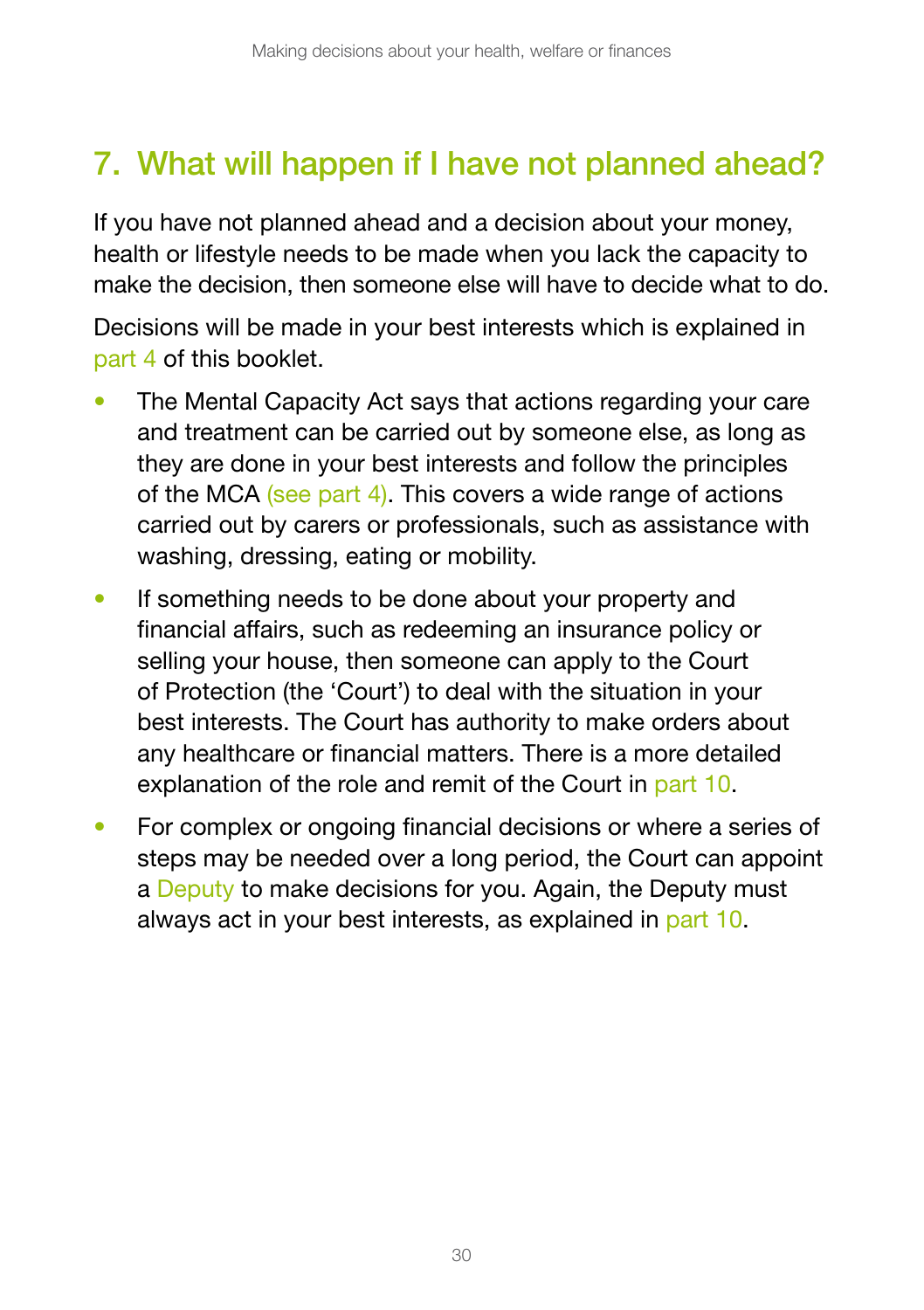## 7. What will happen if I have not planned ahead?

If you have not planned ahead and a decision about your money, health or lifestyle needs to be made when you lack the capacity to make the decision, then someone else will have to decide what to do.

Decisions will be made in your best interests which is explained in part 4 of this booklet.

- The Mental Capacity Act says that actions regarding your care and treatment can be carried out by someone else, as long as they are done in your best interests and follow the principles of the MCA (see part 4). This covers a wide range of actions carried out by carers or professionals, such as assistance with washing, dressing, eating or mobility.
- If something needs to be done about your property and financial affairs, such as redeeming an insurance policy or selling your house, then someone can apply to the Court of Protection (the 'Court') to deal with the situation in your best interests. The Court has authority to make orders about any healthcare or financial matters. There is a more detailed explanation of the role and remit of the Court in part 10.
- For complex or ongoing financial decisions or where a series of steps may be needed over a long period, the Court can appoint a Deputy to make decisions for you. Again, the Deputy must always act in your best interests, as explained in part 10.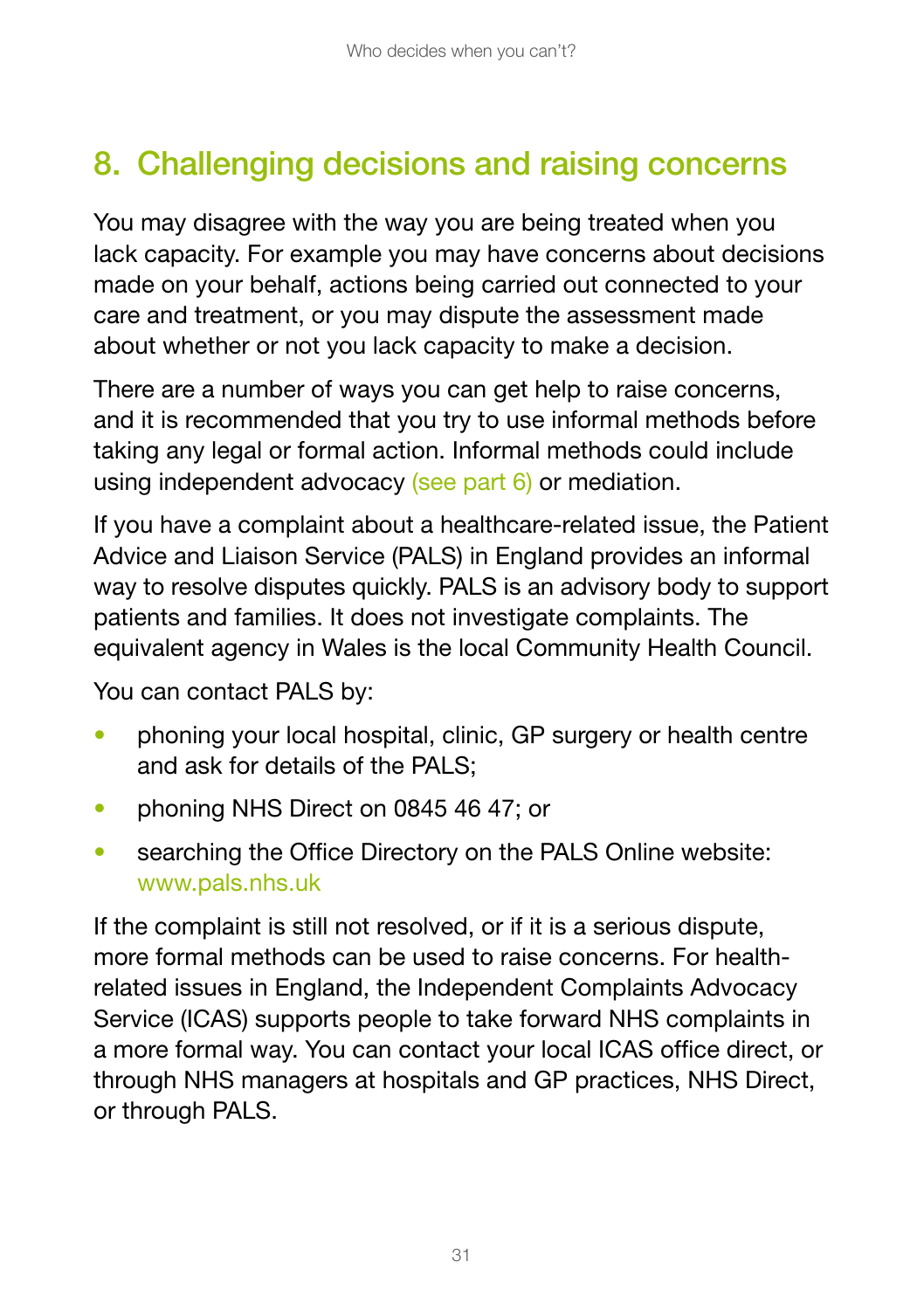## 8. Challenging decisions and raising concerns

You may disagree with the way you are being treated when you lack capacity. For example you may have concerns about decisions made on your behalf, actions being carried out connected to your care and treatment, or you may dispute the assessment made about whether or not you lack capacity to make a decision.

There are a number of ways you can get help to raise concerns, and it is recommended that you try to use informal methods before taking any legal or formal action. Informal methods could include using independent advocacy (see part 6) or mediation.

If you have a complaint about a healthcare-related issue, the Patient Advice and Liaison Service (PALS) in England provides an informal way to resolve disputes quickly. PALS is an advisory body to support patients and families. It does not investigate complaints. The equivalent agency in Wales is the local Community Health Council.

You can contact PALS by:

- phoning your local hospital, clinic, GP surgery or health centre and ask for details of the PALS;
- phoning NHS Direct on 0845 46 47; or
- searching the Office Directory on the PALS Online website: [www.pals.nhs.uk](http://www.pals.nhs.uk)

If the complaint is still not resolved, or if it is a serious dispute, more formal methods can be used to raise concerns. For healthrelated issues in England, the Independent Complaints Advocacy Service (ICAS) supports people to take forward NHS complaints in a more formal way. You can contact your local ICAS office direct, or through NHS managers at hospitals and GP practices, NHS Direct, or through PALS.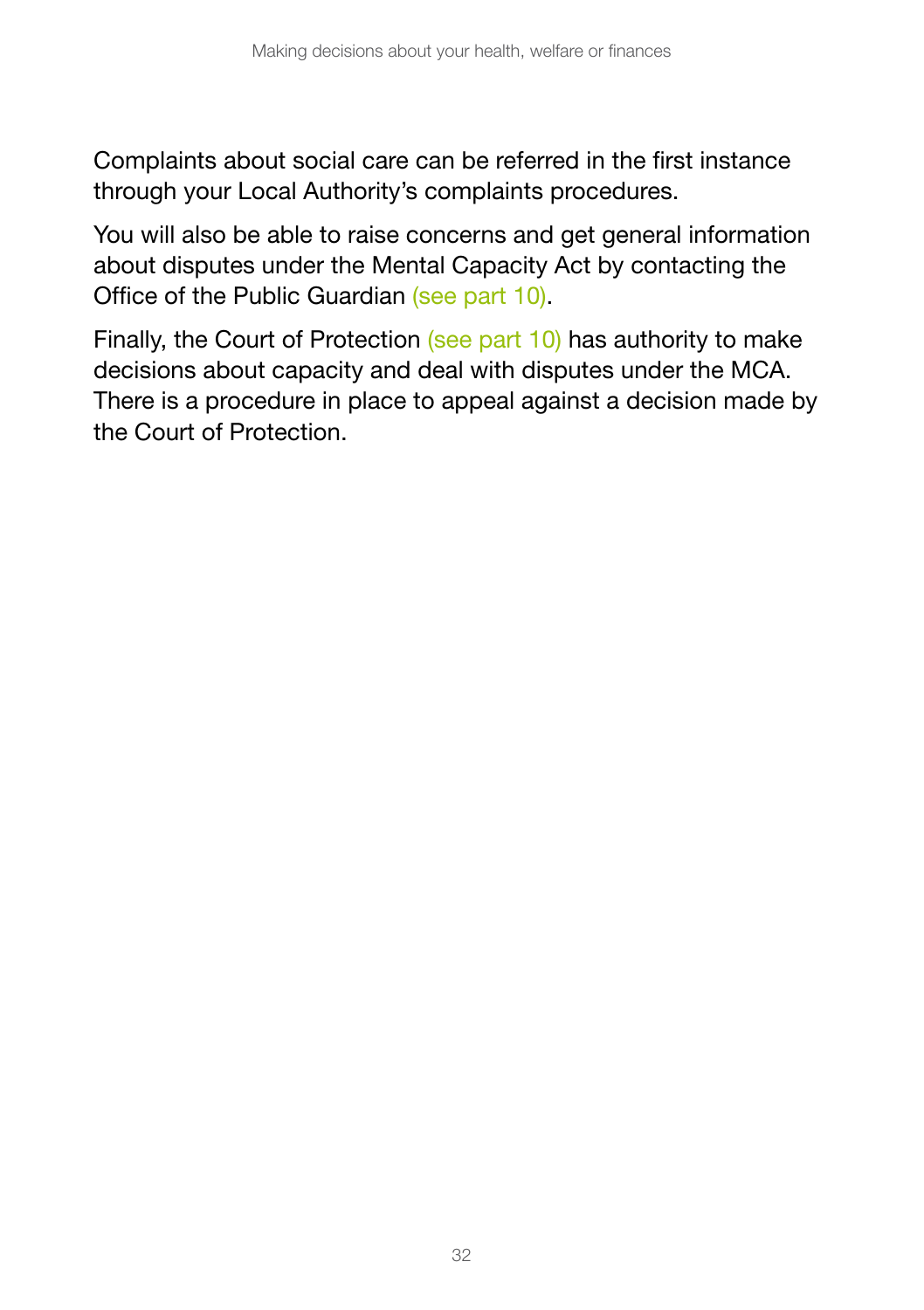Complaints about social care can be referred in the first instance through your Local Authority's complaints procedures.

You will also be able to raise concerns and get general information about disputes under the Mental Capacity Act by contacting the Office of the Public Guardian (see part 10).

Finally, the Court of Protection (see part 10) has authority to make decisions about capacity and deal with disputes under the MCA. There is a procedure in place to appeal against a decision made by the Court of Protection.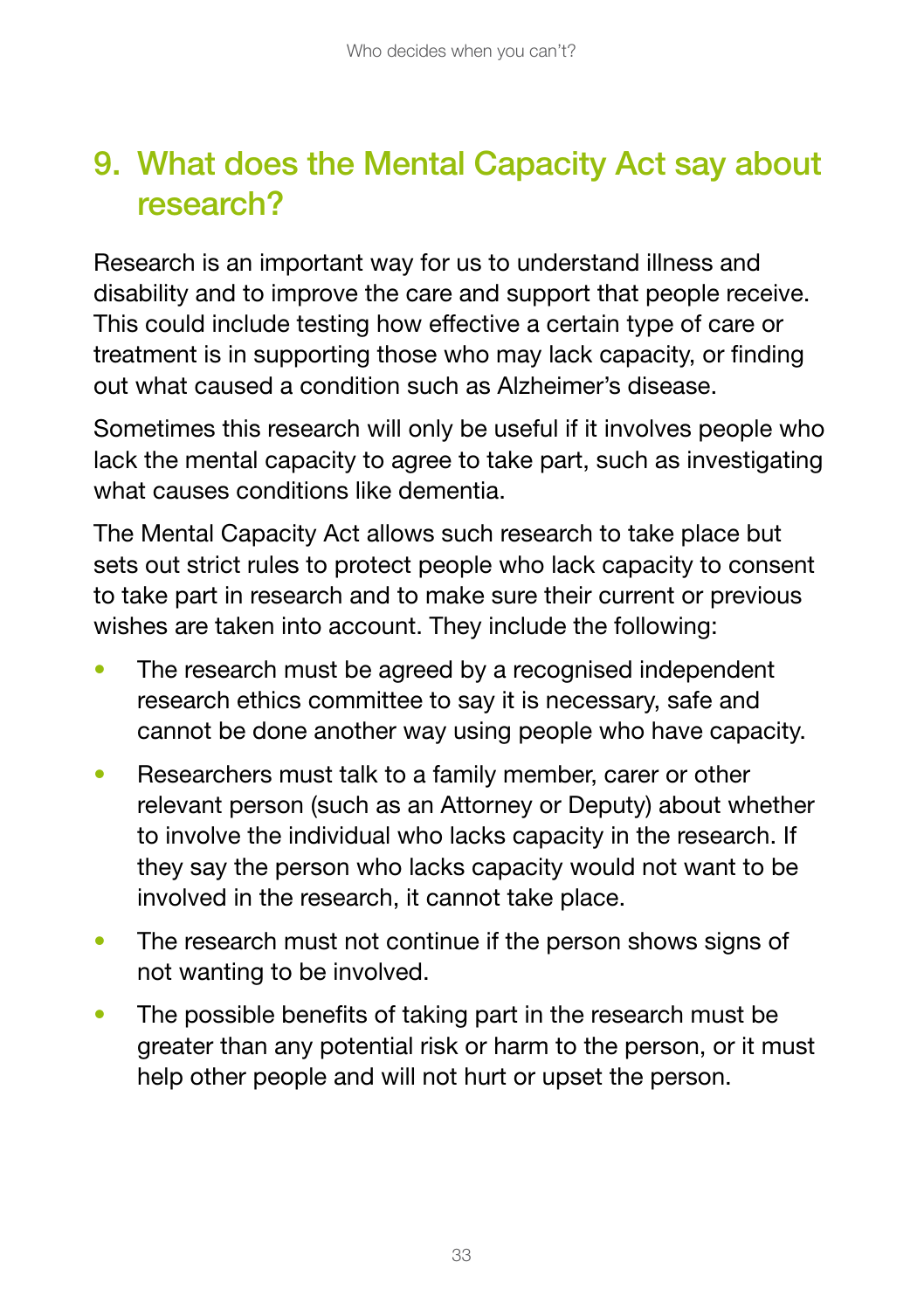## 9. What does the Mental Capacity Act say about research?

Research is an important way for us to understand illness and disability and to improve the care and support that people receive. This could include testing how effective a certain type of care or treatment is in supporting those who may lack capacity, or finding out what caused a condition such as Alzheimer's disease.

Sometimes this research will only be useful if it involves people who lack the mental capacity to agree to take part, such as investigating what causes conditions like dementia.

The Mental Capacity Act allows such research to take place but sets out strict rules to protect people who lack capacity to consent to take part in research and to make sure their current or previous wishes are taken into account. They include the following:

- The research must be agreed by a recognised independent research ethics committee to say it is necessary, safe and cannot be done another way using people who have capacity.
- Researchers must talk to a family member, carer or other relevant person (such as an Attorney or Deputy) about whether to involve the individual who lacks capacity in the research. If they say the person who lacks capacity would not want to be involved in the research, it cannot take place.
- The research must not continue if the person shows signs of not wanting to be involved.
- The possible benefits of taking part in the research must be greater than any potential risk or harm to the person, or it must help other people and will not hurt or upset the person.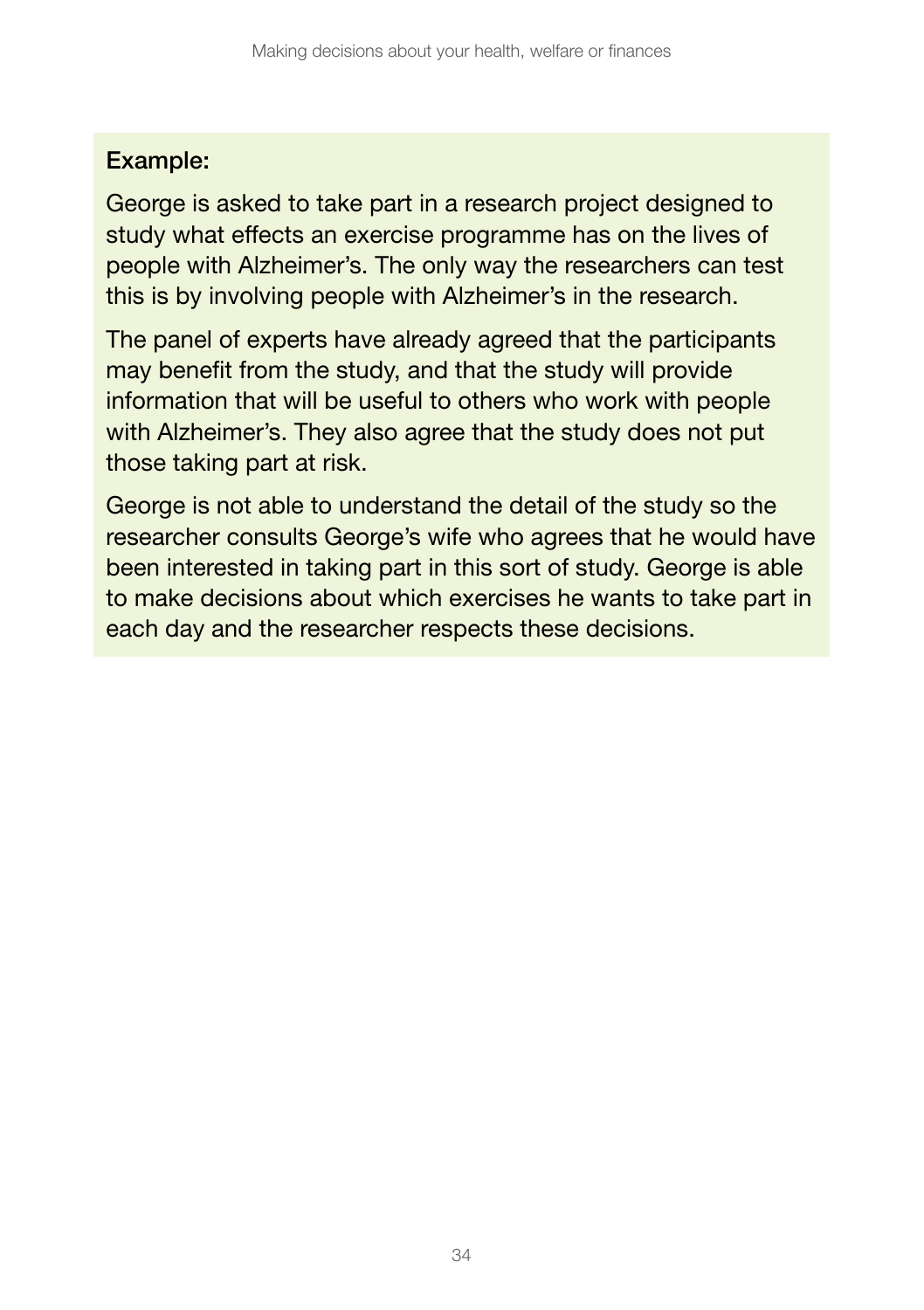#### Example:

George is asked to take part in a research project designed to study what effects an exercise programme has on the lives of people with Alzheimer's. The only way the researchers can test this is by involving people with Alzheimer's in the research.

The panel of experts have already agreed that the participants may benefit from the study, and that the study will provide information that will be useful to others who work with people with Alzheimer's. They also agree that the study does not put those taking part at risk.

George is not able to understand the detail of the study so the researcher consults George's wife who agrees that he would have been interested in taking part in this sort of study. George is able to make decisions about which exercises he wants to take part in each day and the researcher respects these decisions.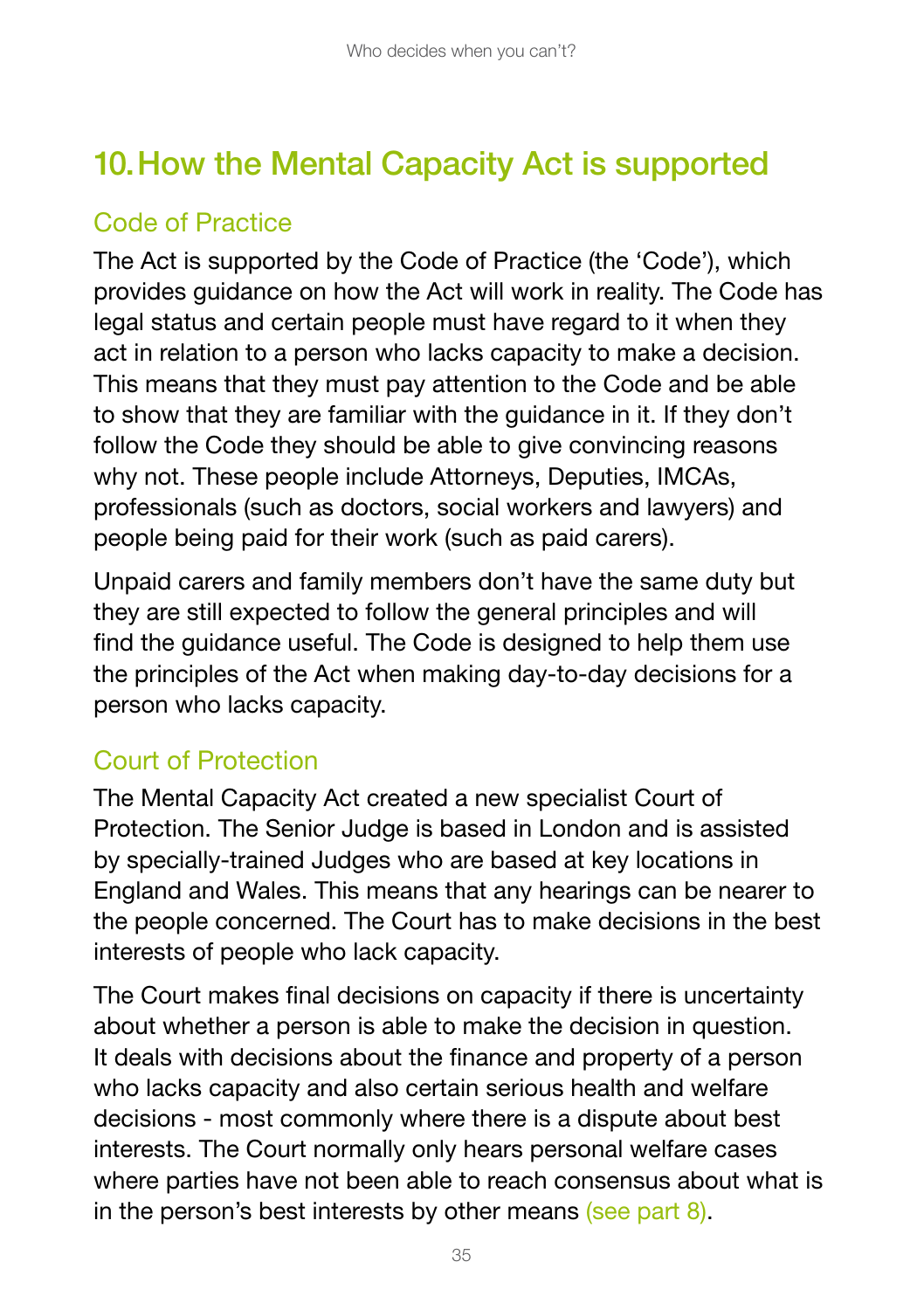## 10.How the Mental Capacity Act is supported

### Code of Practice

The Act is supported by the Code of Practice (the 'Code'), which provides guidance on how the Act will work in reality. The Code has legal status and certain people must have regard to it when they act in relation to a person who lacks capacity to make a decision. This means that they must pay attention to the Code and be able to show that they are familiar with the guidance in it. If they don't follow the Code they should be able to give convincing reasons why not. These people include Attorneys, Deputies, IMCAs, professionals (such as doctors, social workers and lawyers) and people being paid for their work (such as paid carers).

Unpaid carers and family members don't have the same duty but they are still expected to follow the general principles and will find the guidance useful. The Code is designed to help them use the principles of the Act when making day-to-day decisions for a person who lacks capacity.

### Court of Protection

The Mental Capacity Act created a new specialist Court of Protection. The Senior Judge is based in London and is assisted by specially-trained Judges who are based at key locations in England and Wales. This means that any hearings can be nearer to the people concerned. The Court has to make decisions in the best interests of people who lack capacity.

The Court makes final decisions on capacity if there is uncertainty about whether a person is able to make the decision in question. It deals with decisions about the finance and property of a person who lacks capacity and also certain serious health and welfare decisions - most commonly where there is a dispute about best interests. The Court normally only hears personal welfare cases where parties have not been able to reach consensus about what is in the person's best interests by other means (see part 8).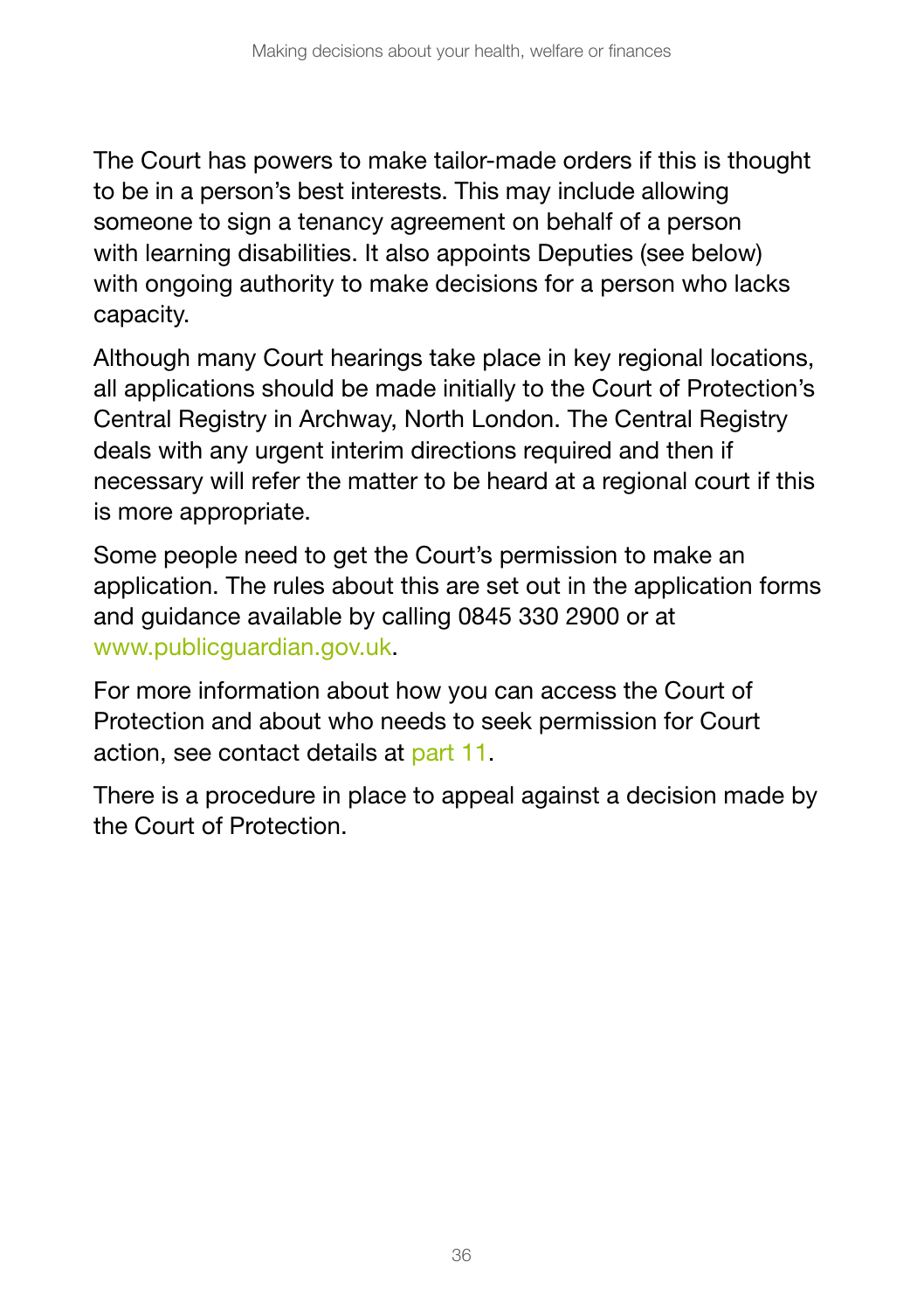The Court has powers to make tailor-made orders if this is thought to be in a person's best interests. This may include allowing someone to sign a tenancy agreement on behalf of a person with learning disabilities. It also appoints Deputies (see below) with ongoing authority to make decisions for a person who lacks capacity.

Although many Court hearings take place in key regional locations, all applications should be made initially to the Court of Protection's Central Registry in Archway, North London. The Central Registry deals with any urgent interim directions required and then if necessary will refer the matter to be heard at a regional court if this is more appropriate.

Some people need to get the Court's permission to make an application. The rules about this are set out in the application forms and guidance available by calling 0845 330 2900 or at [www.publicguardian.gov.uk.](http://www.publicguardian.gov.uk)

For more information about how you can access the Court of Protection and about who needs to seek permission for Court action, see contact details at part 11.

There is a procedure in place to appeal against a decision made by the Court of Protection.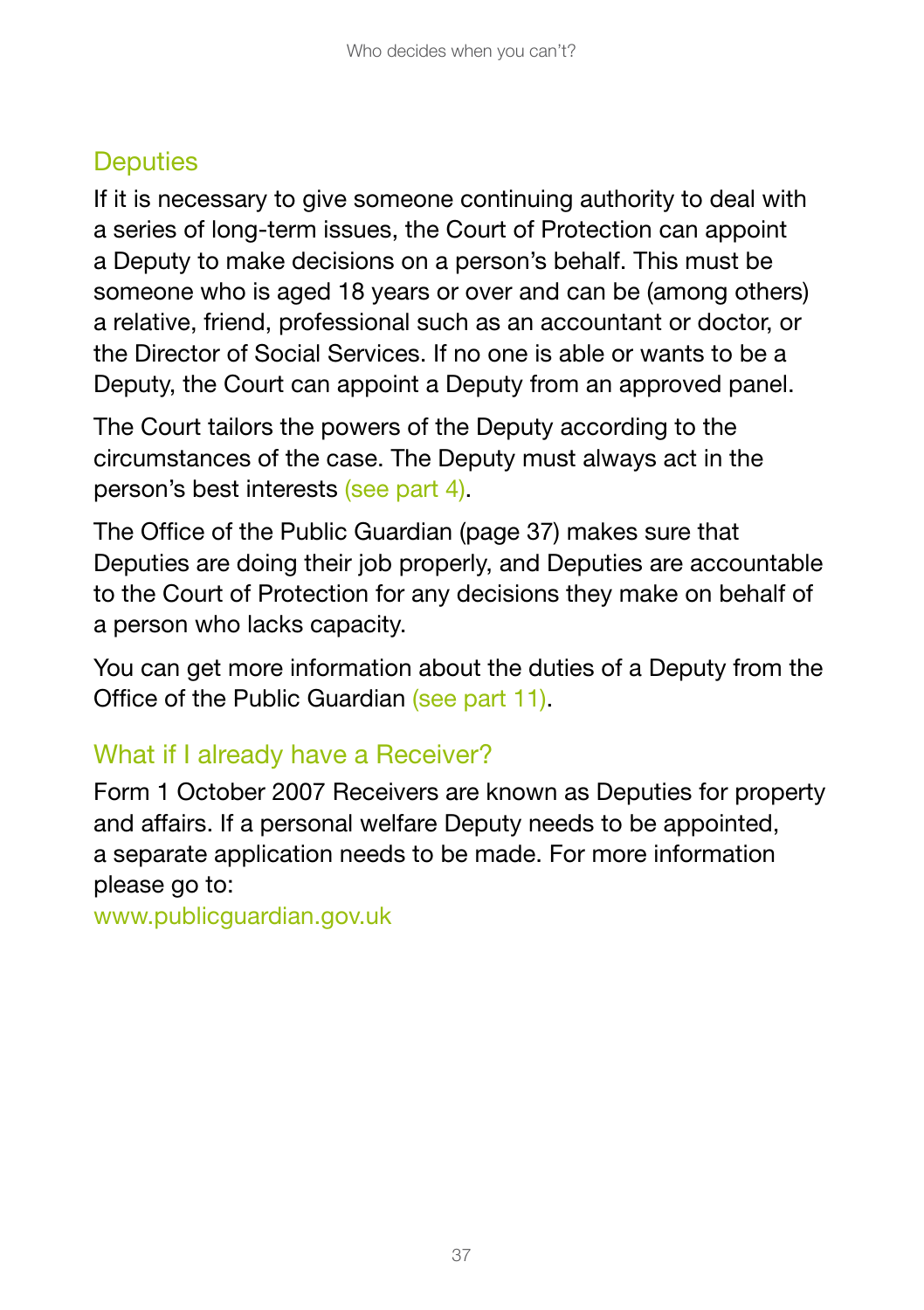## **Deputies**

If it is necessary to give someone continuing authority to deal with a series of long-term issues, the Court of Protection can appoint a Deputy to make decisions on a person's behalf. This must be someone who is aged 18 years or over and can be (among others) a relative, friend, professional such as an accountant or doctor, or the Director of Social Services. If no one is able or wants to be a Deputy, the Court can appoint a Deputy from an approved panel.

The Court tailors the powers of the Deputy according to the circumstances of the case. The Deputy must always act in the person's best interests (see part 4).

The Office of the Public Guardian (page 37) makes sure that Deputies are doing their job properly, and Deputies are accountable to the Court of Protection for any decisions they make on behalf of a person who lacks capacity.

You can get more information about the duties of a Deputy from the Office of the Public Guardian (see part 11).

### What if I already have a Receiver?

Form 1 October 2007 Receivers are known as Deputies for property and affairs. If a personal welfare Deputy needs to be appointed, a separate application needs to be made. For more information please go to:

www.publicguardian.gov.uk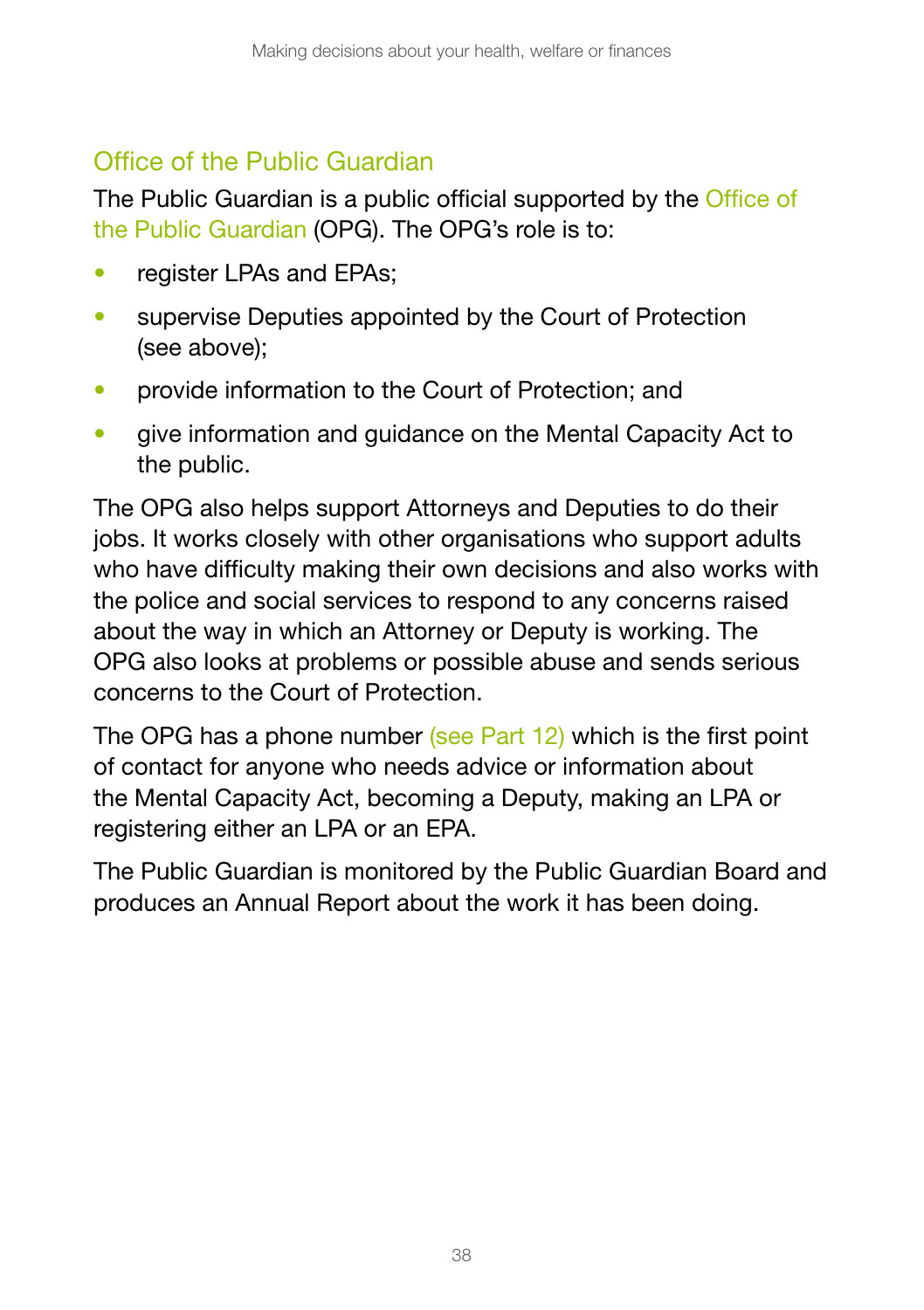### Office of the Public Guardian

The Public Guardian is a public official supported by the Office of the Public Guardian (OPG). The OPG's role is to:

- register LPAs and EPAs;
- supervise Deputies appointed by the Court of Protection (see above);
- provide information to the Court of Protection: and
- give information and guidance on the Mental Capacity Act to the public.

The OPG also helps support Attorneys and Deputies to do their jobs. It works closely with other organisations who support adults who have difficulty making their own decisions and also works with the police and social services to respond to any concerns raised about the way in which an Attorney or Deputy is working. The OPG also looks at problems or possible abuse and sends serious concerns to the Court of Protection.

The OPG has a phone number (see Part 12) which is the first point of contact for anyone who needs advice or information about the Mental Capacity Act, becoming a Deputy, making an LPA or registering either an LPA or an EPA.

The Public Guardian is monitored by the Public Guardian Board and produces an Annual Report about the work it has been doing.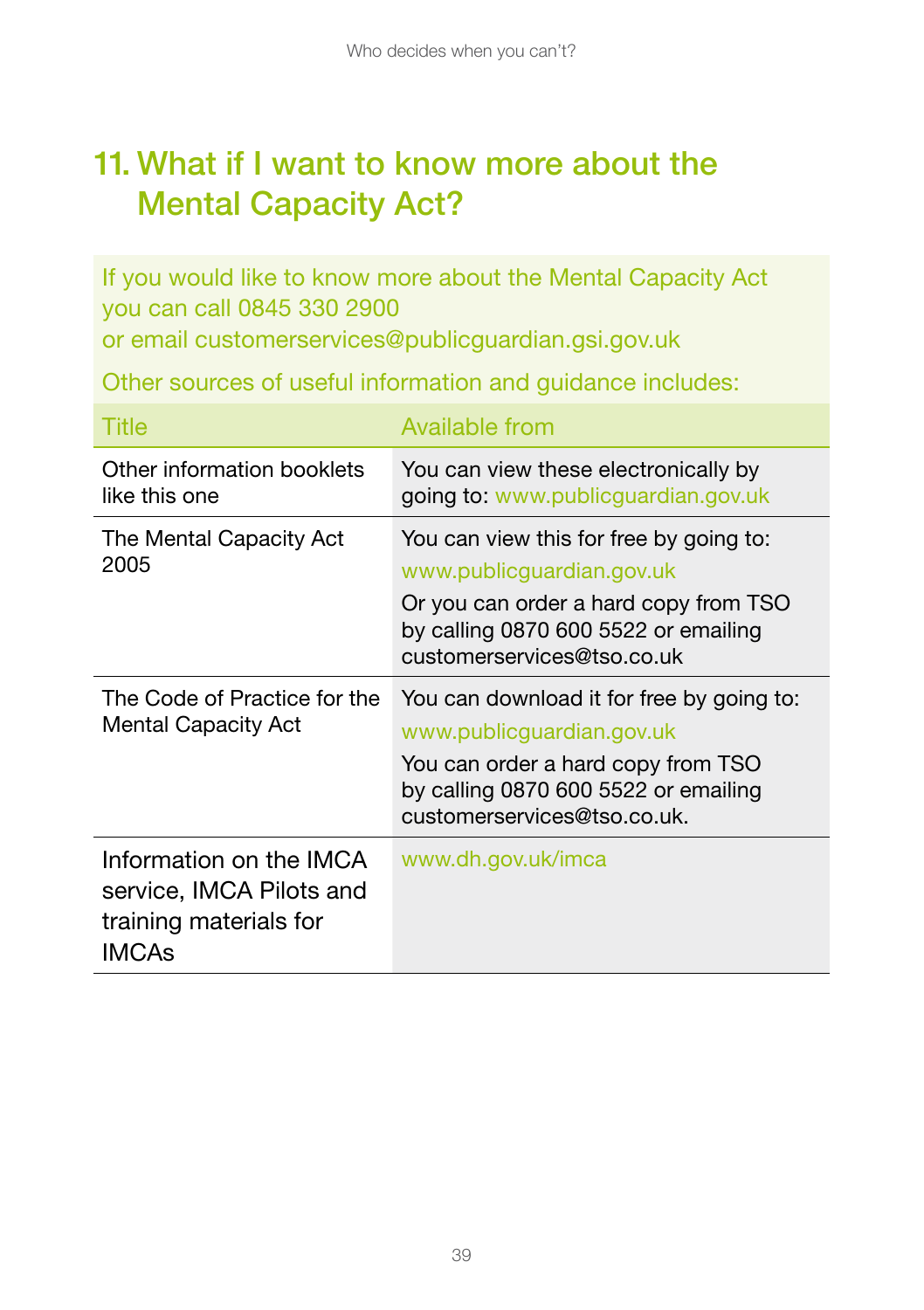## 11. What if I want to know more about the Mental Capacity Act?

If you would like to know more about the Mental Capacity Act you can call 0845 330 2900

or email [customerservices@publicguardian.gsi.gov.uk](mailto:customerservices@publicguardian.gsi.gov.uk)

Other sources of useful information and guidance includes:

| Title                                                                                  | Available from                                                                                                                                                                      |
|----------------------------------------------------------------------------------------|-------------------------------------------------------------------------------------------------------------------------------------------------------------------------------------|
| Other information booklets<br>like this one                                            | You can view these electronically by<br>going to: www.publicguardian.gov.uk                                                                                                         |
| The Mental Capacity Act<br>2005                                                        | You can view this for free by going to:<br>www.publicguardian.gov.uk<br>Or you can order a hard copy from TSO<br>by calling 0870 600 5522 or emailing<br>customerservices@tso.co.uk |
| The Code of Practice for the<br><b>Mental Capacity Act</b>                             | You can download it for free by going to:<br>www.publicguardian.gov.uk<br>You can order a hard copy from TSO<br>by calling 0870 600 5522 or emailing<br>customerservices@tso.co.uk. |
| Information on the IMCA<br>service, IMCA Pilots and<br>training materials for<br>IMCAs | www.dh.gov.uk/imca                                                                                                                                                                  |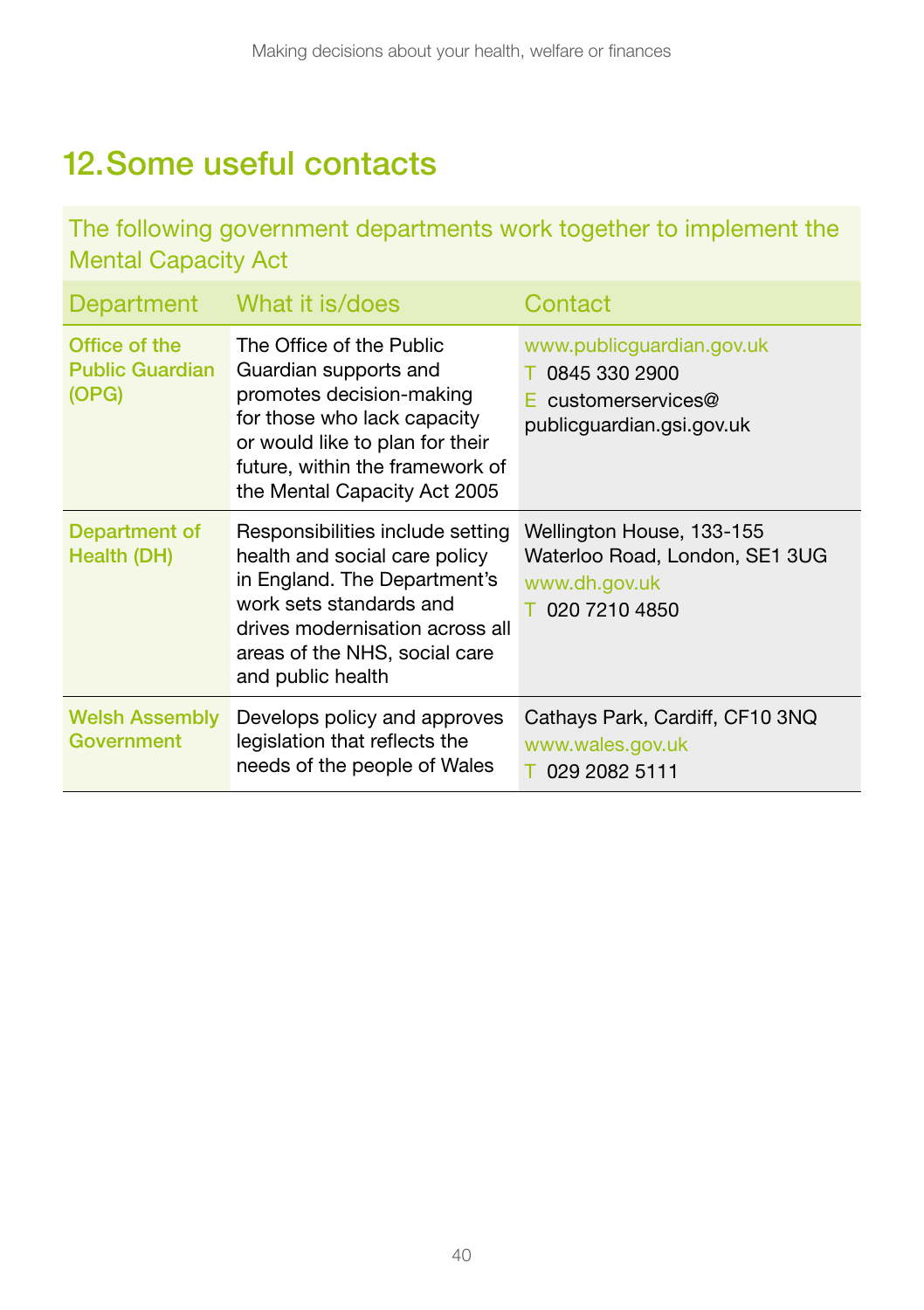## 12.Some useful contacts

The following government departments work together to implement the Mental Capacity Act

| Department                                       | What it is/does                                                                                                                                                                                                       | Contact                                                                                         |
|--------------------------------------------------|-----------------------------------------------------------------------------------------------------------------------------------------------------------------------------------------------------------------------|-------------------------------------------------------------------------------------------------|
| Office of the<br><b>Public Guardian</b><br>(OPG) | The Office of the Public<br>Guardian supports and<br>promotes decision-making<br>for those who lack capacity<br>or would like to plan for their<br>future, within the framework of<br>the Mental Capacity Act 2005    | www.publicguardian.gov.uk<br>0845 330 2900<br>customerservices@<br>publicguardian.gsi.gov.uk    |
| Department of<br>Health (DH)                     | Responsibilities include setting<br>health and social care policy<br>in England. The Department's<br>work sets standards and<br>drives modernisation across all<br>areas of the NHS, social care<br>and public health | Wellington House, 133-155<br>Waterloo Road, London, SE1 3UG<br>www.dh.gov.uk<br>T 020 7210 4850 |
| <b>Welsh Assembly</b><br>Government              | Develops policy and approves<br>legislation that reflects the<br>needs of the people of Wales                                                                                                                         | Cathays Park, Cardiff, CF10 3NQ<br>www.wales.gov.uk<br>T 029 2082 5111                          |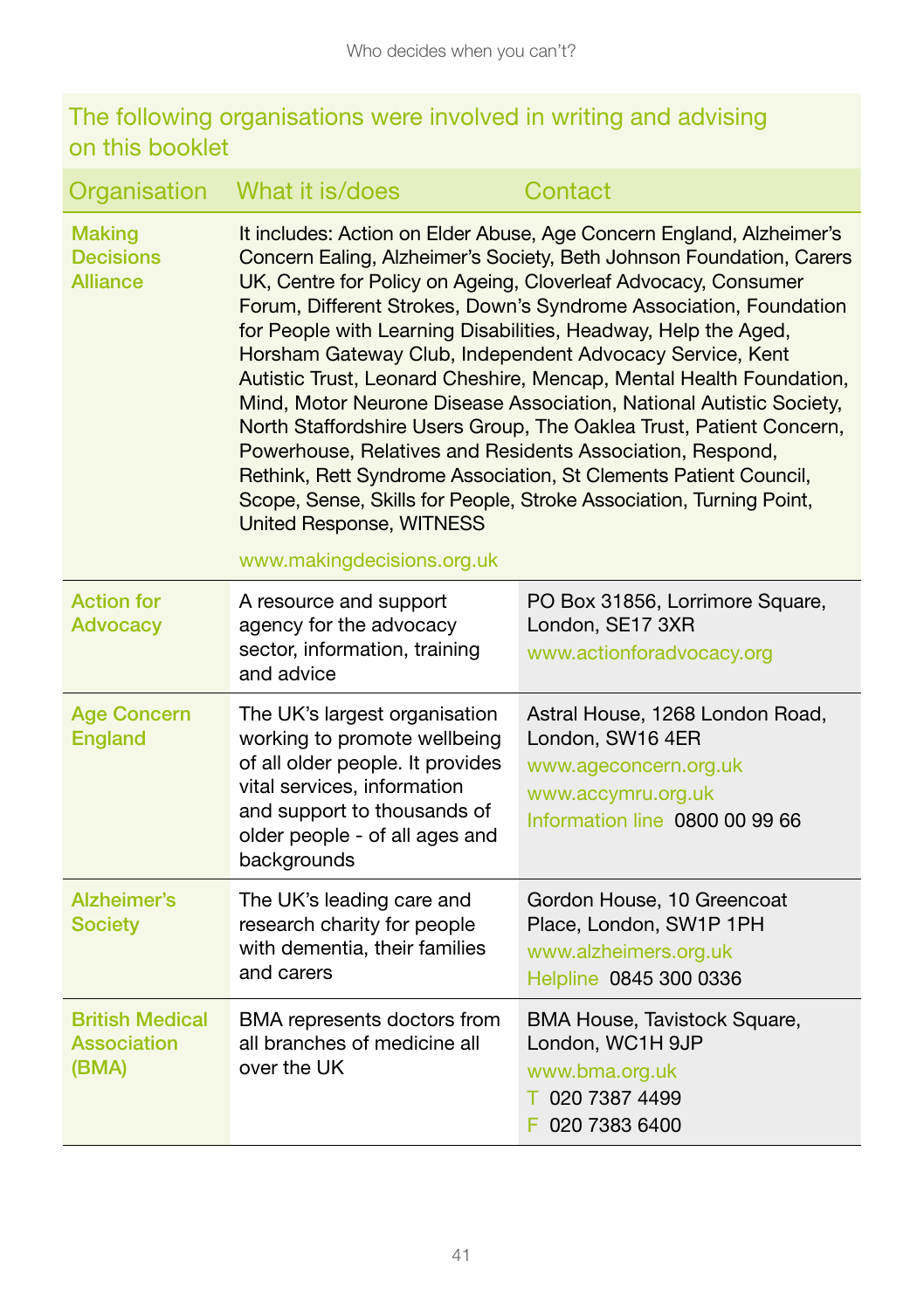#### The following organisations were involved in writing and advising on this booklet

| Organisation                                         | What it is/does                                                                                                                                                                                                                                          | Contact                                                                                                                                                                                                                                                                                                                                                                                                                                                                                                                                                                                                                                             |
|------------------------------------------------------|----------------------------------------------------------------------------------------------------------------------------------------------------------------------------------------------------------------------------------------------------------|-----------------------------------------------------------------------------------------------------------------------------------------------------------------------------------------------------------------------------------------------------------------------------------------------------------------------------------------------------------------------------------------------------------------------------------------------------------------------------------------------------------------------------------------------------------------------------------------------------------------------------------------------------|
| <b>Making</b><br><b>Decisions</b><br><b>Alliance</b> | for People with Learning Disabilities, Headway, Help the Aged,<br>Horsham Gateway Club, Independent Advocacy Service, Kent<br>Powerhouse, Relatives and Residents Association, Respond,<br><b>United Response, WITNESS</b><br>www.makingdecisions.org.uk | It includes: Action on Elder Abuse, Age Concern England, Alzheimer's<br>Concern Ealing, Alzheimer's Society, Beth Johnson Foundation, Carers<br>UK, Centre for Policy on Ageing, Cloverleaf Advocacy, Consumer<br>Forum, Different Strokes, Down's Syndrome Association, Foundation<br>Autistic Trust, Leonard Cheshire, Mencap, Mental Health Foundation,<br>Mind, Motor Neurone Disease Association, National Autistic Society,<br>North Staffordshire Users Group, The Oaklea Trust, Patient Concern,<br>Rethink, Rett Syndrome Association, St Clements Patient Council,<br>Scope, Sense, Skills for People, Stroke Association, Turning Point, |
| <b>Action for</b><br><b>Advocacy</b>                 | A resource and support<br>agency for the advocacy<br>sector, information, training<br>and advice                                                                                                                                                         | PO Box 31856, Lorrimore Square,<br>London, SE17 3XR<br>www.actionforadvocacy.org                                                                                                                                                                                                                                                                                                                                                                                                                                                                                                                                                                    |
| <b>Age Concern</b><br><b>England</b>                 | The UK's largest organisation<br>working to promote wellbeing<br>of all older people. It provides<br>vital services, information<br>and support to thousands of<br>older people - of all ages and<br>backgrounds                                         | Astral House, 1268 London Road,<br>London, SW16 4ER<br>www.ageconcern.org.uk<br>www.accymru.org.uk<br>Information line 0800 00 99 66                                                                                                                                                                                                                                                                                                                                                                                                                                                                                                                |
| Alzheimer's<br><b>Society</b>                        | The UK's leading care and<br>research charity for people<br>with dementia, their families<br>and carers                                                                                                                                                  | Gordon House, 10 Greencoat<br>Place, London, SW1P 1PH<br>www.alzheimers.org.uk<br>Helpline 0845 300 0336                                                                                                                                                                                                                                                                                                                                                                                                                                                                                                                                            |
| <b>British Medical</b><br>Association<br>(BMA)       | BMA represents doctors from<br>all branches of medicine all<br>over the UK                                                                                                                                                                               | BMA House, Tavistock Square,<br>London, WC1H 9JP<br>www.bma.org.uk<br>T 020 7387 4499<br>F 020 7383 6400                                                                                                                                                                                                                                                                                                                                                                                                                                                                                                                                            |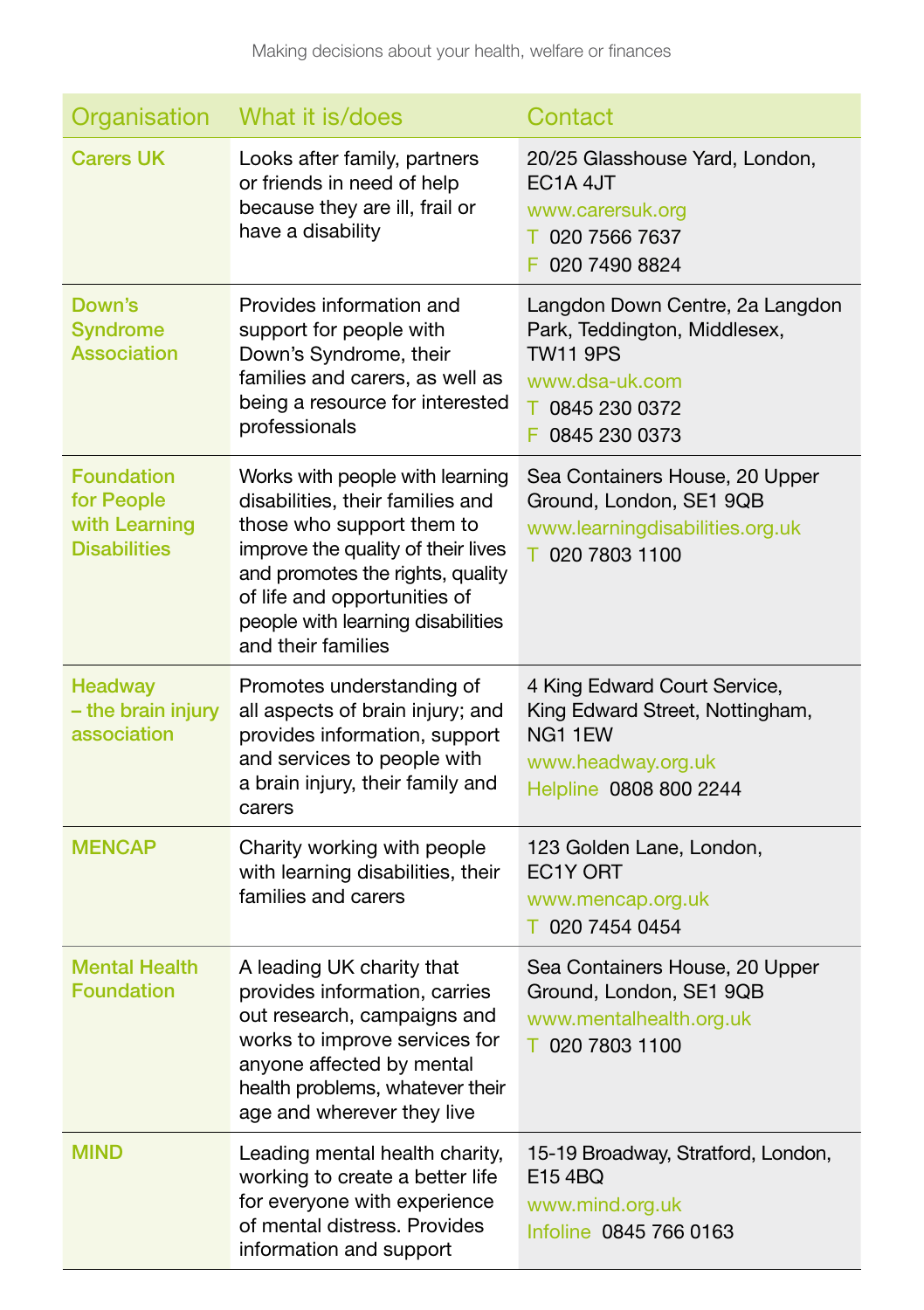| Organisation                                                            | What it is/does                                                                                                                                                                                                                                                       | Contact                                                                                                                                    |
|-------------------------------------------------------------------------|-----------------------------------------------------------------------------------------------------------------------------------------------------------------------------------------------------------------------------------------------------------------------|--------------------------------------------------------------------------------------------------------------------------------------------|
| <b>Carers UK</b>                                                        | Looks after family, partners<br>or friends in need of help<br>because they are ill, frail or<br>have a disability                                                                                                                                                     | 20/25 Glasshouse Yard, London,<br>EC <sub>1</sub> A <sub>4J</sub> T<br>www.carersuk.org<br>T 020 7566 7637<br>F 020 7490 8824              |
| Down's<br><b>Syndrome</b><br><b>Association</b>                         | Provides information and<br>support for people with<br>Down's Syndrome, their<br>families and carers, as well as<br>being a resource for interested<br>professionals                                                                                                  | Langdon Down Centre, 2a Langdon<br>Park, Teddington, Middlesex,<br><b>TW11 9PS</b><br>www.dsa-uk.com<br>↑ 0845 230 0372<br>F 0845 230 0373 |
| <b>Foundation</b><br>for People<br>with Learning<br><b>Disabilities</b> | Works with people with learning<br>disabilities, their families and<br>those who support them to<br>improve the quality of their lives<br>and promotes the rights, quality<br>of life and opportunities of<br>people with learning disabilities<br>and their families | Sea Containers House, 20 Upper<br>Ground, London, SE1 9QB<br>www.learningdisabilities.org.uk<br>T 020 7803 1100                            |
| <b>Headway</b><br>- the brain injury<br>association                     | Promotes understanding of<br>all aspects of brain injury; and<br>provides information, support<br>and services to people with<br>a brain injury, their family and<br>carers                                                                                           | 4 King Edward Court Service,<br>King Edward Street, Nottingham,<br>NG1 1EW<br>www.headway.org.uk<br>Helpline 0808 800 2244                 |
| <b>MENCAP</b>                                                           | Charity working with people<br>with learning disabilities, their<br>families and carers                                                                                                                                                                               | 123 Golden Lane, London,<br>EC <sub>1</sub> Y ORT<br>www.mencap.org.uk<br>T 020 7454 0454                                                  |
| <b>Mental Health</b><br><b>Foundation</b>                               | A leading UK charity that<br>provides information, carries<br>out research, campaigns and<br>works to improve services for<br>anyone affected by mental<br>health problems, whatever their<br>age and wherever they live                                              | Sea Containers House, 20 Upper<br>Ground, London, SE1 9QB<br>www.mentalhealth.org.uk<br>T 020 7803 1100                                    |
| MIND                                                                    | Leading mental health charity,<br>working to create a better life<br>for everyone with experience<br>of mental distress. Provides<br>information and support                                                                                                          | 15-19 Broadway, Stratford, London,<br>E15 4BQ<br>www.mind.org.uk<br>Infoline 0845 766 0163                                                 |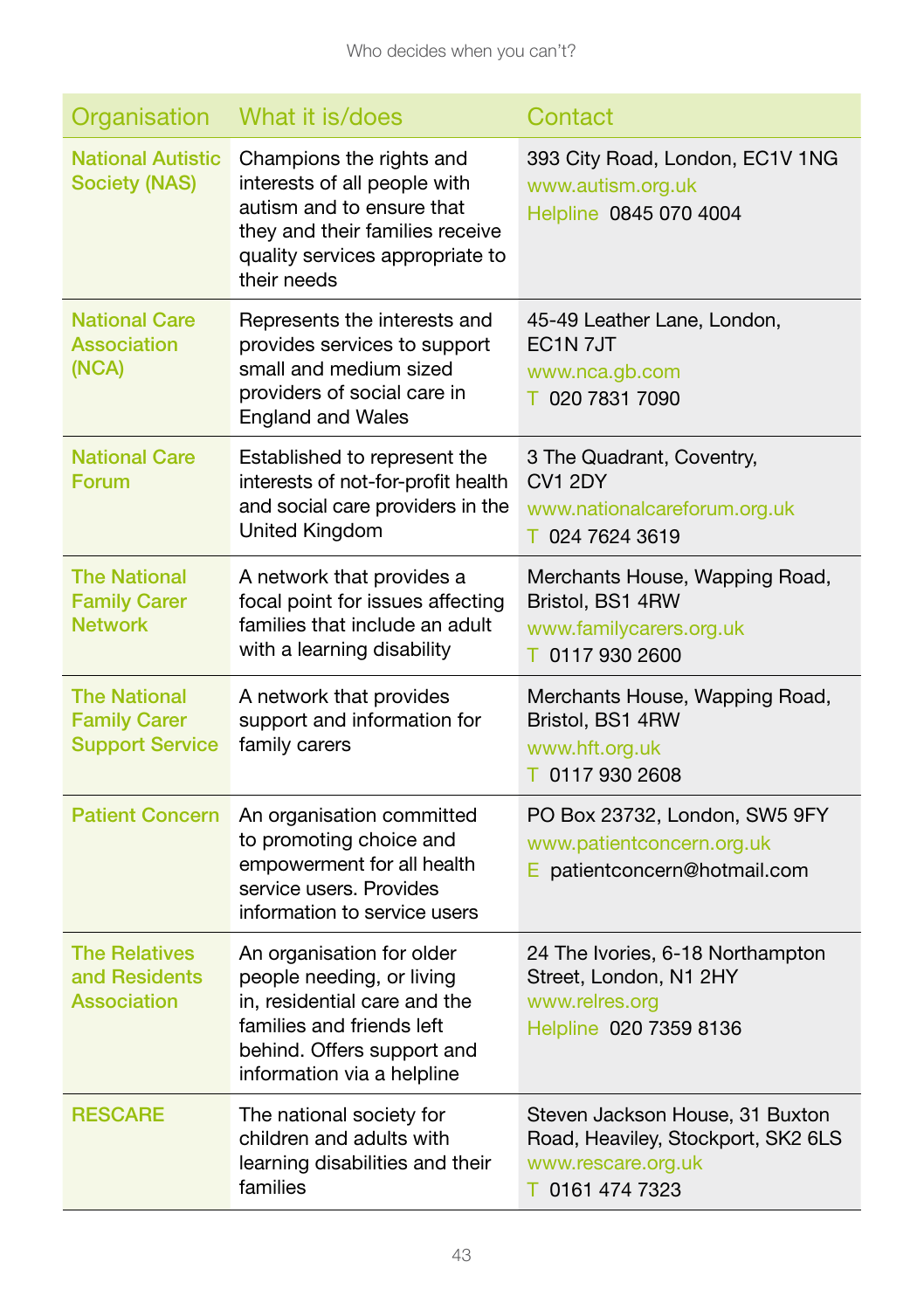| Organisation                                                         | What it is/does                                                                                                                                                                 | Contact                                                                                                        |
|----------------------------------------------------------------------|---------------------------------------------------------------------------------------------------------------------------------------------------------------------------------|----------------------------------------------------------------------------------------------------------------|
| <b>National Autistic</b><br><b>Society (NAS)</b>                     | Champions the rights and<br>interests of all people with<br>autism and to ensure that<br>they and their families receive<br>quality services appropriate to<br>their needs      | 393 City Road, London, EC1V 1NG<br>www.autism.org.uk<br>Helpline 0845 070 4004                                 |
| <b>National Care</b><br><b>Association</b><br>(NCA)                  | Represents the interests and<br>provides services to support<br>small and medium sized<br>providers of social care in<br><b>England and Wales</b>                               | 45-49 Leather Lane, London,<br>EC <sub>1</sub> N <sub>7JT</sub><br>www.nca.gb.com<br>T 020 7831 7090           |
| <b>National Care</b><br>Forum                                        | Established to represent the<br>interests of not-for-profit health<br>and social care providers in the<br>United Kingdom                                                        | 3 The Quadrant, Coventry,<br>CV1 2DY<br>www.nationalcareforum.org.uk<br>T 024 7624 3619                        |
| <b>The National</b><br><b>Family Carer</b><br><b>Network</b>         | A network that provides a<br>focal point for issues affecting<br>families that include an adult<br>with a learning disability                                                   | Merchants House, Wapping Road,<br>Bristol, BS1 4RW<br>www.familycarers.org.uk<br>T 0117 930 2600               |
| <b>The National</b><br><b>Family Carer</b><br><b>Support Service</b> | A network that provides<br>support and information for<br>family carers                                                                                                         | Merchants House, Wapping Road,<br>Bristol, BS1 4RW<br>www.hft.org.uk<br>T 0117 930 2608                        |
| <b>Patient Concern</b>                                               | An organisation committed<br>to promoting choice and<br>empowerment for all health<br>service users. Provides<br>information to service users                                   | PO Box 23732, London, SW5 9FY<br>www.patientconcern.org.uk<br>E patientconcern@hotmail.com                     |
| <b>The Relatives</b><br>and Residents<br>Association                 | An organisation for older<br>people needing, or living<br>in, residential care and the<br>families and friends left<br>behind. Offers support and<br>information via a helpline | 24 The Ivories, 6-18 Northampton<br>Street, London, N1 2HY<br>www.relres.org<br>Helpline 020 7359 8136         |
| <b>RESCARE</b>                                                       | The national society for<br>children and adults with<br>learning disabilities and their<br>families                                                                             | Steven Jackson House, 31 Buxton<br>Road, Heaviley, Stockport, SK2 6LS<br>www.rescare.org.uk<br>T 0161 474 7323 |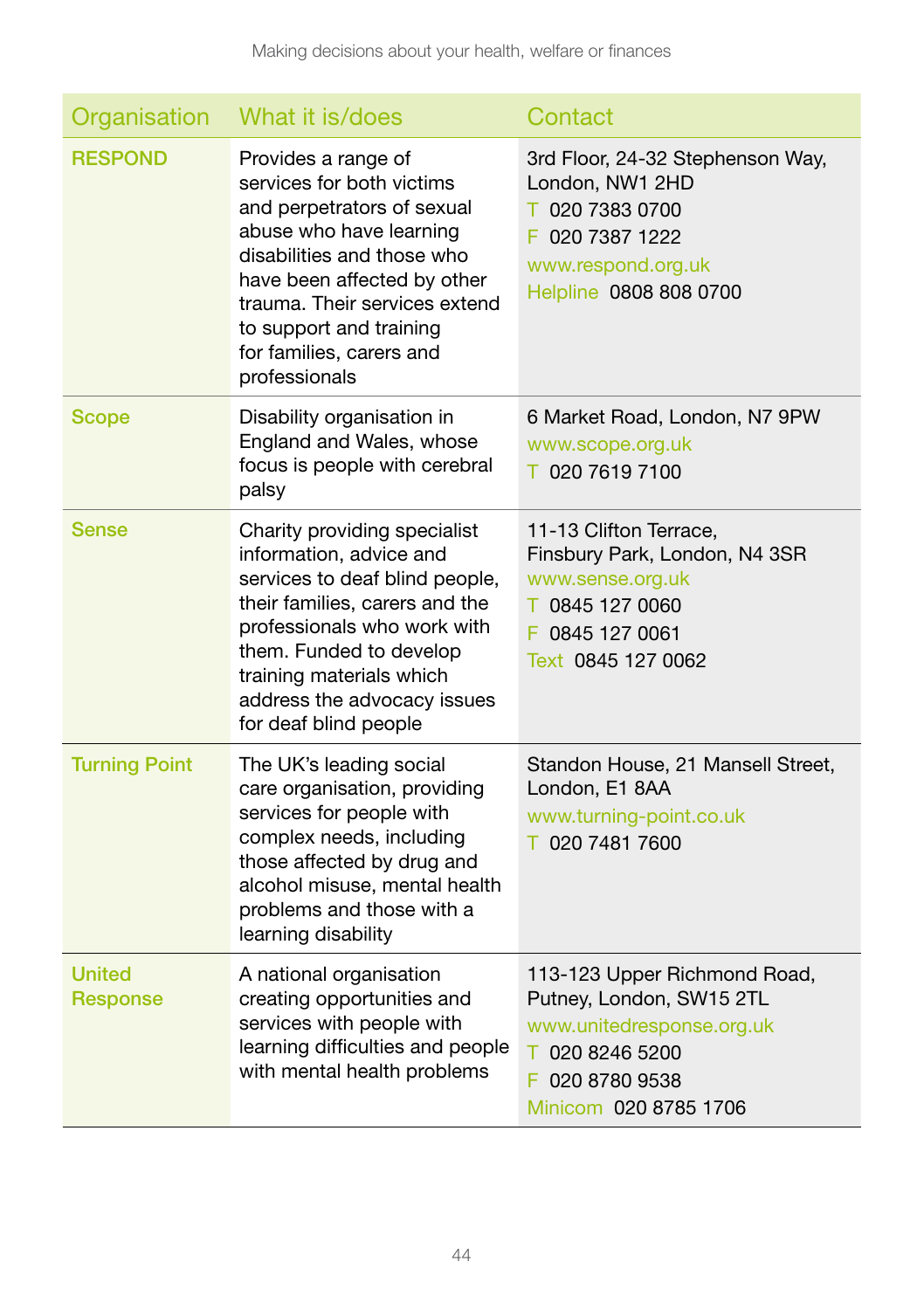| Organisation                     | What it is/does                                                                                                                                                                                                                                                                 | Contact                                                                                                                                              |
|----------------------------------|---------------------------------------------------------------------------------------------------------------------------------------------------------------------------------------------------------------------------------------------------------------------------------|------------------------------------------------------------------------------------------------------------------------------------------------------|
| <b>RESPOND</b>                   | Provides a range of<br>services for both victims<br>and perpetrators of sexual<br>abuse who have learning<br>disabilities and those who<br>have been affected by other<br>trauma. Their services extend<br>to support and training<br>for families, carers and<br>professionals | 3rd Floor, 24-32 Stephenson Way,<br>London, NW1 2HD<br>T 020 7383 0700<br>F 020 7387 1222<br>www.respond.org.uk<br>Helpline 0808 808 0700            |
| <b>Scope</b>                     | Disability organisation in<br>England and Wales, whose<br>focus is people with cerebral<br>palsy                                                                                                                                                                                | 6 Market Road, London, N7 9PW<br>www.scope.org.uk<br>T 020 7619 7100                                                                                 |
| <b>Sense</b>                     | Charity providing specialist<br>information, advice and<br>services to deaf blind people,<br>their families, carers and the<br>professionals who work with<br>them. Funded to develop<br>training materials which<br>address the advocacy issues<br>for deaf blind people       | 11-13 Clifton Terrace,<br>Finsbury Park, London, N4 3SR<br>www.sense.org.uk<br>T 0845 127 0060<br>F 0845 127 0061<br>Text 0845 127 0062              |
| <b>Turning Point</b>             | The UK's leading social<br>care organisation, providing<br>services for people with<br>complex needs, including<br>those affected by drug and<br>alcohol misuse, mental health<br>problems and those with a<br>learning disability                                              | Standon House, 21 Mansell Street,<br>London, E1 8AA<br>www.turning-point.co.uk<br>T 020 7481 7600                                                    |
| <b>United</b><br><b>Response</b> | A national organisation<br>creating opportunities and<br>services with people with<br>learning difficulties and people<br>with mental health problems                                                                                                                           | 113-123 Upper Richmond Road,<br>Putney, London, SW15 2TL<br>www.unitedresponse.org.uk<br>T 020 8246 5200<br>F 020 8780 9538<br>Minicom 020 8785 1706 |